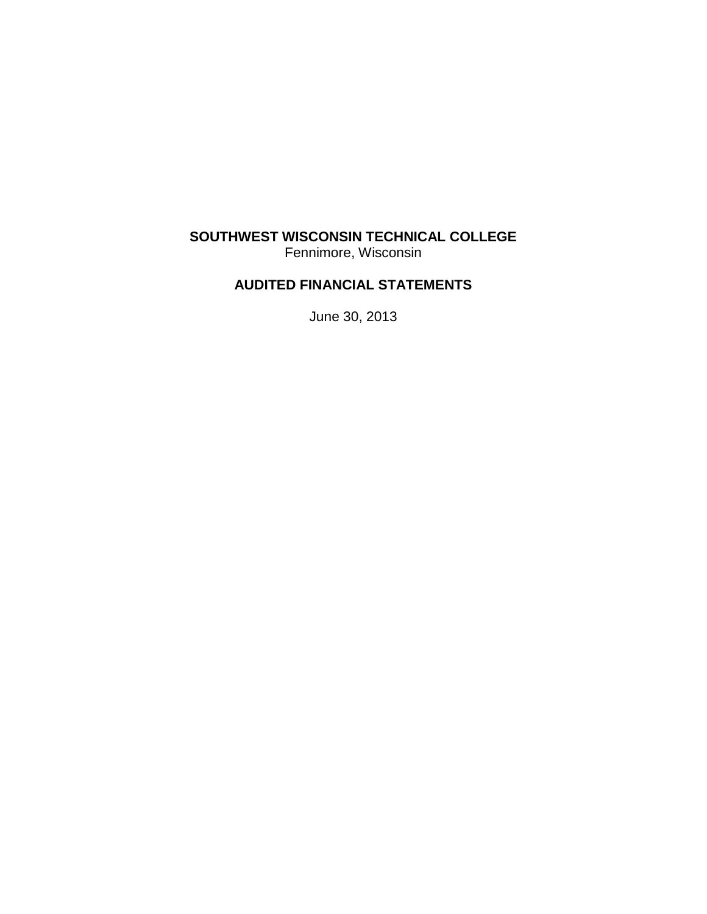## **SOUTHWEST WISCONSIN TECHNICAL COLLEGE** Fennimore, Wisconsin

## **AUDITED FINANCIAL STATEMENTS**

June 30, 2013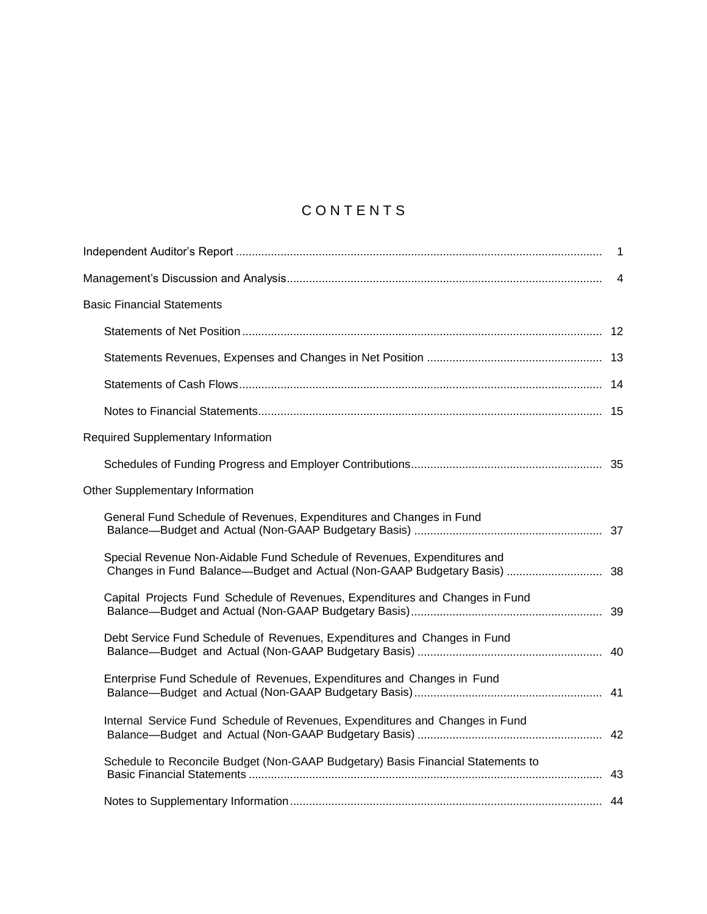# **CONTENTS**

| <b>Basic Financial Statements</b>                                               |  |
|---------------------------------------------------------------------------------|--|
|                                                                                 |  |
|                                                                                 |  |
|                                                                                 |  |
|                                                                                 |  |
| <b>Required Supplementary Information</b>                                       |  |
|                                                                                 |  |
| Other Supplementary Information                                                 |  |
| General Fund Schedule of Revenues, Expenditures and Changes in Fund             |  |
| Special Revenue Non-Aidable Fund Schedule of Revenues, Expenditures and         |  |
| Capital Projects Fund Schedule of Revenues, Expenditures and Changes in Fund    |  |
| Debt Service Fund Schedule of Revenues, Expenditures and Changes in Fund        |  |
| Enterprise Fund Schedule of Revenues, Expenditures and Changes in Fund          |  |
| Internal Service Fund Schedule of Revenues, Expenditures and Changes in Fund    |  |
| Schedule to Reconcile Budget (Non-GAAP Budgetary) Basis Financial Statements to |  |
|                                                                                 |  |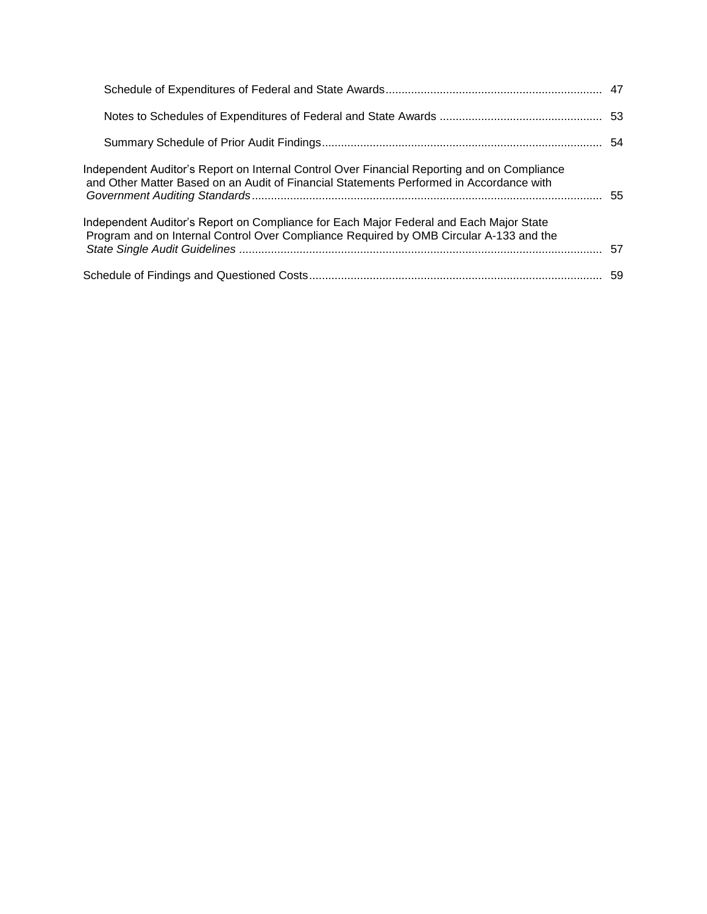| Independent Auditor's Report on Internal Control Over Financial Reporting and on Compliance<br>and Other Matter Based on an Audit of Financial Statements Performed in Accordance with |    |
|----------------------------------------------------------------------------------------------------------------------------------------------------------------------------------------|----|
| Independent Auditor's Report on Compliance for Each Major Federal and Each Major State<br>Program and on Internal Control Over Compliance Required by OMB Circular A-133 and the       | 57 |
|                                                                                                                                                                                        |    |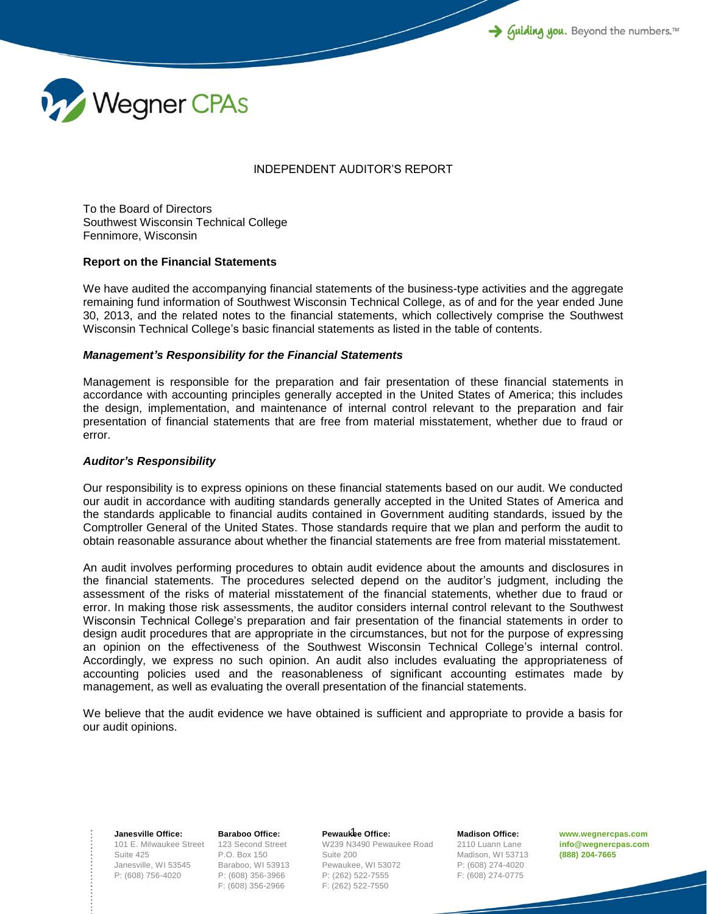

## INDEPENDENT AUDITOR'S REPORT

To the Board of Directors Southwest Wisconsin Technical College Fennimore, Wisconsin

## **Report on the Financial Statements**

We have audited the accompanying financial statements of the business-type activities and the aggregate remaining fund information of Southwest Wisconsin Technical College, as of and for the year ended June 30, 2013, and the related notes to the financial statements, which collectively comprise the Southwest Wisconsin Technical College's basic financial statements as listed in the table of contents.

## *Management's Responsibility for the Financial Statements*

Management is responsible for the preparation and fair presentation of these financial statements in accordance with accounting principles generally accepted in the United States of America; this includes the design, implementation, and maintenance of internal control relevant to the preparation and fair presentation of financial statements that are free from material misstatement, whether due to fraud or error.

## *Auditor's Responsibility*

Our responsibility is to express opinions on these financial statements based on our audit. We conducted our audit in accordance with auditing standards generally accepted in the United States of America and the standards applicable to financial audits contained in Government auditing standards, issued by the Comptroller General of the United States. Those standards require that we plan and perform the audit to obtain reasonable assurance about whether the financial statements are free from material misstatement.

An audit involves performing procedures to obtain audit evidence about the amounts and disclosures in the financial statements. The procedures selected depend on the auditor's judgment, including the assessment of the risks of material misstatement of the financial statements, whether due to fraud or error. In making those risk assessments, the auditor considers internal control relevant to the Southwest Wisconsin Technical College's preparation and fair presentation of the financial statements in order to design audit procedures that are appropriate in the circumstances, but not for the purpose of expressing an opinion on the effectiveness of the Southwest Wisconsin Technical College's internal control. Accordingly, we express no such opinion. An audit also includes evaluating the appropriateness of accounting policies used and the reasonableness of significant accounting estimates made by management, as well as evaluating the overall presentation of the financial statements.

We believe that the audit evidence we have obtained is sufficient and appropriate to provide a basis for our audit opinions.

101 E. Milwaukee Street 123 Second Street **Janesville Office:** Suite 425 Janesville, WI 53545 P: (608) 756-4020

**Baraboo Office:** P.O. Box 150 Baraboo, WI 53913 P: (608) 356-3966 F: (608) 356-2966

Pewaukee Office: W239 N3490 Pewaukee Road Suite 200 Pewaukee, WI 53072 P: (262) 522-7555 F: (262) 522-7550

**Madison Office:** 2110 Luann Lane Madison, WI 53713 P: (608) 274-4020 F: (608) 274-0775

**www.wegnercpas.com info@wegnercpas.com (888) 204-7665**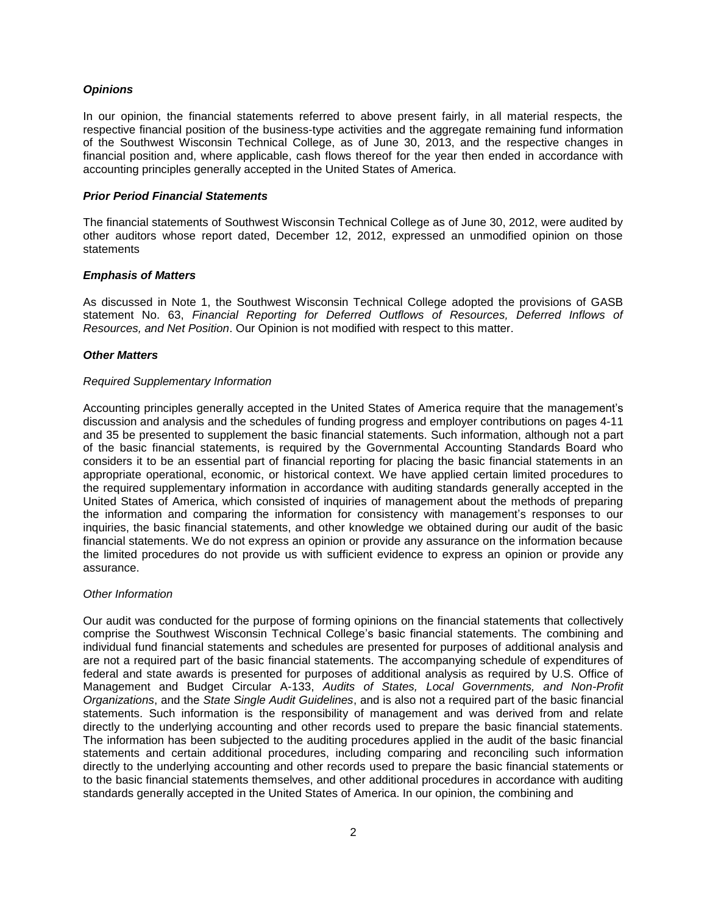## *Opinions*

In our opinion, the financial statements referred to above present fairly, in all material respects, the respective financial position of the business-type activities and the aggregate remaining fund information of the Southwest Wisconsin Technical College, as of June 30, 2013, and the respective changes in financial position and, where applicable, cash flows thereof for the year then ended in accordance with accounting principles generally accepted in the United States of America.

## *Prior Period Financial Statements*

The financial statements of Southwest Wisconsin Technical College as of June 30, 2012, were audited by other auditors whose report dated, December 12, 2012, expressed an unmodified opinion on those statements

## *Emphasis of Matters*

As discussed in Note 1, the Southwest Wisconsin Technical College adopted the provisions of GASB statement No. 63, *Financial Reporting for Deferred Outflows of Resources, Deferred Inflows of Resources, and Net Position*. Our Opinion is not modified with respect to this matter.

## *Other Matters*

## *Required Supplementary Information*

Accounting principles generally accepted in the United States of America require that the management's discussion and analysis and the schedules of funding progress and employer contributions on pages 4-11 and 35 be presented to supplement the basic financial statements. Such information, although not a part of the basic financial statements, is required by the Governmental Accounting Standards Board who considers it to be an essential part of financial reporting for placing the basic financial statements in an appropriate operational, economic, or historical context. We have applied certain limited procedures to the required supplementary information in accordance with auditing standards generally accepted in the United States of America, which consisted of inquiries of management about the methods of preparing the information and comparing the information for consistency with management's responses to our inquiries, the basic financial statements, and other knowledge we obtained during our audit of the basic financial statements. We do not express an opinion or provide any assurance on the information because the limited procedures do not provide us with sufficient evidence to express an opinion or provide any assurance.

## *Other Information*

Our audit was conducted for the purpose of forming opinions on the financial statements that collectively comprise the Southwest Wisconsin Technical College's basic financial statements. The combining and individual fund financial statements and schedules are presented for purposes of additional analysis and are not a required part of the basic financial statements. The accompanying schedule of expenditures of federal and state awards is presented for purposes of additional analysis as required by U.S. Office of Management and Budget Circular A-133, *Audits of States, Local Governments, and Non-Profit Organizations*, and the *State Single Audit Guidelines*, and is also not a required part of the basic financial statements. Such information is the responsibility of management and was derived from and relate directly to the underlying accounting and other records used to prepare the basic financial statements. The information has been subjected to the auditing procedures applied in the audit of the basic financial statements and certain additional procedures, including comparing and reconciling such information directly to the underlying accounting and other records used to prepare the basic financial statements or to the basic financial statements themselves, and other additional procedures in accordance with auditing standards generally accepted in the United States of America. In our opinion, the combining and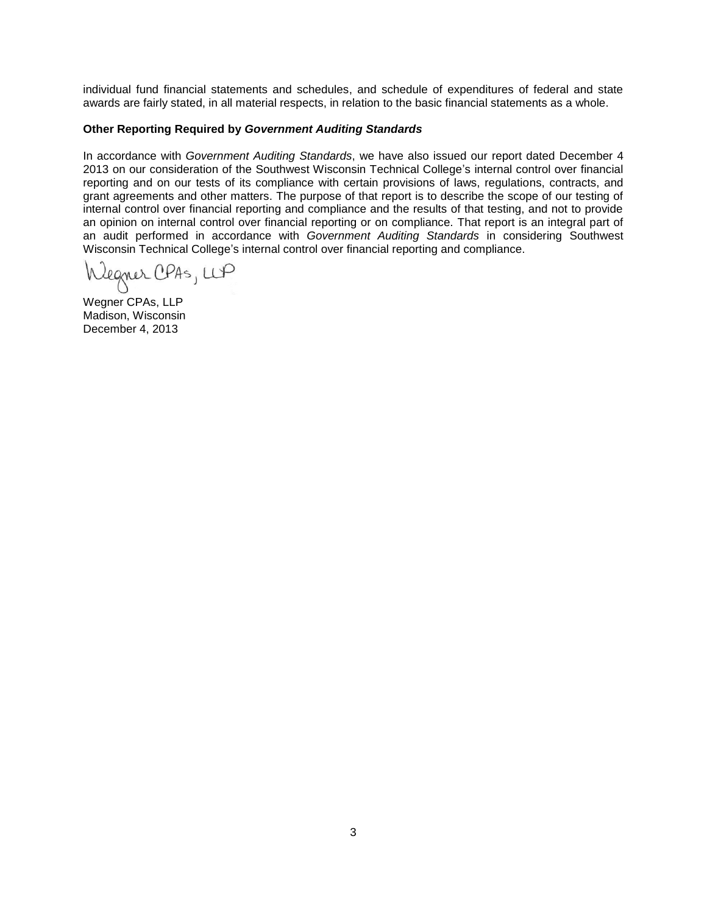individual fund financial statements and schedules, and schedule of expenditures of federal and state awards are fairly stated, in all material respects, in relation to the basic financial statements as a whole.

## **Other Reporting Required by** *Government Auditing Standards*

In accordance with *Government Auditing Standards*, we have also issued our report dated December 4 2013 on our consideration of the Southwest Wisconsin Technical College's internal control over financial reporting and on our tests of its compliance with certain provisions of laws, regulations, contracts, and grant agreements and other matters. The purpose of that report is to describe the scope of our testing of internal control over financial reporting and compliance and the results of that testing, and not to provide an opinion on internal control over financial reporting or on compliance. That report is an integral part of an audit performed in accordance with *Government Auditing Standards* in considering Southwest Wisconsin Technical College's internal control over financial reporting and compliance.

Legner CPAS, LLP

Wegner CPAs, LLP Madison, Wisconsin December 4, 2013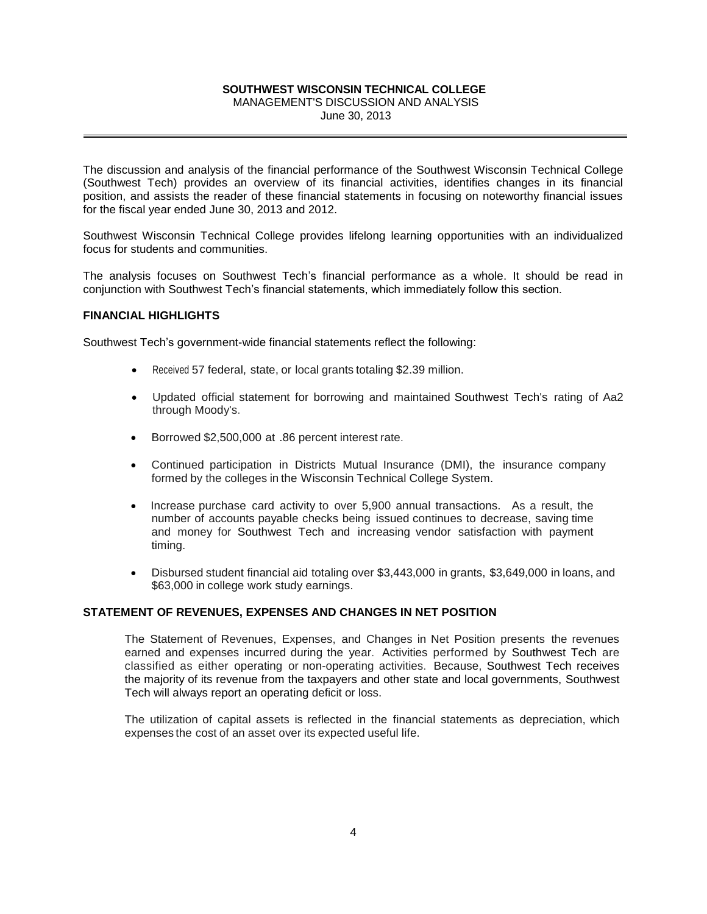MANAGEMENT'S DISCUSSION AND ANALYSIS

June 30, 2013

The discussion and analysis of the financial performance of the Southwest Wisconsin Technical College (Southwest Tech) provides an overview of its financial activities, identifies changes in its financial position, and assists the reader of these financial statements in focusing on noteworthy financial issues for the fiscal year ended June 30, 2013 and 2012.

Southwest Wisconsin Technical College provides lifelong learning opportunities with an individualized focus for students and communities.

The analysis focuses on Southwest Tech's financial performance as a whole. It should be read in conjunction with Southwest Tech's financial statements, which immediately follow this section.

## **FINANCIAL HIGHLIGHTS**

Southwest Tech's government-wide financial statements reflect the following:

- Received 57 federal, state, or local grants totaling \$2.39 million.
- Updated official statement for borrowing and maintained Southwest Tech's rating of Aa2 through Moody's.
- Borrowed \$2,500,000 at .86 percent interest rate.
- Continued participation in Districts Mutual Insurance (DMI), the insurance company formed by the colleges in the Wisconsin Technical College System.
- Increase purchase card activity to over 5,900 annual transactions. As a result, the number of accounts payable checks being issued continues to decrease, saving time and money for Southwest Tech and increasing vendor satisfaction with payment timing.
- Disbursed student financial aid totaling over \$3,443,000 in grants, \$3,649,000 in loans, and \$63,000 in college work study earnings.

## **STATEMENT OF REVENUES, EXPENSES AND CHANGES IN NET POSITION**

The Statement of Revenues, Expenses, and Changes in Net Position presents the revenues earned and expenses incurred during the year. Activities performed by Southwest Tech are classified as either operating or non-operating activities. Because, Southwest Tech receives the majority of its revenue from the taxpayers and other state and local governments, Southwest Tech will always report an operating deficit or loss.

The utilization of capital assets is reflected in the financial statements as depreciation, which expenses the cost of an asset over its expected useful life.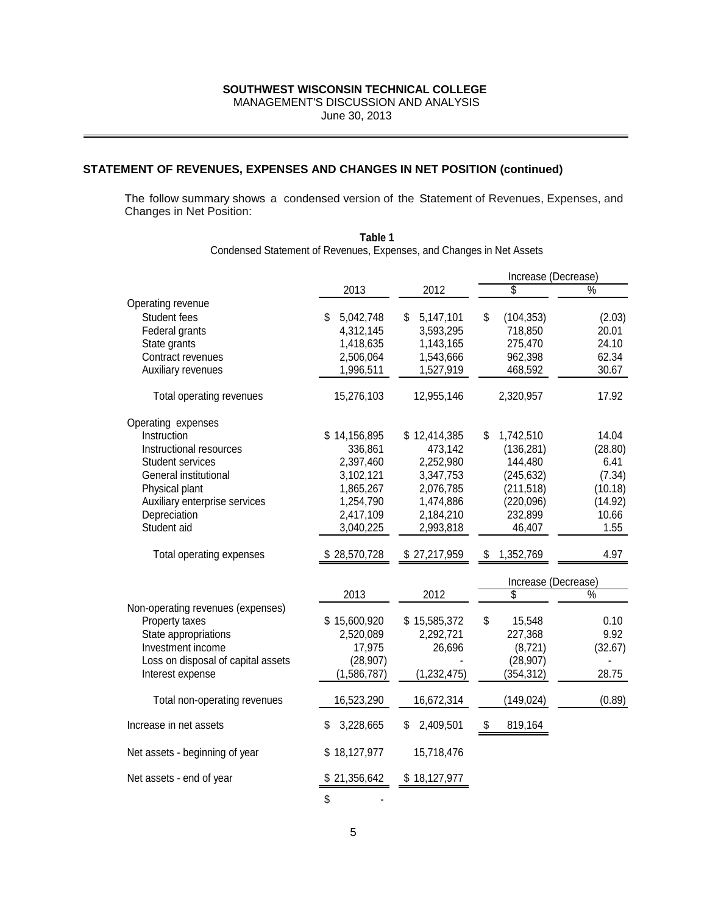MANAGEMENT'S DISCUSSION AND ANALYSIS

June 30, 2013

## **STATEMENT OF REVENUES, EXPENSES AND CHANGES IN NET POSITION (continued)**

The follow summary shows a condensed version of the Statement of Revenues, Expenses, and Changes in Net Position:

|                                    |                 |                 | Increase (Decrease) |               |
|------------------------------------|-----------------|-----------------|---------------------|---------------|
|                                    | 2013            | 2012            | \$                  | $\frac{0}{2}$ |
| Operating revenue                  |                 |                 |                     |               |
| Student fees                       | 5,042,748<br>\$ | 5,147,101<br>\$ | \$<br>(104, 353)    | (2.03)        |
| Federal grants                     | 4,312,145       | 3,593,295       | 718,850             | 20.01         |
| State grants                       | 1,418,635       | 1,143,165       | 275,470             | 24.10         |
| Contract revenues                  | 2,506,064       | 1,543,666       | 962,398             | 62.34         |
| Auxiliary revenues                 | 1,996,511       | 1,527,919       | 468,592             | 30.67         |
| Total operating revenues           | 15,276,103      | 12,955,146      | 2,320,957           | 17.92         |
| Operating expenses                 |                 |                 |                     |               |
| Instruction                        | \$14,156,895    | \$12,414,385    | \$<br>1,742,510     | 14.04         |
| Instructional resources            | 336,861         | 473,142         | (136, 281)          | (28.80)       |
| <b>Student services</b>            | 2,397,460       | 2,252,980       | 144,480             | 6.41          |
| General institutional              | 3,102,121       | 3,347,753       | (245, 632)          | (7.34)        |
| Physical plant                     | 1,865,267       | 2,076,785       | (211, 518)          | (10.18)       |
| Auxiliary enterprise services      | 1,254,790       | 1,474,886       | (220, 096)          | (14.92)       |
| Depreciation                       | 2,417,109       | 2,184,210       | 232,899             | 10.66         |
| Student aid                        | 3,040,225       | 2,993,818       | 46,407              | 1.55          |
| Total operating expenses           | \$28,570,728    | \$27,217,959    | 1,352,769<br>\$     | 4.97          |
|                                    |                 |                 | Increase (Decrease) |               |
|                                    | 2013            | 2012            | \$                  | $\frac{9}{6}$ |
| Non-operating revenues (expenses)  |                 |                 |                     |               |
| Property taxes                     | \$15,600,920    | \$15,585,372    | \$<br>15,548        | 0.10          |
| State appropriations               | 2,520,089       | 2,292,721       | 227,368             | 9.92          |
| Investment income                  | 17,975          | 26,696          | (8, 721)            | (32.67)       |
| Loss on disposal of capital assets | (28, 907)       |                 | (28, 907)           |               |
| Interest expense                   | (1,586,787)     | (1,232,475)     | (354, 312)          | 28.75         |
| Total non-operating revenues       | 16,523,290      | 16,672,314      | (149, 024)          | (0.89)        |
| Increase in net assets             | 3,228,665<br>S  | \$<br>2,409,501 | 819,164<br>\$       |               |
| Net assets - beginning of year     | \$18,127,977    | 15,718,476      |                     |               |
| Net assets - end of year           | \$21,356,642    | \$18,127,977    |                     |               |
|                                    | \$              |                 |                     |               |

**Table 1** Condensed Statement of Revenues, Expenses, and Changes in Net Assets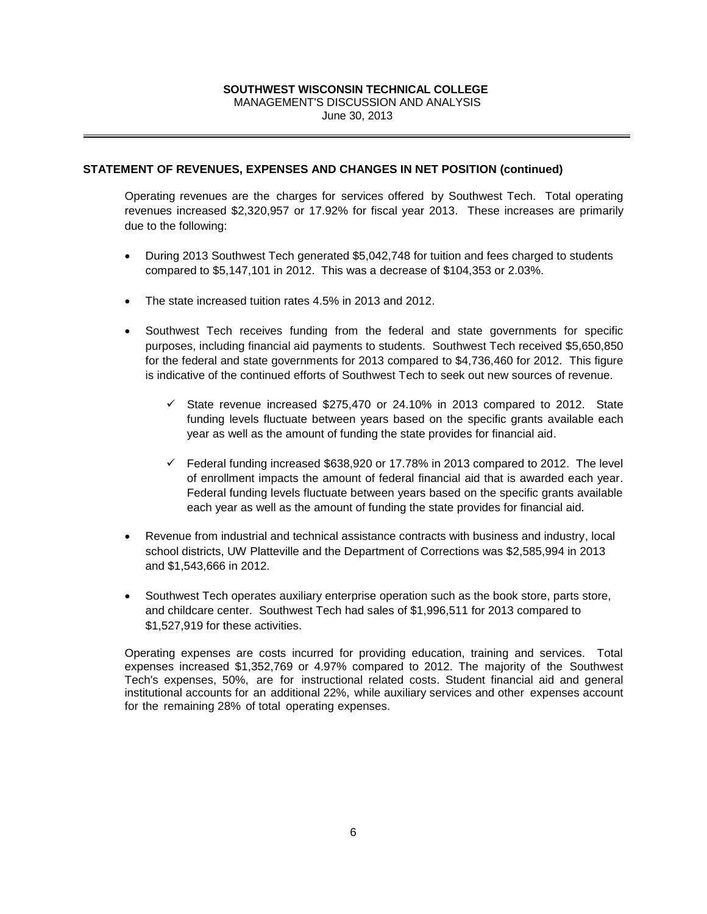MANAGEMENT'S DISCUSSION AND ANALYSIS

June 30, 2013

## **STATEMENT OF REVENUES, EXPENSES AND CHANGES IN NET POSITION (continued)**

Operating revenues are the charges for services offered by Southwest Tech. Total operating revenues increased \$2,320,957 or 17.92% for fiscal year 2013. These increases are primarily due to the following:

- During 2013 Southwest Tech generated \$5,042,748 for tuition and fees charged to students compared to \$5,147,101 in 2012. This was a decrease of \$104,353 or 2.03%.
- The state increased tuition rates 4.5% in 2013 and 2012.
- Southwest Tech receives funding from the federal and state governments for specific purposes, including financial aid payments to students. Southwest Tech received \$5,650,850 for the federal and state governments for 2013 compared to \$4,736,460 for 2012. This figure is indicative of the continued efforts of Southwest Tech to seek out new sources of revenue.
	- $\checkmark$  State revenue increased \$275,470 or 24.10% in 2013 compared to 2012. State funding levels fluctuate between years based on the specific grants available each year as well as the amount of funding the state provides for financial aid.
	- $\checkmark$  Federal funding increased \$638,920 or 17.78% in 2013 compared to 2012. The level of enrollment impacts the amount of federal financial aid that is awarded each year. Federal funding levels fluctuate between years based on the specific grants available each year as well as the amount of funding the state provides for financial aid.
- Revenue from industrial and technical assistance contracts with business and industry, local school districts, UW Platteville and the Department of Corrections was \$2,585,994 in 2013 and \$1,543,666 in 2012.
- Southwest Tech operates auxiliary enterprise operation such as the book store, parts store, and childcare center. Southwest Tech had sales of \$1,996,511 for 2013 compared to \$1,527,919 for these activities.

Operating expenses are costs incurred for providing education, training and services. Total expenses increased \$1,352,769 or 4.97% compared to 2012. The majority of the Southwest Tech's expenses, 50%, are for instructional related costs. Student financial aid and general institutional accounts for an additional 22%, while auxiliary services and other expenses account for the remaining 28% of total operating expenses.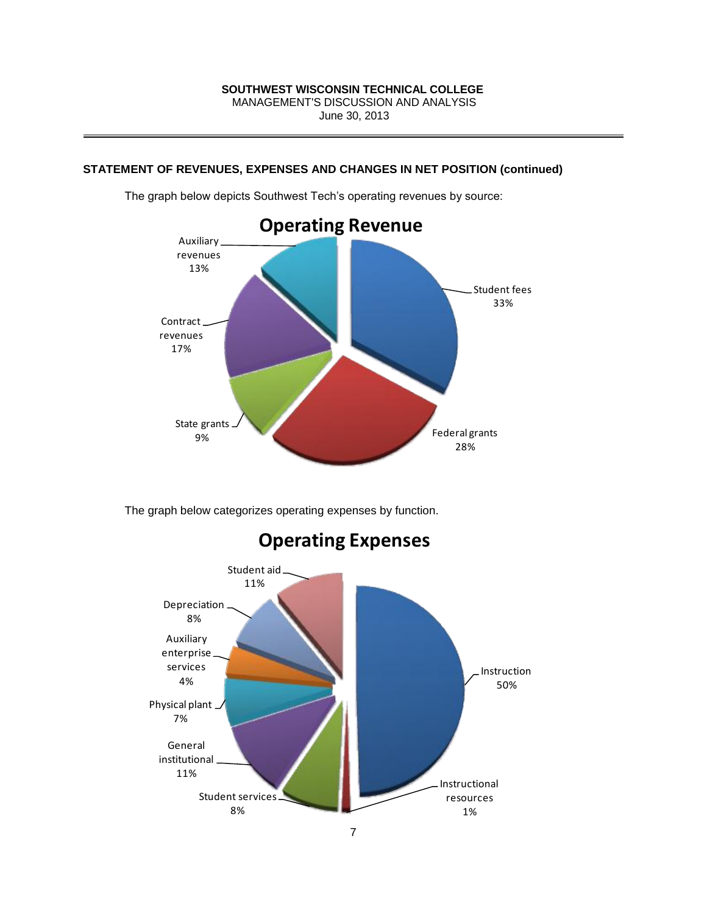## **STATEMENT OF REVENUES, EXPENSES AND CHANGES IN NET POSITION (continued)**



The graph below depicts Southwest Tech's operating revenues by source:

The graph below categorizes operating expenses by function.



# **Operating Expenses**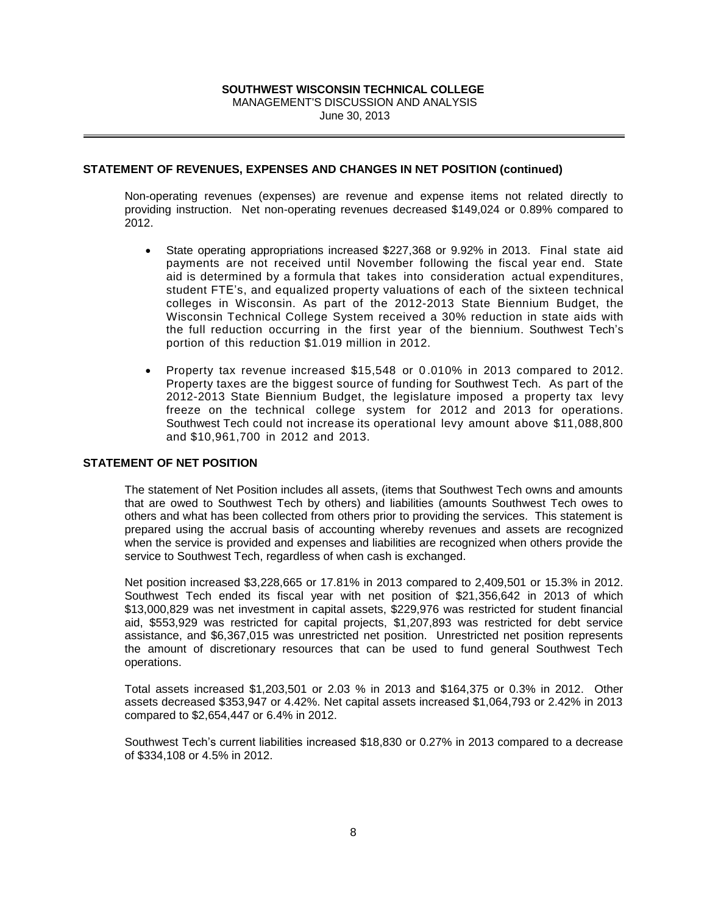## **SOUTHWEST WISCONSIN TECHNICAL COLLEGE**  MANAGEMENT'S DISCUSSION AND ANALYSIS

June 30, 2013

## **STATEMENT OF REVENUES, EXPENSES AND CHANGES IN NET POSITION (continued)**

Non-operating revenues (expenses) are revenue and expense items not related directly to providing instruction. Net non-operating revenues decreased \$149,024 or 0.89% compared to 2012.

- State operating appropriations increased \$227,368 or 9.92% in 2013. Final state aid payments are not received until November following the fiscal year end. State aid is determined by a formula that takes into consideration actual expenditures, student FTE's, and equalized property valuations of each of the sixteen technical colleges in Wisconsin. As part of the 2012-2013 State Biennium Budget, the Wisconsin Technical College System received a 30% reduction in state aids with the full reduction occurring in the first year of the biennium. Southwest Tech's portion of this reduction \$1.019 million in 2012.
- Property tax revenue increased \$15,548 or 0 .010% in 2013 compared to 2012. Property taxes are the biggest source of funding for Southwest Tech. As part of the 2012-2013 State Biennium Budget, the legislature imposed a property tax levy freeze on the technical college system for 2012 and 2013 for operations. Southwest Tech could not increase its operational levy amount above \$11,088,800 and \$10,961,700 in 2012 and 2013.

## **STATEMENT OF NET POSITION**

The statement of Net Position includes all assets, (items that Southwest Tech owns and amounts that are owed to Southwest Tech by others) and liabilities (amounts Southwest Tech owes to others and what has been collected from others prior to providing the services. This statement is prepared using the accrual basis of accounting whereby revenues and assets are recognized when the service is provided and expenses and liabilities are recognized when others provide the service to Southwest Tech, regardless of when cash is exchanged.

Net position increased \$3,228,665 or 17.81% in 2013 compared to 2,409,501 or 15.3% in 2012. Southwest Tech ended its fiscal year with net position of \$21,356,642 in 2013 of which \$13,000,829 was net investment in capital assets, \$229,976 was restricted for student financial aid, \$553,929 was restricted for capital projects, \$1,207,893 was restricted for debt service assistance, and \$6,367,015 was unrestricted net position. Unrestricted net position represents the amount of discretionary resources that can be used to fund general Southwest Tech operations.

Total assets increased \$1,203,501 or 2.03 % in 2013 and \$164,375 or 0.3% in 2012. Other assets decreased \$353,947 or 4.42%. Net capital assets increased \$1,064,793 or 2.42% in 2013 compared to \$2,654,447 or 6.4% in 2012.

Southwest Tech's current liabilities increased \$18,830 or 0.27% in 2013 compared to a decrease of \$334,108 or 4.5% in 2012.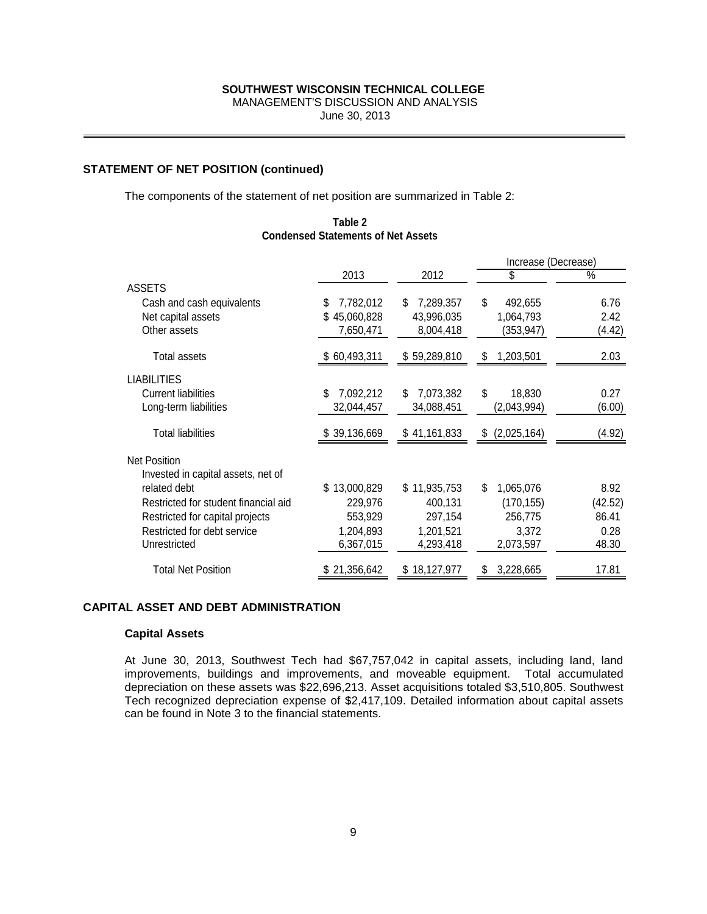MANAGEMENT'S DISCUSSION AND ANALYSIS

June 30, 2013

**Table 2 Condensed Statements of Net Assets**

## **STATEMENT OF NET POSITION (continued)**

The components of the statement of net position are summarized in Table 2:

|                                      |                 |                 | Increase (Decrease) |         |
|--------------------------------------|-----------------|-----------------|---------------------|---------|
|                                      | 2013            | 2012            | \$                  | %       |
| <b>ASSETS</b>                        |                 |                 |                     |         |
| Cash and cash equivalents            | 7,782,012<br>\$ | 7,289,357<br>S  | \$<br>492,655       | 6.76    |
| Net capital assets                   | \$45,060,828    | 43,996,035      | 1,064,793           | 2.42    |
| Other assets                         | 7,650,471       | 8,004,418       | (353,947)           | (4.42)  |
| Total assets                         | \$60,493,311    | \$59,289,810    | \$<br>1,203,501     | 2.03    |
|                                      |                 |                 |                     |         |
| <b>LIABILITIES</b>                   |                 |                 |                     |         |
| <b>Current liabilities</b>           | 7,092,212<br>S  | 7,073,382<br>S  | \$<br>18,830        | 0.27    |
| Long-term liabilities                | 32,044,457      | 34,088,451      | (2,043,994)         | (6.00)  |
| <b>Total liabilities</b>             | 39,136,669<br>S | \$41,161,833    | \$<br>(2,025,164)   | (4.92)  |
| <b>Net Position</b>                  |                 |                 |                     |         |
| Invested in capital assets, net of   |                 |                 |                     |         |
| related debt                         | \$13,000,829    | \$11,935,753    | \$<br>1,065,076     | 8.92    |
| Restricted for student financial aid | 229,976         | 400,131         | (170, 155)          | (42.52) |
| Restricted for capital projects      | 553,929         | 297,154         | 256,775             | 86.41   |
| Restricted for debt service          | 1,204,893       | 1.201.521       | 3.372               | 0.28    |
| Unrestricted                         | 6,367,015       | 4,293,418       | 2,073,597           | 48.30   |
| <b>Total Net Position</b>            | \$21,356,642    | 18,127,977<br>S | 3,228,665<br>S      | 17.81   |

## **CAPITAL ASSET AND DEBT ADMINISTRATION**

#### **Capital Assets**

At June 30, 2013, Southwest Tech had \$67,757,042 in capital assets, including land, land improvements, buildings and improvements, and moveable equipment. Total accumulated depreciation on these assets was \$22,696,213. Asset acquisitions totaled \$3,510,805. Southwest Tech recognized depreciation expense of \$2,417,109. Detailed information about capital assets can be found in Note 3 to the financial statements.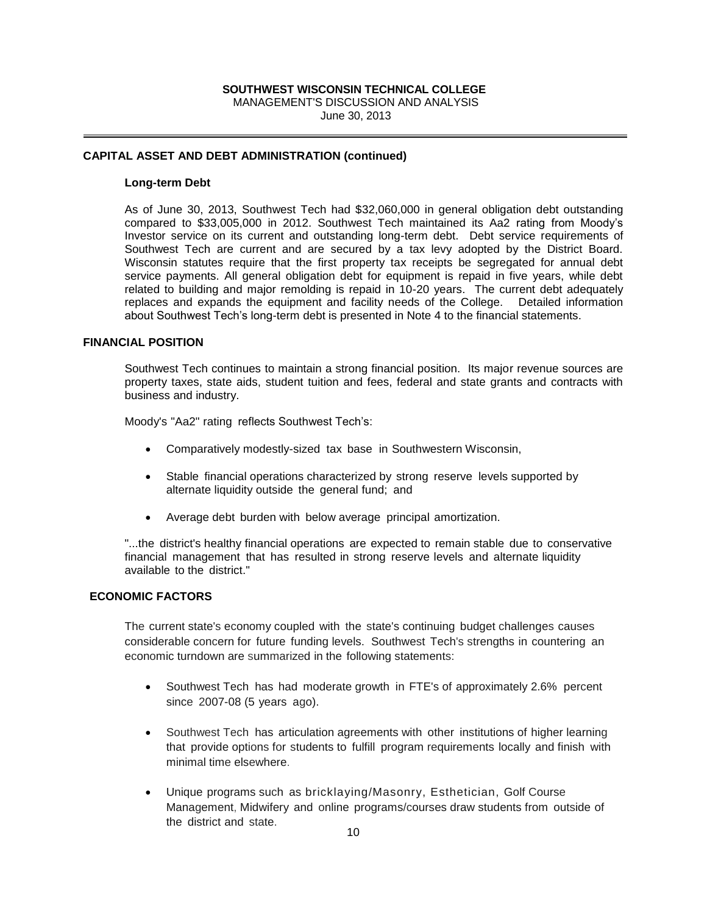MANAGEMENT'S DISCUSSION AND ANALYSIS June 30, 2013

### **CAPITAL ASSET AND DEBT ADMINISTRATION (continued)**

#### **Long-term Debt**

**SOUTHWEST WISCONSINT TECHNICAL COLLEGE**<br> **SOUTHWEST WISCONSISION AND ANALYSIS**<br> **June 30, 2013**<br> **June 30, 2013**<br> **June 30, 2013**<br> **JUNE TRIMINISTRATION (continued)**<br> **TOD**<br> **SOUTHWEST TECHNICAL SOUTHERNER (CONSITE THEM)** As of June 30, 2013, Southwest Tech had \$32,060,000 in general obligation debt outstanding compared to \$33,005,000 in 2012. Southwest Tech maintained its Aa2 rating from Moody's Investor service on its current and outstanding long-term debt. Debt service requirements of Southwest Tech are current and are secured by a tax levy adopted by the District Board. Wisconsin statutes require that the first property tax receipts be segregated for annual debt service payments. All general obligation debt for equipment is repaid in five years, while debt related to building and major remolding is repaid in 10-20 years. The current debt adequately replaces and expands the equipment and facility needs of the College. Detailed information about Southwest Tech's long-term debt is presented in Note 4 to the financial statements.

## **FINANCIAL POSITION**

Southwest Tech continues to maintain a strong financial position. Its major revenue sources are property taxes, state aids, student tuition and fees, federal and state grants and contracts with business and industry.

Moody's "Aa2" rating reflects Southwest Tech's:

- Comparatively modestly-sized tax base in Southwestern Wisconsin,
- Stable financial operations characterized by strong reserve levels supported by alternate liquidity outside the general fund; and
- Average debt burden with below average principal amortization.

"...the district's healthy financial operations are expected to remain stable due to conservative financial management that has resulted in strong reserve levels and alternate liquidity available to the district."

## **ECONOMIC FACTORS**

The current state's economy coupled with the state's continuing budget challenges causes considerable concern for future funding levels. Southwest Tech's strengths in countering an economic turndown are summarized in the following statements:

- Southwest Tech has had moderate growth in FTE's of approximately 2.6% percent since 2007-08 (5 years ago).
- Southwest Tech has articulation agreements with other institutions of higher learning that provide options for students to fulfill program requirements locally and finish with minimal time elsewhere.
- Unique programs such as bricklaying/Masonry, Esthetician, Golf Course Management, Midwifery and online programs/courses draw students from outside of the district and state.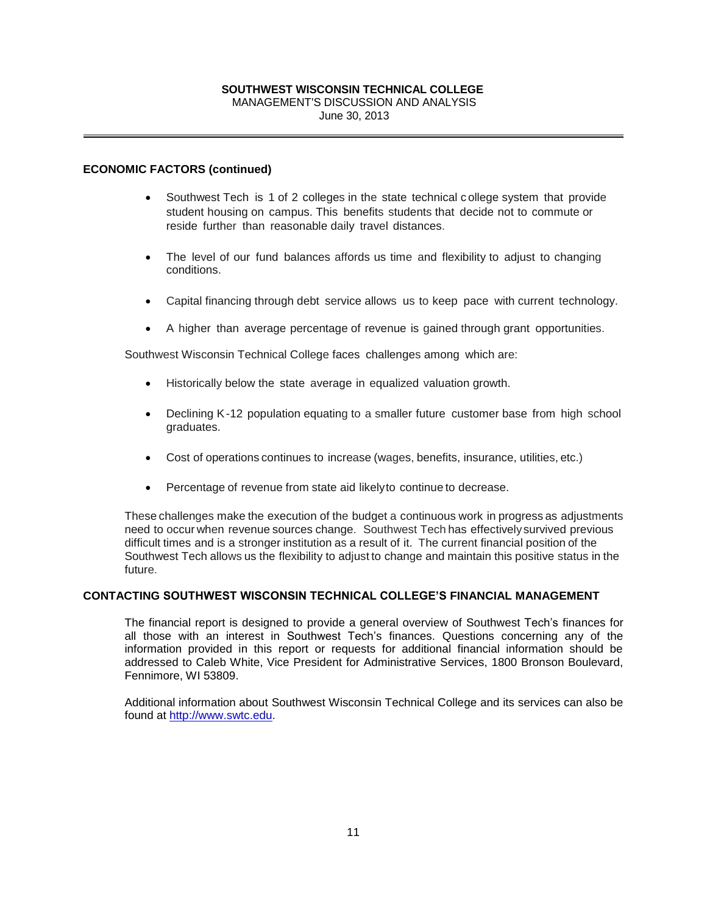# MANAGEMENT'S DISCUSSION AND ANALYSIS June 30, 2013

## **ECONOMIC FACTORS (continued)**

- Southwest Tech is 1 of 2 colleges in the state technical c ollege system that provide student housing on campus. This benefits students that decide not to commute or reside further than reasonable daily travel distances.
- The level of our fund balances affords us time and flexibility to adjust to changing conditions.
- Capital financing through debt service allows us to keep pace with current technology.
- A higher than average percentage of revenue is gained through grant opportunities.

Southwest Wisconsin Technical College faces challenges among which are:

- Historically below the state average in equalized valuation growth.
- Declining K-12 population equating to a smaller future customer base from high school graduates.
- Cost of operations continues to increase (wages, benefits, insurance, utilities, etc.)
- Percentage of revenue from state aid likelyto continue to decrease.

**SOUTHWEST WISCONSIN TECHNICAL COLLEGE**<br>
MANAGEMENTS DISCUSSION AND ANALYSIS<br>
June 30, 2013<br> **The manual Constant Constant Constant Constant Constant Constant Constant Constant Constant Constant Constant Constant Constant** These challenges make the execution of the budget a continuous work in progress as adjustments need to occur when revenue sources change. Southwest Tech has effectivelysurvived previous difficult times and is a stronger institution as a result of it. The current financial position of the Southwest Tech allows us the flexibility to adjust to change and maintain this positive status in the future.

## **CONTACTING SOUTHWEST WISCONSIN TECHNICAL COLLEGE'S FINANCIAL MANAGEMENT**

The financial report is designed to provide a general overview of Southwest Tech's finances for all those with an interest in Southwest Tech's finances. Questions concerning any of the information provided in this report or requests for additional financial information should be addressed to Caleb White, Vice President for Administrative Services, 1800 Bronson Boulevard, Fennimore, WI 53809.

Additional information about Southwest Wisconsin Technical College and its services can also be found at [http://www.swtc.edu.](http://www.swtc.edu/)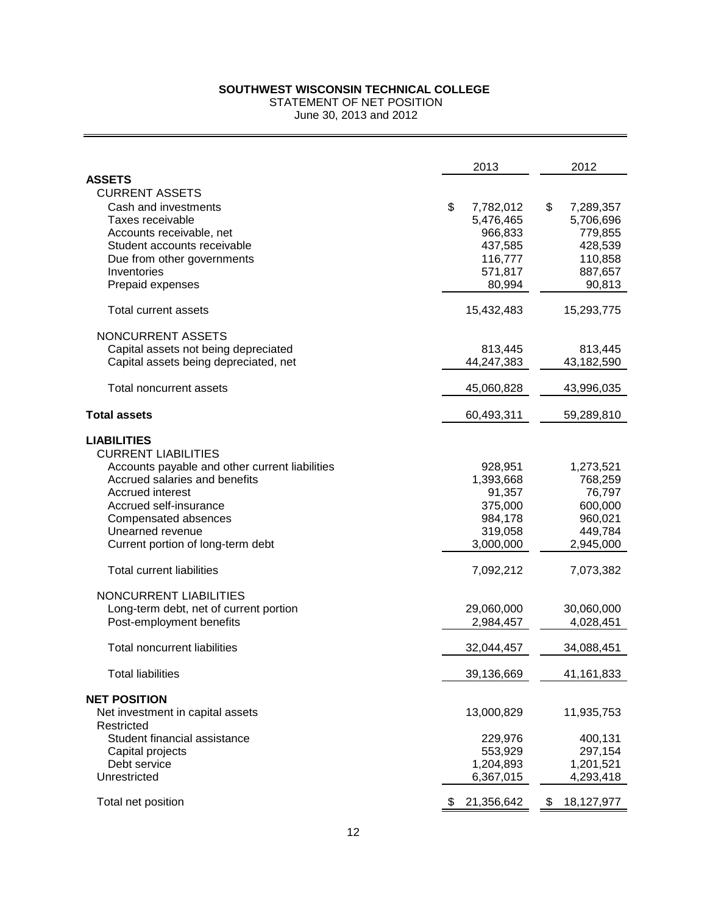| SOUTHWEST WISCONSIN TECHNICAL COLLEGE<br>STATEMENT OF NET POSITION |                  |                  |  |  |  |  |
|--------------------------------------------------------------------|------------------|------------------|--|--|--|--|
| June 30, 2013 and 2012                                             |                  |                  |  |  |  |  |
|                                                                    | 2013             | 2012             |  |  |  |  |
| <b>ASSETS</b>                                                      |                  |                  |  |  |  |  |
| <b>CURRENT ASSETS</b>                                              |                  |                  |  |  |  |  |
| Cash and investments                                               | \$<br>7,782,012  | \$<br>7,289,357  |  |  |  |  |
| Taxes receivable                                                   | 5,476,465        | 5,706,696        |  |  |  |  |
| Accounts receivable, net                                           | 966,833          | 779,855          |  |  |  |  |
| Student accounts receivable                                        | 437,585          | 428,539          |  |  |  |  |
| Due from other governments                                         | 116,777          | 110,858          |  |  |  |  |
| Inventories                                                        | 571,817          | 887,657          |  |  |  |  |
| Prepaid expenses                                                   | 80,994           | 90,813           |  |  |  |  |
| Total current assets                                               | 15,432,483       | 15,293,775       |  |  |  |  |
| NONCURRENT ASSETS                                                  |                  |                  |  |  |  |  |
| Capital assets not being depreciated                               | 813,445          | 813,445          |  |  |  |  |
| Capital assets being depreciated, net                              | 44,247,383       | 43,182,590       |  |  |  |  |
| Total noncurrent assets                                            | 45,060,828       | 43,996,035       |  |  |  |  |
| <b>Total assets</b>                                                | 60,493,311       | 59,289,810       |  |  |  |  |
| <b>LIABILITIES</b>                                                 |                  |                  |  |  |  |  |
| <b>CURRENT LIABILITIES</b>                                         |                  |                  |  |  |  |  |
| Accounts payable and other current liabilities                     | 928,951          | 1,273,521        |  |  |  |  |
| Accrued salaries and benefits                                      | 1,393,668        | 768,259          |  |  |  |  |
| Accrued interest                                                   | 91,357           | 76,797           |  |  |  |  |
| Accrued self-insurance                                             | 375,000          | 600,000          |  |  |  |  |
| Compensated absences                                               | 984,178          | 960,021          |  |  |  |  |
| Unearned revenue                                                   | 319,058          | 449,784          |  |  |  |  |
| Current portion of long-term debt                                  | 3,000,000        | 2,945,000        |  |  |  |  |
| <b>Total current liabilities</b>                                   | 7,092,212        | 7,073,382        |  |  |  |  |
| NONCURRENT LIABILITIES                                             |                  |                  |  |  |  |  |
| Long-term debt, net of current portion                             | 29,060,000       | 30,060,000       |  |  |  |  |
| Post-employment benefits                                           | 2,984,457        | 4,028,451        |  |  |  |  |
| <b>Total noncurrent liabilities</b>                                | 32,044,457       | 34,088,451       |  |  |  |  |
| <b>Total liabilities</b>                                           | 39,136,669       | 41,161,833       |  |  |  |  |
| <b>NET POSITION</b>                                                |                  |                  |  |  |  |  |
| Net investment in capital assets                                   | 13,000,829       | 11,935,753       |  |  |  |  |
| Restricted                                                         |                  |                  |  |  |  |  |
| Student financial assistance                                       | 229,976          | 400,131          |  |  |  |  |
| Capital projects                                                   | 553,929          | 297,154          |  |  |  |  |
| Debt service                                                       | 1,204,893        | 1,201,521        |  |  |  |  |
| Unrestricted                                                       | 6,367,015        | 4,293,418        |  |  |  |  |
| Total net position                                                 | 21,356,642<br>æ. | 18,127,977<br>\$ |  |  |  |  |
| 12                                                                 |                  |                  |  |  |  |  |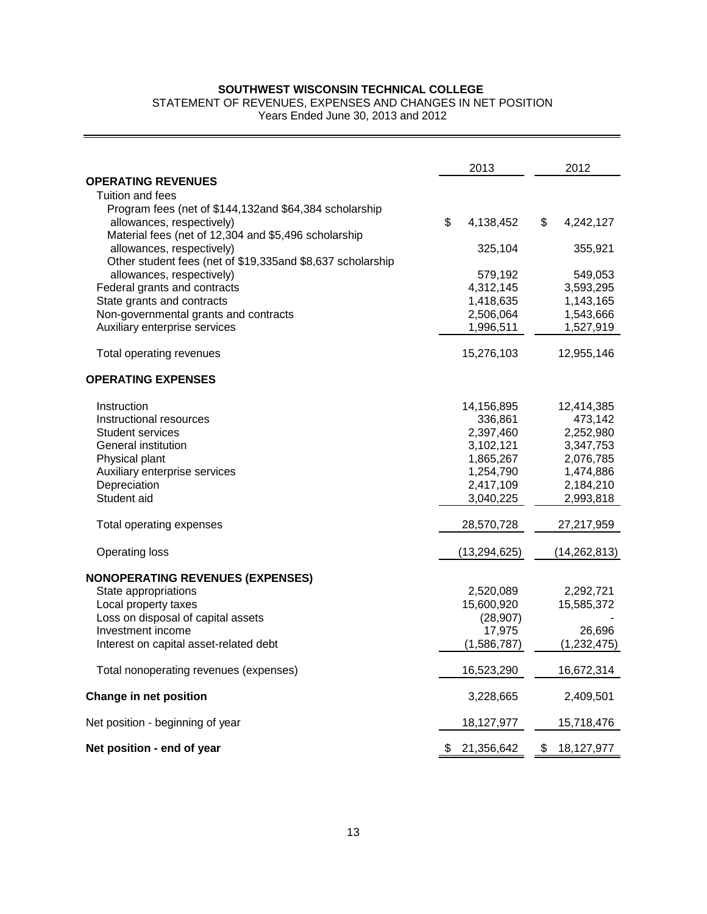## STATEMENT OF REVENUES, EXPENSES AND CHANGES IN NET POSITION

| SOUTHWEST WISCONSIN TECHNICAL COLLEGE<br>STATEMENT OF REVENUES, EXPENSES AND CHANGES IN NET POSITION<br>Years Ended June 30, 2013 and 2012 |                 |                  |
|--------------------------------------------------------------------------------------------------------------------------------------------|-----------------|------------------|
|                                                                                                                                            |                 |                  |
|                                                                                                                                            | 2013            | 2012             |
| <b>OPERATING REVENUES</b>                                                                                                                  |                 |                  |
| Tuition and fees                                                                                                                           |                 |                  |
| Program fees (net of \$144,132and \$64,384 scholarship<br>allowances, respectively)                                                        | \$<br>4,138,452 | \$<br>4,242,127  |
| Material fees (net of 12,304 and \$5,496 scholarship                                                                                       |                 |                  |
| allowances, respectively)                                                                                                                  | 325,104         | 355,921          |
| Other student fees (net of \$19,335and \$8,637 scholarship                                                                                 |                 |                  |
| allowances, respectively)                                                                                                                  | 579,192         | 549,053          |
| Federal grants and contracts                                                                                                               | 4,312,145       | 3,593,295        |
| State grants and contracts                                                                                                                 | 1,418,635       | 1,143,165        |
| Non-governmental grants and contracts                                                                                                      | 2,506,064       | 1,543,666        |
| Auxiliary enterprise services                                                                                                              | 1,996,511       | 1,527,919        |
| Total operating revenues                                                                                                                   | 15,276,103      | 12,955,146       |
| <b>OPERATING EXPENSES</b>                                                                                                                  |                 |                  |
| Instruction                                                                                                                                | 14,156,895      | 12,414,385       |
| Instructional resources                                                                                                                    | 336,861         | 473,142          |
| <b>Student services</b>                                                                                                                    | 2,397,460       | 2,252,980        |
| General institution                                                                                                                        | 3,102,121       | 3,347,753        |
| Physical plant                                                                                                                             | 1,865,267       | 2,076,785        |
| Auxiliary enterprise services                                                                                                              | 1,254,790       | 1,474,886        |
| Depreciation                                                                                                                               | 2,417,109       | 2,184,210        |
| Student aid                                                                                                                                | 3,040,225       | 2,993,818        |
| Total operating expenses                                                                                                                   | 28,570,728      | 27,217,959       |
| <b>Operating loss</b>                                                                                                                      | (13, 294, 625)  | (14, 262, 813)   |
| <b>NONOPERATING REVENUES (EXPENSES)</b>                                                                                                    |                 |                  |
| State appropriations                                                                                                                       | 2,520,089       | 2,292,721        |
| Local property taxes                                                                                                                       | 15,600,920      | 15,585,372       |
| Loss on disposal of capital assets                                                                                                         | (28, 907)       |                  |
| Investment income                                                                                                                          | 17,975          | 26,696           |
| Interest on capital asset-related debt                                                                                                     | (1,586,787)     | (1,232,475)      |
| Total nonoperating revenues (expenses)                                                                                                     | 16,523,290      | 16,672,314       |
| Change in net position                                                                                                                     | 3,228,665       | 2,409,501        |
| Net position - beginning of year                                                                                                           | 18,127,977      | 15,718,476       |
| Net position - end of year                                                                                                                 | 21,356,642      | \$<br>18,127,977 |
| 13                                                                                                                                         |                 |                  |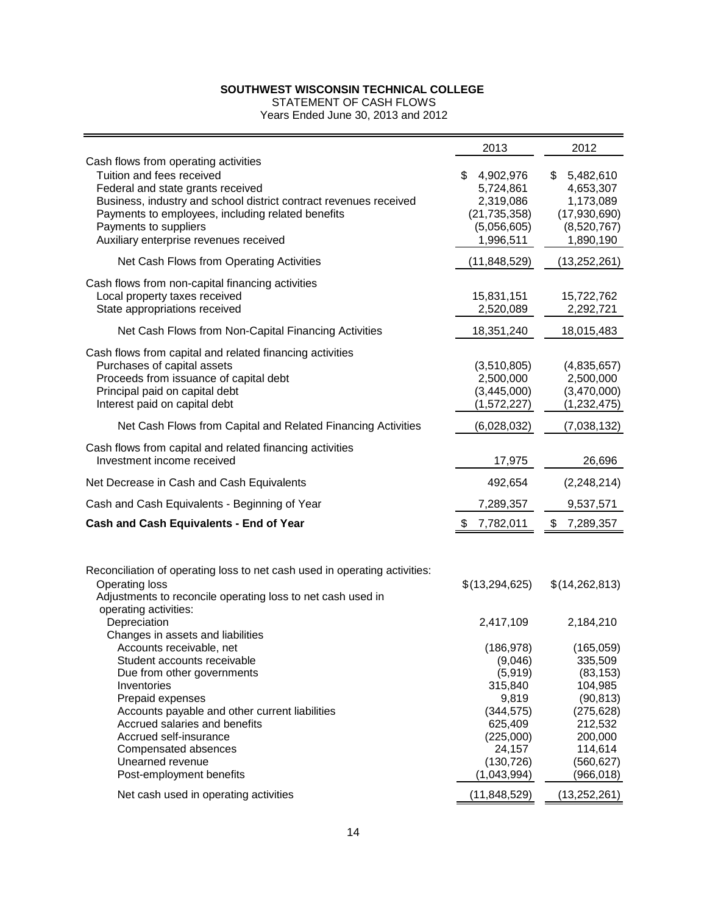| SOUTHWEST WISCONSIN TECHNICAL COLLEGE<br><b>STATEMENT OF CASH FLOWS</b><br>Years Ended June 30, 2013 and 2012                                                                                                                                                                                                                                          |                                                                                                                                                   |                                                                                                                                                        |
|--------------------------------------------------------------------------------------------------------------------------------------------------------------------------------------------------------------------------------------------------------------------------------------------------------------------------------------------------------|---------------------------------------------------------------------------------------------------------------------------------------------------|--------------------------------------------------------------------------------------------------------------------------------------------------------|
|                                                                                                                                                                                                                                                                                                                                                        | 2013                                                                                                                                              | 2012                                                                                                                                                   |
| Cash flows from operating activities<br>Tuition and fees received<br>Federal and state grants received<br>Business, industry and school district contract revenues received<br>Payments to employees, including related benefits<br>Payments to suppliers<br>Auxiliary enterprise revenues received                                                    | \$.<br>4,902,976<br>5,724,861<br>2,319,086<br>(21, 735, 358)<br>(5,056,605)<br>1,996,511                                                          | 5,482,610<br>\$<br>4,653,307<br>1,173,089<br>(17,930,690)<br>(8,520,767)<br>1,890,190                                                                  |
| Net Cash Flows from Operating Activities                                                                                                                                                                                                                                                                                                               | (11, 848, 529)                                                                                                                                    | (13, 252, 261)                                                                                                                                         |
| Cash flows from non-capital financing activities<br>Local property taxes received<br>State appropriations received                                                                                                                                                                                                                                     | 15,831,151<br>2,520,089                                                                                                                           | 15,722,762<br>2,292,721                                                                                                                                |
| Net Cash Flows from Non-Capital Financing Activities                                                                                                                                                                                                                                                                                                   | 18,351,240                                                                                                                                        | 18,015,483                                                                                                                                             |
| Cash flows from capital and related financing activities<br>Purchases of capital assets<br>Proceeds from issuance of capital debt<br>Principal paid on capital debt<br>Interest paid on capital debt                                                                                                                                                   | (3,510,805)<br>2,500,000<br>(3,445,000)<br>(1,572,227)                                                                                            | (4,835,657)<br>2,500,000<br>(3,470,000)<br>(1, 232, 475)                                                                                               |
| Net Cash Flows from Capital and Related Financing Activities                                                                                                                                                                                                                                                                                           | (6,028,032)                                                                                                                                       | (7,038,132)                                                                                                                                            |
| Cash flows from capital and related financing activities<br>Investment income received                                                                                                                                                                                                                                                                 | 17,975                                                                                                                                            | 26,696                                                                                                                                                 |
| Net Decrease in Cash and Cash Equivalents                                                                                                                                                                                                                                                                                                              | 492,654                                                                                                                                           | (2,248,214)                                                                                                                                            |
| Cash and Cash Equivalents - Beginning of Year                                                                                                                                                                                                                                                                                                          | 7,289,357                                                                                                                                         | 9,537,571                                                                                                                                              |
| <b>Cash and Cash Equivalents - End of Year</b>                                                                                                                                                                                                                                                                                                         | 7,782,011<br>\$                                                                                                                                   | 7,289,357<br>\$                                                                                                                                        |
| Reconciliation of operating loss to net cash used in operating activities:<br><b>Operating loss</b><br>Adjustments to reconcile operating loss to net cash used in<br>operating activities:<br>Depreciation                                                                                                                                            | \$(13,294,625)                                                                                                                                    | \$(14,262,813)                                                                                                                                         |
| Changes in assets and liabilities                                                                                                                                                                                                                                                                                                                      | 2,417,109                                                                                                                                         | 2,184,210                                                                                                                                              |
| Accounts receivable, net<br>Student accounts receivable<br>Due from other governments<br>Inventories<br>Prepaid expenses<br>Accounts payable and other current liabilities<br>Accrued salaries and benefits<br>Accrued self-insurance<br>Compensated absences<br>Unearned revenue<br>Post-employment benefits<br>Net cash used in operating activities | (186, 978)<br>(9,046)<br>(5,919)<br>315,840<br>9,819<br>(344, 575)<br>625,409<br>(225,000)<br>24,157<br>(130, 726)<br>(1,043,994)<br>(11,848,529) | (165,059)<br>335,509<br>(83, 153)<br>104,985<br>(90, 813)<br>(275, 628)<br>212,532<br>200,000<br>114,614<br>(560, 627)<br>(966, 018)<br>(13, 252, 261) |
| 14                                                                                                                                                                                                                                                                                                                                                     |                                                                                                                                                   |                                                                                                                                                        |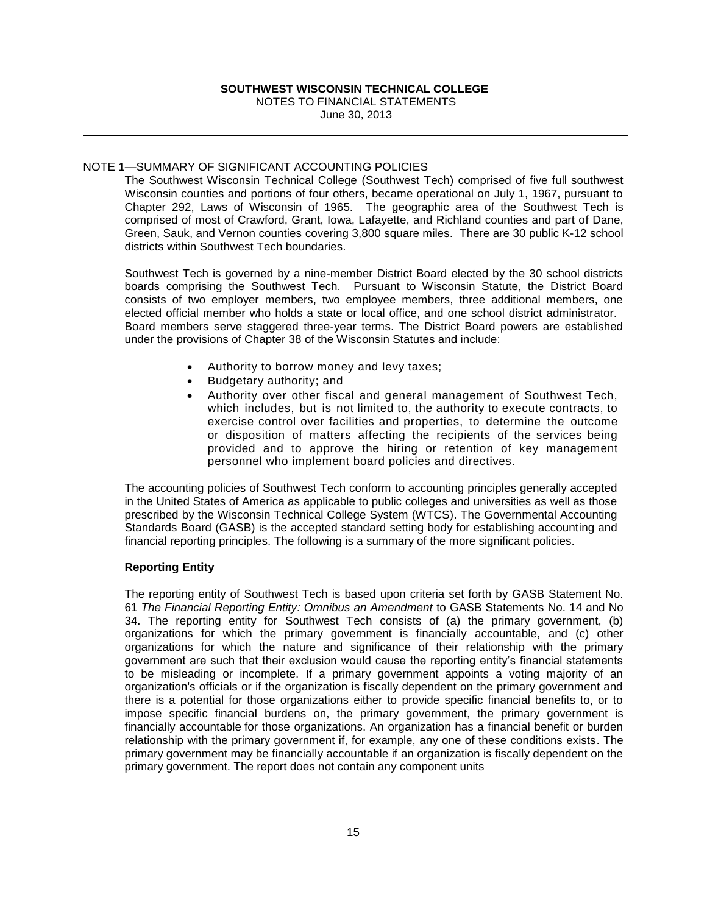## NOTE 1—SUMMARY OF SIGNIFICANT ACCOUNTING POLICIES

The Southwest Wisconsin Technical College (Southwest Tech) comprised of five full southwest Wisconsin counties and portions of four others, became operational on July 1, 1967, pursuant to Chapter 292, Laws of Wisconsin of 1965. The geographic area of the Southwest Tech is comprised of most of Crawford, Grant, Iowa, Lafayette, and Richland counties and part of Dane, Green, Sauk, and Vernon counties covering 3,800 square miles. There are 30 public K-12 school districts within Southwest Tech boundaries.

Southwest Tech is governed by a nine-member District Board elected by the 30 school districts boards comprising the Southwest Tech. Pursuant to Wisconsin Statute, the District Board consists of two employer members, two employee members, three additional members, one elected official member who holds a state or local office, and one school district administrator. Board members serve staggered three-year terms. The District Board powers are established under the provisions of Chapter 38 of the Wisconsin Statutes and include:

- Authority to borrow money and levy taxes;
- Budgetary authority; and
- Authority over other fiscal and general management of Southwest Tech, which includes, but is not limited to, the authority to execute contracts, to exercise control over facilities and properties, to determine the outcome or disposition of matters affecting the recipients of the services being provided and to approve the hiring or retention of key management personnel who implement board policies and directives.

The accounting policies of Southwest Tech conform to accounting principles generally accepted in the United States of America as applicable to public colleges and universities as well as those prescribed by the Wisconsin Technical College System (WTCS). The Governmental Accounting Standards Board (GASB) is the accepted standard setting body for establishing accounting and financial reporting principles. The following is a summary of the more significant policies.

## **Reporting Entity**

**SOUTHWEST WESCONSIN TECHNICAL COLLEGE**<br>
NOTES TO FINANCIAL STATEMENTS<br>
NOTES TO FINANCIAL STATEMENTS<br>
SIGNIFICANT ACCOUNTING POLICIES<br>
SIGNIFICANT ACCOUNTING POLICIES<br>
SIGNIFICANT ACCOUNTING POLICIES<br>
Son Wissonsin Techni The reporting entity of Southwest Tech is based upon criteria set forth by GASB Statement No. 61 *The Financial Reporting Entity: Omnibus an Amendment* to GASB Statements No. 14 and No 34. The reporting entity for Southwest Tech consists of (a) the primary government, (b) organizations for which the primary government is financially accountable, and (c) other organizations for which the nature and significance of their relationship with the primary government are such that their exclusion would cause the reporting entity's financial statements to be misleading or incomplete. If a primary government appoints a voting majority of an organization's officials or if the organization is fiscally dependent on the primary government and there is a potential for those organizations either to provide specific financial benefits to, or to impose specific financial burdens on, the primary government, the primary government is financially accountable for those organizations. An organization has a financial benefit or burden relationship with the primary government if, for example, any one of these conditions exists. The primary government may be financially accountable if an organization is fiscally dependent on the primary government. The report does not contain any component units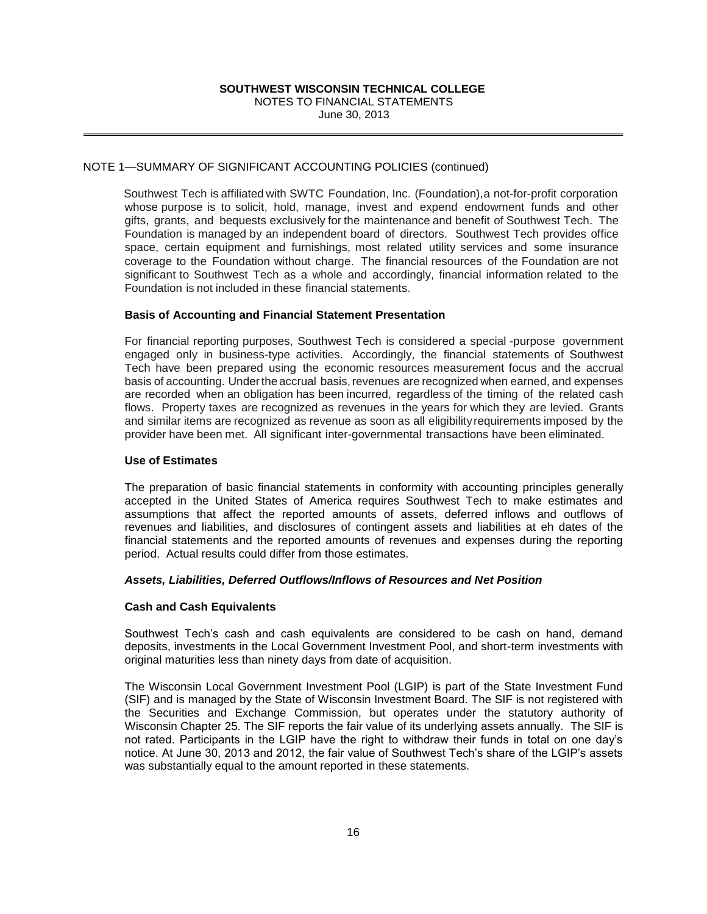## NOTE 1—SUMMARY OF SIGNIFICANT ACCOUNTING POLICIES (continued)

**SOUTHWEST WISCONSINT TECHNICAL COLLEGE<br>
NOTES TO FINANCIAL STATEMENTS<br>
SIGNIFICANT ACCOUNTING POLICIES (continued)**<br> **SIGNIFICANT** ACCOUNTING POLICIES (continued)<br> **Affliated with SWTC** Foundation, Inc. (Foundation), a<br>
t Southwest Tech is affiliated with SWTC Foundation, Inc. (Foundation),a not-for-profit corporation whose purpose is to solicit, hold, manage, invest and expend endowment funds and other gifts, grants, and bequests exclusively for the maintenance and benefit of Southwest Tech. The Foundation is managed by an independent board of directors. Southwest Tech provides office space, certain equipment and furnishings, most related utility services and some insurance coverage to the Foundation without charge. The financial resources of the Foundation are not significant to Southwest Tech as a whole and accordingly, financial information related to the Foundation is not included in these financial statements.

## **Basis of Accounting and Financial Statement Presentation**

For financial reporting purposes, Southwest Tech is considered a special -purpose government engaged only in business-type activities. Accordingly, the financial statements of Southwest Tech have been prepared using the economic resources measurement focus and the accrual basis of accounting. Under the accrual basis, revenues are recognized when earned, and expenses are recorded when an obligation has been incurred, regardless of the timing of the related cash flows. Property taxes are recognized as revenues in the years for which they are levied. Grants and similar items are recognized as revenue as soon as all eligibilityrequirements imposed by the provider have been met. All significant inter-governmental transactions have been eliminated.

## **Use of Estimates**

The preparation of basic financial statements in conformity with accounting principles generally accepted in the United States of America requires Southwest Tech to make estimates and assumptions that affect the reported amounts of assets, deferred inflows and outflows of revenues and liabilities, and disclosures of contingent assets and liabilities at eh dates of the financial statements and the reported amounts of revenues and expenses during the reporting period. Actual results could differ from those estimates.

## *Assets, Liabilities, Deferred Outflows/Inflows of Resources and Net Position*

## **Cash and Cash Equivalents**

Southwest Tech's cash and cash equivalents are considered to be cash on hand, demand deposits, investments in the Local Government Investment Pool, and short-term investments with original maturities less than ninety days from date of acquisition.

The Wisconsin Local Government Investment Pool (LGIP) is part of the State Investment Fund (SIF) and is managed by the State of Wisconsin Investment Board. The SIF is not registered with the Securities and Exchange Commission, but operates under the statutory authority of Wisconsin Chapter 25. The SIF reports the fair value of its underlying assets annually. The SIF is not rated. Participants in the LGIP have the right to withdraw their funds in total on one day's notice. At June 30, 2013 and 2012, the fair value of Southwest Tech's share of the LGIP's assets was substantially equal to the amount reported in these statements.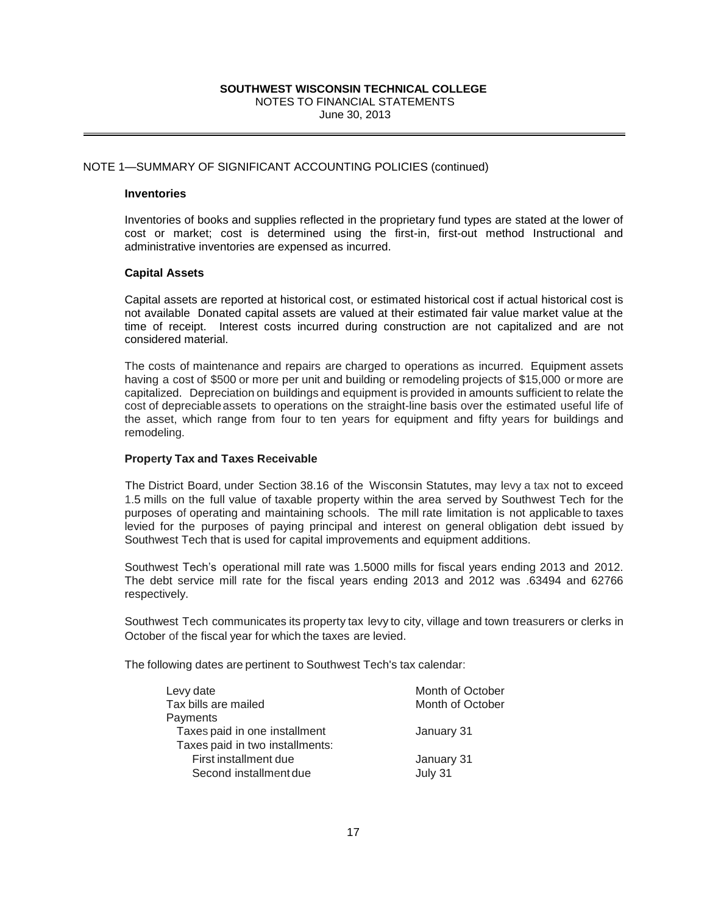## NOTE 1—SUMMARY OF SIGNIFICANT ACCOUNTING POLICIES (continued)

### **Inventories**

Inventories of books and supplies reflected in the proprietary fund types are stated at the lower of cost or market; cost is determined using the first-in, first-out method Instructional and administrative inventories are expensed as incurred.

## **Capital Assets**

Capital assets are reported at historical cost, or estimated historical cost if actual historical cost is not available Donated capital assets are valued at their estimated fair value market value at the time of receipt. Interest costs incurred during construction are not capitalized and are not considered material.

The costs of maintenance and repairs are charged to operations as incurred. Equipment assets having a cost of \$500 or more per unit and building or remodeling projects of \$15,000 or more are capitalized. Depreciation on buildings and equipment is provided in amounts sufficient to relate the cost of depreciableassets to operations on the straight-line basis over the estimated useful life of the asset, which range from four to ten years for equipment and fifty years for buildings and remodeling.

## **Property Tax and Taxes Receivable**

The District Board, under Section 38.16 of the Wisconsin Statutes, may levy a tax not to exceed 1.5 mills on the full value of taxable property within the area served by Southwest Tech for the purposes of operating and maintaining schools. The mill rate limitation is not applicable to taxes levied for the purposes of paying principal and interest on general obligation debt issued by Southwest Tech that is used for capital improvements and equipment additions.

Southwest Tech's operational mill rate was 1.5000 mills for fiscal years ending 2013 and 2012. The debt service mill rate for the fiscal years ending 2013 and 2012 was .63494 and 62766 respectively.

Southwest Tech communicates its property tax levy to city, village and town treasurers or clerks in October of the fiscal year for which the taxes are levied.

The following dates are pertinent to Southwest Tech's tax calendar:

| SOUTHWEST WISCONSIN TECHNICAL COLLEGE<br>NOTES TO FINANCIAL STATEMENTS<br>June 30, 2013                                                                                                                                                                                                                                                                            |                                      |  |  |  |  |
|--------------------------------------------------------------------------------------------------------------------------------------------------------------------------------------------------------------------------------------------------------------------------------------------------------------------------------------------------------------------|--------------------------------------|--|--|--|--|
| <b>JARY OF SIGNIFICANT ACCOUNTING POLICIES (continued)</b>                                                                                                                                                                                                                                                                                                         |                                      |  |  |  |  |
| ries                                                                                                                                                                                                                                                                                                                                                               |                                      |  |  |  |  |
| ies of books and supplies reflected in the proprietary fund types ar<br>market; cost is determined using the first-in, first-out met<br>trative inventories are expensed as incurred.                                                                                                                                                                              |                                      |  |  |  |  |
| <b>Assets</b>                                                                                                                                                                                                                                                                                                                                                      |                                      |  |  |  |  |
| assets are reported at historical cost, or estimated historical cost if<br>lable Donated capital assets are valued at their estimated fair val<br>receipt. Interest costs incurred during construction are not ca<br>ed material.                                                                                                                                  |                                      |  |  |  |  |
| ts of maintenance and repairs are charged to operations as incuri<br>a cost of \$500 or more per unit and building or remodeling projects<br>ed. Depreciation on buildings and equipment is provided in amount<br>lepreciable assets to operations on the straight-line basis over the<br>et, which range from four to ten years for equipment and fifty y<br>ing. |                                      |  |  |  |  |
| y Tax and Taxes Receivable                                                                                                                                                                                                                                                                                                                                         |                                      |  |  |  |  |
| trict Board, under Section 38.16 of the Wisconsin Statutes, may le<br>on the full value of taxable property within the area served by S<br>s of operating and maintaining schools. The mill rate limitation is<br>or the purposes of paying principal and interest on general obli<br>est Tech that is used for capital improvements and equipment addit           |                                      |  |  |  |  |
| est Tech's operational mill rate was 1.5000 mills for fiscal years e<br>ot service mill rate for the fiscal years ending 2013 and 2012 w<br>vely.                                                                                                                                                                                                                  |                                      |  |  |  |  |
| est Tech communicates its property tax levy to city, village and towr<br>of the fiscal year for which the taxes are levied.                                                                                                                                                                                                                                        |                                      |  |  |  |  |
| wing dates are pertinent to Southwest Tech's tax calendar:                                                                                                                                                                                                                                                                                                         |                                      |  |  |  |  |
| Levy date<br>Tax bills are mailed<br>Payments                                                                                                                                                                                                                                                                                                                      | Month of October<br>Month of October |  |  |  |  |
| Taxes paid in one installment                                                                                                                                                                                                                                                                                                                                      | January 31                           |  |  |  |  |
| Taxes paid in two installments:<br>First installment due<br>Second installment due                                                                                                                                                                                                                                                                                 | January 31<br>July 31                |  |  |  |  |
| 17                                                                                                                                                                                                                                                                                                                                                                 |                                      |  |  |  |  |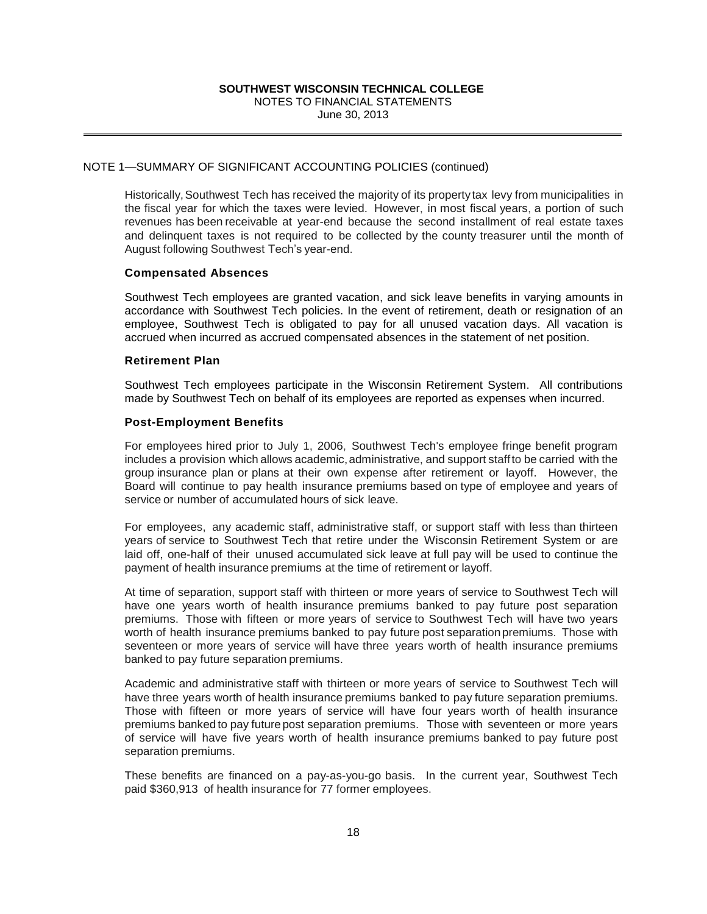## NOTE 1—SUMMARY OF SIGNIFICANT ACCOUNTING POLICIES (continued)

Historically, Southwest Tech has received the majority of its property tax levy from municipalities in the fiscal year for which the taxes were levied. However, in most fiscal years, a portion of such revenues has been receivable at year-end because the second installment of real estate taxes and delinquent taxes is not required to be collected by the county treasurer until the month of August following Southwest Tech's year-end.

## **Compensated Absences**

Southwest Tech employees are granted vacation, and sick leave benefits in varying amounts in accordance with Southwest Tech policies. In the event of retirement, death or resignation of an employee, Southwest Tech is obligated to pay for all unused vacation days. All vacation is accrued when incurred as accrued compensated absences in the statement of net position.

## **Retirement Plan**

Southwest Tech employees participate in the Wisconsin Retirement System. All contributions made by Southwest Tech on behalf of its employees are reported as expenses when incurred.

## **Post-Employment Benefits**

For employees hired prior to July 1, 2006, Southwest Tech's employee fringe benefit program includes a provision which allows academic, administrative, and support staff to be carried with the group insurance plan or plans at their own expense after retirement or layoff. However, the Board will continue to pay health insurance premiums based on type of employee and years of service or number of accumulated hours of sick leave.

For employees, any academic staff, administrative staff, or support staff with less than thirteen years of service to Southwest Tech that retire under the Wisconsin Retirement System or are laid off, one-half of their unused accumulated sick leave at full pay will be used to continue the payment of health insurance premiums at the time of retirement or layoff.

At time of separation, support staff with thirteen or more years of service to Southwest Tech will have one years worth of health insurance premiums banked to pay future post separation premiums. Those with fifteen or more years of service to Southwest Tech will have two years worth of health insurance premiums banked to pay future post separation premiums. Those with seventeen or more years of service will have three years worth of health insurance premiums banked to pay future separation premiums.

**SOUTHWEST WISCONSIN TECHNICAL COLLEGE**<br>
NOTES TO FINANCIAL STATEMENTS<br>
SIGNIFICANT ACCOUNTING POLICIES (continued)<br>
vest Tech has received the majority of its property tax<br>
which the taxes were levied. However, in most fa Academic and administrative staff with thirteen or more years of service to Southwest Tech will have three years worth of health insurance premiums banked to pay future separation premiums. Those with fifteen or more years of service will have four years worth of health insurance premiums banked to pay futurepost separation premiums. Those with seventeen or more years of service will have five years worth of health insurance premiums banked to pay future post separation premiums.

These benefits are financed on a pay-as-you-go basis. In the current year, Southwest Tech paid \$360,913 of health insurance for 77 former employees.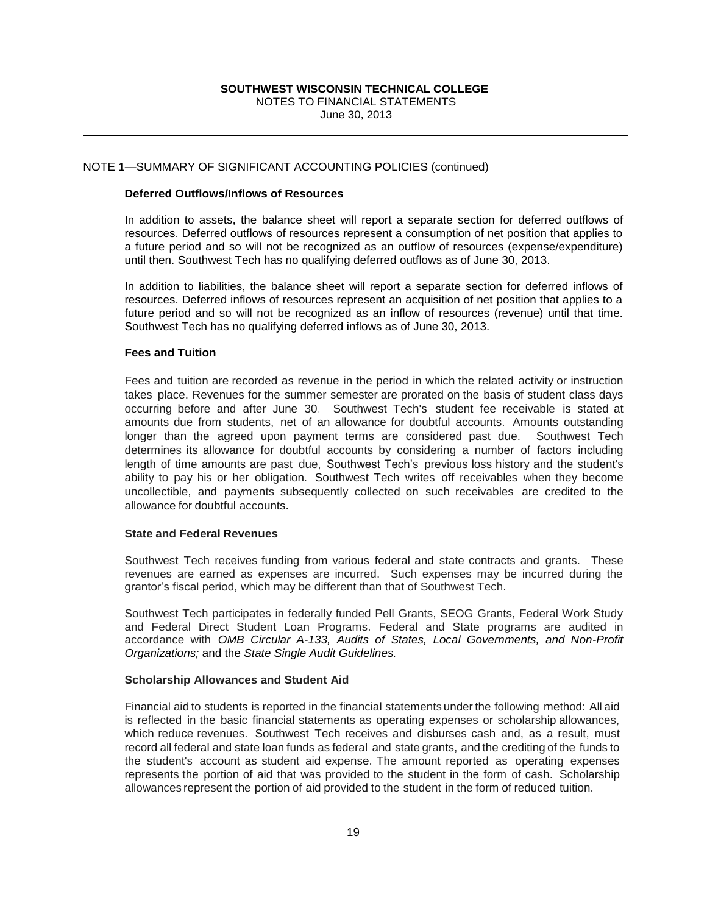## NOTE 1—SUMMARY OF SIGNIFICANT ACCOUNTING POLICIES (continued)

## **Deferred Outflows/Inflows of Resources**

In addition to assets, the balance sheet will report a separate section for deferred outflows of resources. Deferred outflows of resources represent a consumption of net position that applies to a future period and so will not be recognized as an outflow of resources (expense/expenditure) until then. Southwest Tech has no qualifying deferred outflows as of June 30, 2013.

In addition to liabilities, the balance sheet will report a separate section for deferred inflows of resources. Deferred inflows of resources represent an acquisition of net position that applies to a future period and so will not be recognized as an inflow of resources (revenue) until that time. Southwest Tech has no qualifying deferred inflows as of June 30, 2013.

## **Fees and Tuition**

**SOUTHWEST WISCONSINT TECHNICAL COLLEGE**<br>
NOTES TO FINANCIAL STATEMENTS<br>
June 30, 2013<br>
SIGNIFICANT ACCOUNTING POLICIES (continued)<br> **SIGNIFICANT ACCOUNTING POLICIES** (continued)<br> **SIGNIFICANT ACCOUNTING POLICIES** (continu Fees and tuition are recorded as revenue in the period in which the related activity or instruction takes place. Revenues for the summer semester are prorated on the basis of student class days occurring before and after June 30. Southwest Tech's student fee receivable is stated at amounts due from students, net of an allowance for doubtful accounts. Amounts outstanding longer than the agreed upon payment terms are considered past due. Southwest Tech determines its allowance for doubtful accounts by considering a number of factors including length of time amounts are past due, Southwest Tech's previous loss history and the student's ability to pay his or her obligation. Southwest Tech writes off receivables when they become uncollectible, and payments subsequently collected on such receivables are credited to the allowance for doubtful accounts.

## **State and Federal Revenues**

Southwest Tech receives funding from various federal and state contracts and grants. These revenues are earned as expenses are incurred. Such expenses may be incurred during the grantor's fiscal period, which may be different than that of Southwest Tech.

Southwest Tech participates in federally funded Pell Grants, SEOG Grants, Federal Work Study and Federal Direct Student Loan Programs. Federal and State programs are audited in accordance with *OMB Circular A-133, Audits of States, Local Governments, and Non-Profit Organizations;* and the *State Single Audit Guidelines.* 

## **Scholarship Allowances and Student Aid**

Financial aid to students is reported in the financial statements under the following method: All aid is reflected in the basic financial statements as operating expenses or scholarship allowances, which reduce revenues. Southwest Tech receives and disburses cash and, as a result, must record all federal and state loan funds as federal and state grants, and the crediting of the funds to the student's account as student aid expense. The amount reported as operating expenses represents the portion of aid that was provided to the student in the form of cash. Scholarship allowances represent the portion of aid provided to the student in the form of reduced tuition.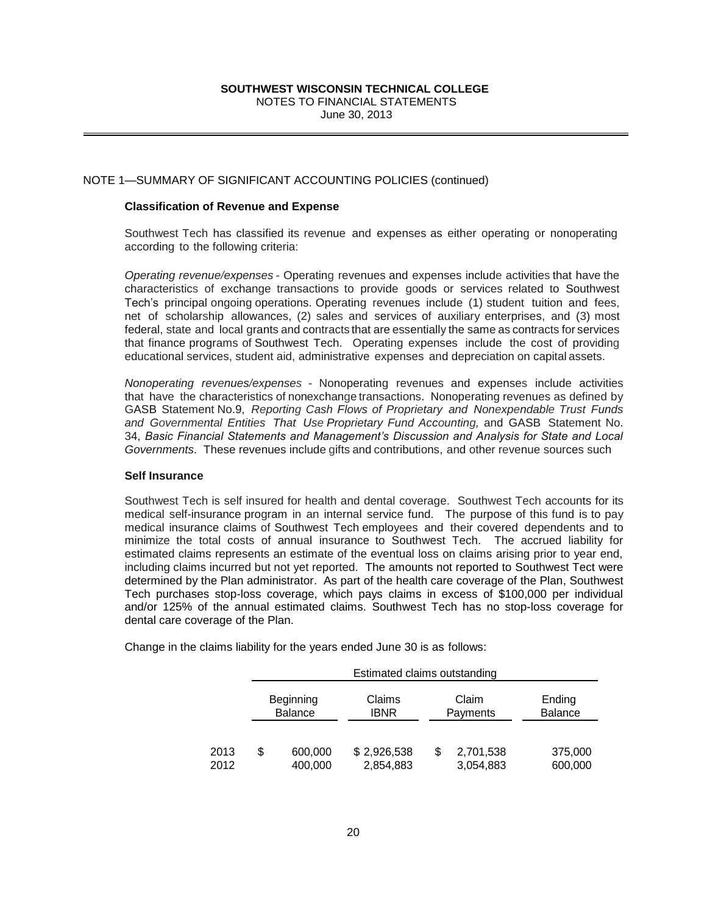## NOTE 1—SUMMARY OF SIGNIFICANT ACCOUNTING POLICIES (continued)

## **Classification of Revenue and Expense**

Southwest Tech has classified its revenue and expenses as either operating or nonoperating according to the following criteria:

*Operating revenue/expenses* - Operating revenues and expenses include activities that have the characteristics of exchange transactions to provide goods or services related to Southwest Tech's principal ongoing operations. Operating revenues include (1) student tuition and fees, net of scholarship allowances, (2) sales and services of auxiliary enterprises, and (3) most federal, state and local grants and contracts that are essentially the same as contracts for services that finance programs of Southwest Tech. Operating expenses include the cost of providing educational services, student aid, administrative expenses and depreciation on capital assets.

*Nonoperating revenues/expenses* - Nonoperating revenues and expenses include activities that have the characteristics of nonexchange transactions. Nonoperating revenues as defined by GASB Statement No.9, *Reporting Cash Flows of Proprietary and Nonexpendable Trust Funds and Governmental Entities That Use Proprietary Fund Accounting,* and GASB Statement No. 34, *Basic Financial Statements and Management's Discussion and Analysis for State and Local Governments*. These revenues include gifts and contributions, and other revenue sources such

## **Self Insurance**

**SOUTHWEST WISCONSINT TECHNICAL COLLEGE**<br>
NOTES TO FINANCIAL STATEMENTS<br>
SIGNIFICANT ACCOUNTING POLICIES (continued)<br> **EVALUAT ACCOUNTING POLICIES** (continued)<br> **EVALUAT ACCOUNTING POLICIES** (continued)<br> **EVALUAT ACCOUNTIN** Southwest Tech is self insured for health and dental coverage. Southwest Tech accounts for its medical self-insurance program in an internal service fund. The purpose of this fund is to pay medical insurance claims of Southwest Tech employees and their covered dependents and to minimize the total costs of annual insurance to Southwest Tech. The accrued liability for estimated claims represents an estimate of the eventual loss on claims arising prior to year end, including claims incurred but not yet reported. The amounts not reported to Southwest Tect were determined by the Plan administrator. As part of the health care coverage of the Plan, Southwest Tech purchases stop-loss coverage, which pays claims in excess of \$100,000 per individual and/or 125% of the annual estimated claims. Southwest Tech has no stop-loss coverage for dental care coverage of the Plan.

|              | Estimated claims outstanding |                             |                                     |   |                        |                    |  |
|--------------|------------------------------|-----------------------------|-------------------------------------|---|------------------------|--------------------|--|
|              |                              | Beginning<br><b>Balance</b> | Claims<br>Claim<br>ibnr<br>Payments |   |                        | Ending<br>Balance  |  |
|              |                              |                             |                                     |   |                        |                    |  |
| 2013<br>2012 | S                            | 600,000<br>400,000          | \$2,926,538<br>2,854,883            | S | 2,701,538<br>3,054,883 | 375,000<br>600,000 |  |

Change in the claims liability for the years ended June 30 is as follows: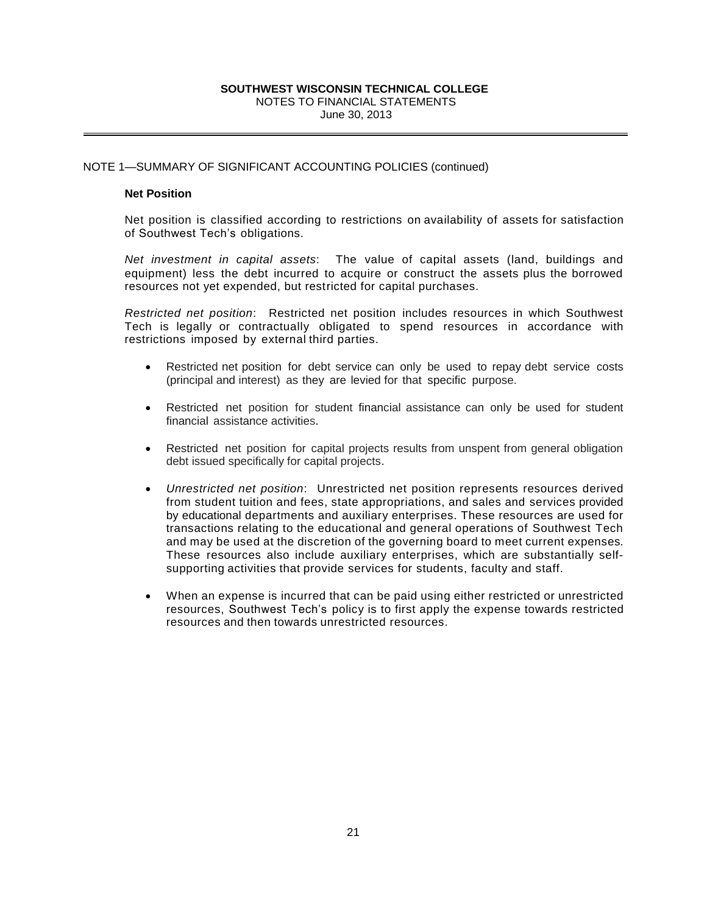## NOTE 1—SUMMARY OF SIGNIFICANT ACCOUNTING POLICIES (continued)

## **Net Position**

Net position is classified according to restrictions on availability of assets for satisfaction of Southwest Tech's obligations.

*Net investment in capital assets*: The value of capital assets (land, buildings and equipment) less the debt incurred to acquire or construct the assets plus the borrowed resources not yet expended, but restricted for capital purchases.

*Restricted net position*: Restricted net position includes resources in which Southwest Tech is legally or contractually obligated to spend resources in accordance with restrictions imposed by external third parties.

- Restricted net position for debt service can only be used to repay debt service costs (principal and interest) as they are levied for that specific purpose.
- Restricted net position for student financial assistance can only be used for student financial assistance activities.
- Restricted net position for capital projects results from unspent from general obligation debt issued specifically for capital projects.
- **SOUTHWEST WISCONSINT TECHNICAL COLLEGE**<br>
NOTES TO FINANCIAL STATEMENTS<br>
SIGNIFICANT ACCOUNTING POLICIES (continued)<br>
assified according to restrictions on availability this obligations.<br>
In appline assets: The value of ca *Unrestricted net position*: Unrestricted net position represents resources derived from student tuition and fees, state appropriations, and sales and services provided by educational departments and auxiliary enterprises. These resources are used for transactions relating to the educational and general operations of Southwest Tech and may be used at the discretion of the governing board to meet current expenses. These resources also include auxiliary enterprises, which are substantially selfsupporting activities that provide services for students, faculty and staff.
- When an expense is incurred that can be paid using either restricted or unrestricted resources, Southwest Tech's policy is to first apply the expense towards restricted resources and then towards unrestricted resources.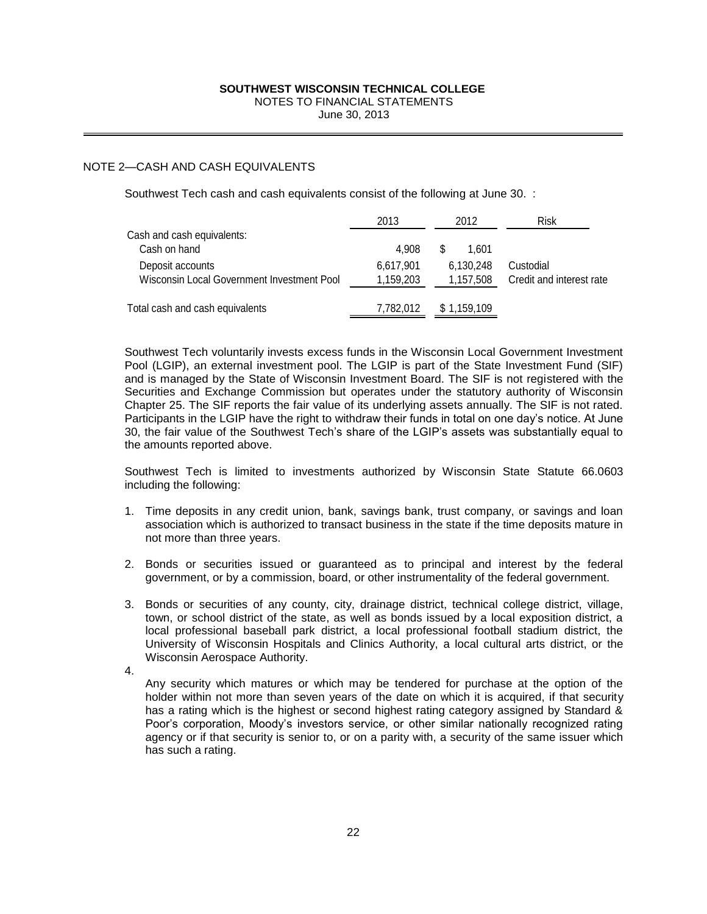## NOTE 2—CASH AND CASH EQUIVALENTS

|    | SOUTHWEST WISCONSIN TECHNICAL COLLEGE<br>NOTES TO FINANCIAL STATEMENTS<br>June 30, 2013                                                                                                                                                                                                                                                                                                                                                                                                                                                                                                                                                                                                                 |                        |                        |                                       |
|----|---------------------------------------------------------------------------------------------------------------------------------------------------------------------------------------------------------------------------------------------------------------------------------------------------------------------------------------------------------------------------------------------------------------------------------------------------------------------------------------------------------------------------------------------------------------------------------------------------------------------------------------------------------------------------------------------------------|------------------------|------------------------|---------------------------------------|
|    | -CASH AND CASH EQUIVALENTS                                                                                                                                                                                                                                                                                                                                                                                                                                                                                                                                                                                                                                                                              |                        |                        |                                       |
|    | Southwest Tech cash and cash equivalents consist of the following at June 30. :                                                                                                                                                                                                                                                                                                                                                                                                                                                                                                                                                                                                                         |                        |                        |                                       |
|    |                                                                                                                                                                                                                                                                                                                                                                                                                                                                                                                                                                                                                                                                                                         | 2013                   | 2012                   | Risk                                  |
|    | Cash and cash equivalents:<br>Cash on hand                                                                                                                                                                                                                                                                                                                                                                                                                                                                                                                                                                                                                                                              | 4,908                  | 1,601                  |                                       |
|    | Deposit accounts<br>Wisconsin Local Government Investment Pool                                                                                                                                                                                                                                                                                                                                                                                                                                                                                                                                                                                                                                          | 6,617,901<br>1,159,203 | 6,130,248<br>1,157,508 | Custodial<br>Credit and interest rate |
|    | Total cash and cash equivalents                                                                                                                                                                                                                                                                                                                                                                                                                                                                                                                                                                                                                                                                         | 7,782,012              | \$1,159,109            |                                       |
|    | Chapter 25. The SIF reports the fair value of its underlying assets annually. The SIF is not rated.<br>Participants in the LGIP have the right to withdraw their funds in total on one day's notice. At June<br>30, the fair value of the Southwest Tech's share of the LGIP's assets was substantially equal to<br>the amounts reported above.<br>Southwest Tech is limited to investments authorized by Wisconsin State Statute 66.0603<br>including the following:<br>1. Time deposits in any credit union, bank, savings bank, trust company, or savings and loan<br>association which is authorized to transact business in the state if the time deposits mature in<br>not more than three years. |                        |                        |                                       |
| 2. | Bonds or securities issued or guaranteed as to principal and interest by the federal<br>government, or by a commission, board, or other instrumentality of the federal government.                                                                                                                                                                                                                                                                                                                                                                                                                                                                                                                      |                        |                        |                                       |
|    | 3. Bonds or securities of any county, city, drainage district, technical college district, village,<br>town, or school district of the state, as well as bonds issued by a local exposition district, a<br>local professional baseball park district, a local professional football stadium district, the<br>University of Wisconsin Hospitals and Clinics Authority, a local cultural arts district, or the<br>Wisconsin Aerospace Authority.                                                                                                                                                                                                                                                          |                        |                        |                                       |
| 4. | Any security which matures or which may be tendered for purchase at the option of the<br>holder within not more than seven years of the date on which it is acquired, if that security<br>has a rating which is the highest or second highest rating category assigned by Standard &<br>Poor's corporation, Moody's investors service, or other similar nationally recognized rating<br>agency or if that security is senior to, or on a parity with, a security of the same issuer which<br>has such a rating.                                                                                                                                                                                         |                        |                        |                                       |
|    |                                                                                                                                                                                                                                                                                                                                                                                                                                                                                                                                                                                                                                                                                                         |                        |                        |                                       |
|    | 22                                                                                                                                                                                                                                                                                                                                                                                                                                                                                                                                                                                                                                                                                                      |                        |                        |                                       |
|    |                                                                                                                                                                                                                                                                                                                                                                                                                                                                                                                                                                                                                                                                                                         |                        |                        |                                       |

- 1. Time deposits in any credit union, bank, savings bank, trust company, or savings and loan association which is authorized to transact business in the state if the time deposits mature in not more than three years.
- 2. Bonds or securities issued or guaranteed as to principal and interest by the federal government, or by a commission, board, or other instrumentality of the federal government.
- 3. Bonds or securities of any county, city, drainage district, technical college district, village, town, or school district of the state, as well as bonds issued by a local exposition district, a local professional baseball park district, a local professional football stadium district, the University of Wisconsin Hospitals and Clinics Authority, a local cultural arts district, or the Wisconsin Aerospace Authority.
- 4.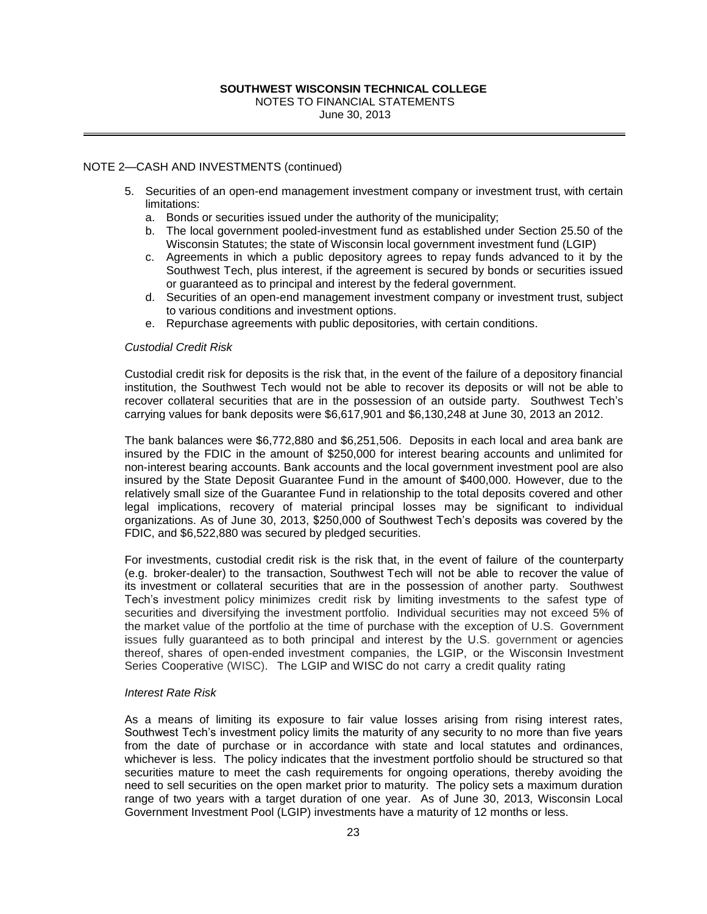## NOTE 2—CASH AND INVESTMENTS (continued)

- 5. Securities of an open-end management investment company or investment trust, with certain limitations:
	- a. Bonds or securities issued under the authority of the municipality;
	- b. The local government pooled-investment fund as established under Section 25.50 of the Wisconsin Statutes; the state of Wisconsin local government investment fund (LGIP)
	- c. Agreements in which a public depository agrees to repay funds advanced to it by the Southwest Tech, plus interest, if the agreement is secured by bonds or securities issued or guaranteed as to principal and interest by the federal government.
	- d. Securities of an open-end management investment company or investment trust, subject to various conditions and investment options.
	- e. Repurchase agreements with public depositories, with certain conditions.

#### *Custodial Credit Risk*

Custodial credit risk for deposits is the risk that, in the event of the failure of a depository financial institution, the Southwest Tech would not be able to recover its deposits or will not be able to recover collateral securities that are in the possession of an outside party. Southwest Tech's carrying values for bank deposits were \$6,617,901 and \$6,130,248 at June 30, 2013 an 2012.

The bank balances were \$6,772,880 and \$6,251,506. Deposits in each local and area bank are insured by the FDIC in the amount of \$250,000 for interest bearing accounts and unlimited for non-interest bearing accounts. Bank accounts and the local government investment pool are also insured by the State Deposit Guarantee Fund in the amount of \$400,000. However, due to the relatively small size of the Guarantee Fund in relationship to the total deposits covered and other legal implications, recovery of material principal losses may be significant to individual organizations. As of June 30, 2013, \$250,000 of Southwest Tech's deposits was covered by the FDIC, and \$6,522,880 was secured by pledged securities.

**SOUTHWEST WESCONSIN TECHNICAL COLLEGE**<br>
NOTES TO FINANCIAL STATEMENTS<br>
Une 30, 2013<br>
Usine 30, 2013<br>
ESTMENTS (continued)<br>
10 open-end management investment company or invertimes<br>
SENDENTS (continued)<br>
23 ASSEMBLY TO the For investments, custodial credit risk is the risk that, in the event of failure of the counterparty (e.g. broker-dealer) to the transaction, Southwest Tech will not be able to recover the value of its investment or collateral securities that are in the possession of another party. Southwest Tech's investment policy minimizes credit risk by limiting investments to the safest type of securities and diversifying the investment portfolio. Individual securities may not exceed 5% of the market value of the portfolio at the time of purchase with the exception of U.S. Government issues fully guaranteed as to both principal and interest by the U.S. government or agencies thereof, shares of open-ended investment companies, the LGIP, or the Wisconsin Investment Series Cooperative (WISC). The LGIP and WISC do not carry a credit quality rating

#### *Interest Rate Risk*

As a means of limiting its exposure to fair value losses arising from rising interest rates, Southwest Tech's investment policy limits the maturity of any security to no more than five years from the date of purchase or in accordance with state and local statutes and ordinances, whichever is less. The policy indicates that the investment portfolio should be structured so that securities mature to meet the cash requirements for ongoing operations, thereby avoiding the need to sell securities on the open market prior to maturity. The policy sets a maximum duration range of two years with a target duration of one year. As of June 30, 2013, Wisconsin Local Government Investment Pool (LGIP) investments have a maturity of 12 months or less.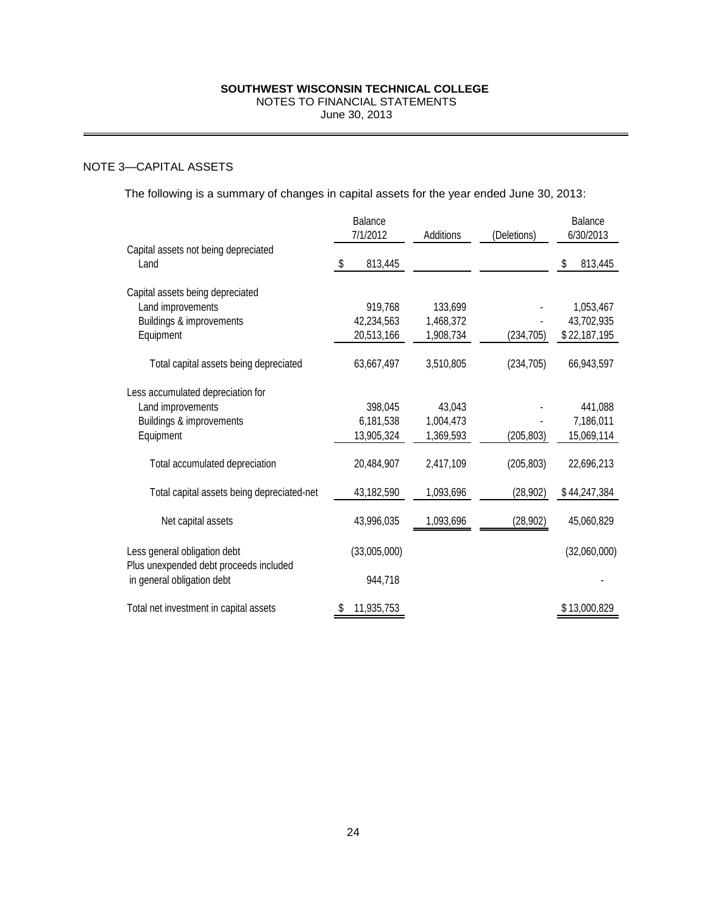## NOTE 3—CAPITAL ASSETS

| SOUTHWEST WISCONSIN TECHNICAL COLLEGE<br>NOTES TO FINANCIAL STATEMENTS<br>June 30, 2013              |                     |                                     |                                   |             |                                         |  |
|------------------------------------------------------------------------------------------------------|---------------------|-------------------------------------|-----------------------------------|-------------|-----------------------------------------|--|
|                                                                                                      |                     |                                     |                                   |             |                                         |  |
| -CAPITAL ASSETS                                                                                      |                     |                                     |                                   |             |                                         |  |
| The following is a summary of changes in capital assets for the year ended June 30, 2013:            |                     |                                     |                                   |             |                                         |  |
|                                                                                                      | Balance<br>7/1/2012 |                                     | Additions                         | (Deletions) | Balance<br>6/30/2013                    |  |
| Capital assets not being depreciated<br>Land                                                         | \$                  | 813,445                             |                                   |             | \$<br>813,445                           |  |
| Capital assets being depreciated<br>Land improvements<br>Buildings & improvements<br>Equipment       |                     | 919,768<br>42,234,563<br>20,513,166 | 133,699<br>1,468,372<br>1,908,734 | (234, 705)  | 1,053,467<br>43,702,935<br>\$22,187,195 |  |
| Total capital assets being depreciated                                                               |                     | 63,667,497                          | 3,510,805                         | (234, 705)  | 66,943,597                              |  |
| Less accumulated depreciation for<br>Land improvements<br>Buildings & improvements<br>Equipment      |                     | 398,045<br>6,181,538<br>13,905,324  | 43,043<br>1,004,473<br>1,369,593  | (205, 803)  | 441,088<br>7,186,011<br>15,069,114      |  |
| Total accumulated depreciation                                                                       |                     | 20,484,907                          | 2,417,109                         | (205, 803)  | 22,696,213                              |  |
| Total capital assets being depreciated-net                                                           |                     | 43,182,590                          | 1,093,696                         | (28, 902)   | \$44,247,384                            |  |
| Net capital assets                                                                                   |                     | 43,996,035                          | 1,093,696                         | (28, 902)   | 45,060,829                              |  |
| Less general obligation debt<br>Plus unexpended debt proceeds included<br>in general obligation debt |                     | (33,005,000)<br>944,718             |                                   |             | (32,060,000)                            |  |
| Total net investment in capital assets                                                               | \$                  | 11,935,753                          |                                   |             | \$13,000,829                            |  |
|                                                                                                      |                     |                                     |                                   |             |                                         |  |
|                                                                                                      | 24                  |                                     |                                   |             |                                         |  |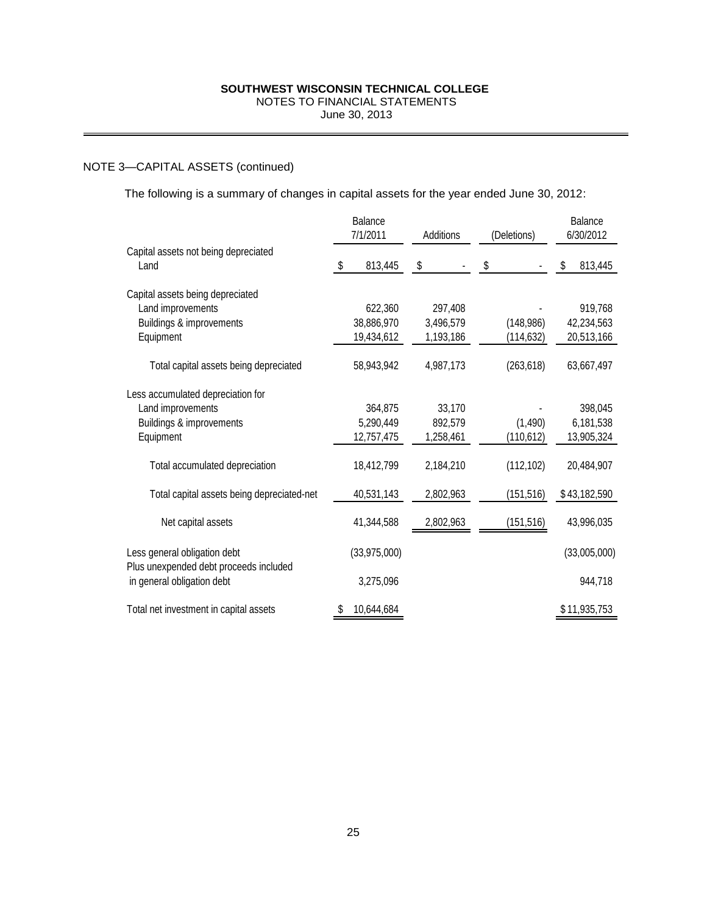## NOTE 3—CAPITAL ASSETS (continued)

| SOUTHWEST WISCONSIN TECHNICAL COLLEGE<br>NOTES TO FINANCIAL STATEMENTS<br>June 30, 2013              |                                     |                                   |                         |                                     |  |  |  |
|------------------------------------------------------------------------------------------------------|-------------------------------------|-----------------------------------|-------------------------|-------------------------------------|--|--|--|
| -CAPITAL ASSETS (continued)                                                                          |                                     |                                   |                         |                                     |  |  |  |
| The following is a summary of changes in capital assets for the year ended June 30, 2012:            |                                     |                                   |                         |                                     |  |  |  |
|                                                                                                      | Balance<br>7/1/2011                 | Additions                         | (Deletions)             | Balance<br>6/30/2012                |  |  |  |
| Capital assets not being depreciated<br>Land                                                         | \$<br>813,445                       | \$                                | \$                      | \$<br>813,445                       |  |  |  |
| Capital assets being depreciated<br>Land improvements<br>Buildings & improvements<br>Equipment       | 622,360<br>38,886,970<br>19,434,612 | 297,408<br>3,496,579<br>1,193,186 | (148, 986)<br>(114,632) | 919,768<br>42,234,563<br>20,513,166 |  |  |  |
| Total capital assets being depreciated                                                               | 58,943,942                          | 4,987,173                         | (263, 618)              | 63,667,497                          |  |  |  |
| Less accumulated depreciation for<br>Land improvements<br>Buildings & improvements<br>Equipment      | 364,875<br>5,290,449<br>12,757,475  | 33,170<br>892,579<br>1,258,461    | (1,490)<br>(110, 612)   | 398,045<br>6,181,538<br>13,905,324  |  |  |  |
| Total accumulated depreciation                                                                       | 18,412,799                          | 2,184,210                         | (112, 102)              | 20,484,907                          |  |  |  |
| Total capital assets being depreciated-net                                                           | 40,531,143                          | 2,802,963                         | (151, 516)              | \$43,182,590                        |  |  |  |
| Net capital assets                                                                                   | 41,344,588                          | 2,802,963                         | (151, 516)              | 43,996,035                          |  |  |  |
| Less general obligation debt<br>Plus unexpended debt proceeds included<br>in general obligation debt | (33,975,000)<br>3,275,096           |                                   |                         | (33,005,000)<br>944,718             |  |  |  |
| Total net investment in capital assets                                                               | 10,644,684<br>\$                    |                                   |                         | \$11,935,753                        |  |  |  |
|                                                                                                      |                                     |                                   |                         |                                     |  |  |  |
|                                                                                                      | 25                                  |                                   |                         |                                     |  |  |  |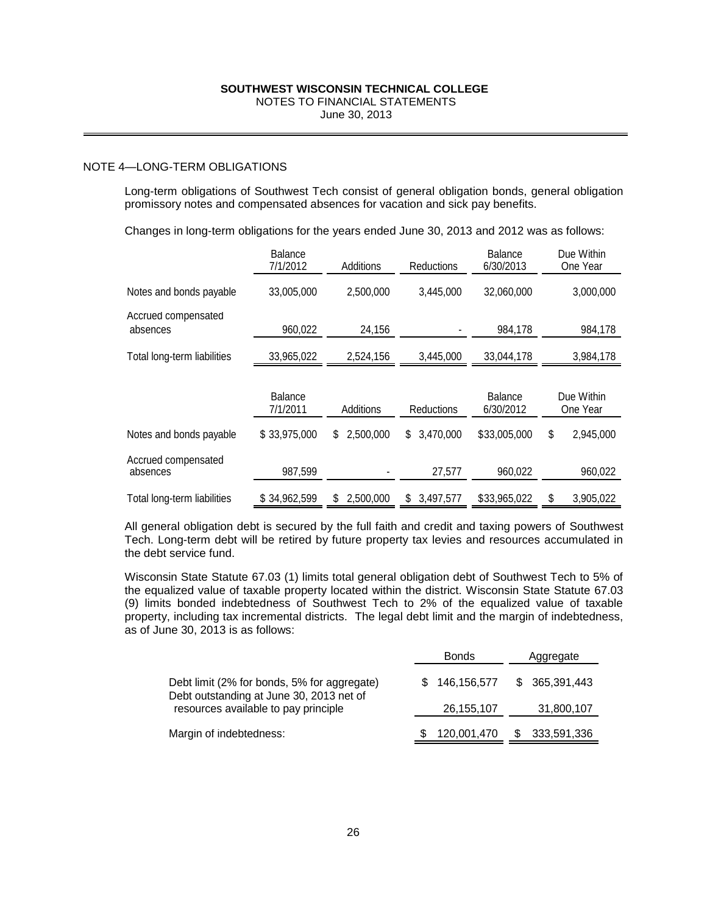## NOTE 4—LONG-TERM OBLIGATIONS

|                                                                                                                                                                                                                                                                                                                                                                                                                                                                                                                                                                                                                                                                                     |                            | SOUTHWEST WISCONSIN TECHNICAL COLLEGE<br>NOTES TO FINANCIAL STATEMENTS<br>June 30, 2013 |             |                                     |                             |                      |           |                        |
|-------------------------------------------------------------------------------------------------------------------------------------------------------------------------------------------------------------------------------------------------------------------------------------------------------------------------------------------------------------------------------------------------------------------------------------------------------------------------------------------------------------------------------------------------------------------------------------------------------------------------------------------------------------------------------------|----------------------------|-----------------------------------------------------------------------------------------|-------------|-------------------------------------|-----------------------------|----------------------|-----------|------------------------|
|                                                                                                                                                                                                                                                                                                                                                                                                                                                                                                                                                                                                                                                                                     |                            |                                                                                         |             |                                     |                             |                      |           |                        |
| -LONG-TERM OBLIGATIONS                                                                                                                                                                                                                                                                                                                                                                                                                                                                                                                                                                                                                                                              |                            |                                                                                         |             |                                     |                             |                      |           |                        |
| Long-term obligations of Southwest Tech consist of general obligation bonds, general obligation<br>promissory notes and compensated absences for vacation and sick pay benefits.                                                                                                                                                                                                                                                                                                                                                                                                                                                                                                    |                            |                                                                                         |             |                                     |                             |                      |           |                        |
| Changes in long-term obligations for the years ended June 30, 2013 and 2012 was as follows:                                                                                                                                                                                                                                                                                                                                                                                                                                                                                                                                                                                         |                            |                                                                                         |             |                                     |                             |                      |           |                        |
|                                                                                                                                                                                                                                                                                                                                                                                                                                                                                                                                                                                                                                                                                     | <b>Balance</b><br>7/1/2012 | Additions                                                                               |             | Reductions                          | <b>Balance</b><br>6/30/2013 |                      |           | Due Within<br>One Year |
| Notes and bonds payable                                                                                                                                                                                                                                                                                                                                                                                                                                                                                                                                                                                                                                                             | 33,005,000                 | 2,500,000                                                                               |             | 3,445,000                           |                             | 32,060,000           |           | 3,000,000              |
| Accrued compensated<br>absences                                                                                                                                                                                                                                                                                                                                                                                                                                                                                                                                                                                                                                                     | 960,022                    | 24,156                                                                                  |             |                                     |                             | 984,178              |           | 984,178                |
| Total long-term liabilities                                                                                                                                                                                                                                                                                                                                                                                                                                                                                                                                                                                                                                                         | 33,965,022                 | 2,524,156                                                                               |             | 3,445,000                           |                             | 33,044,178           |           | 3,984,178              |
|                                                                                                                                                                                                                                                                                                                                                                                                                                                                                                                                                                                                                                                                                     | Balance<br>7/1/2011        | Additions                                                                               |             | Reductions                          |                             | Balance<br>6/30/2012 |           | Due Within<br>One Year |
| Notes and bonds payable                                                                                                                                                                                                                                                                                                                                                                                                                                                                                                                                                                                                                                                             | \$33,975,000               | \$2,500,000                                                                             | \$3,470,000 |                                     | \$33,005,000                |                      | \$        | 2,945,000              |
| Accrued compensated<br>absences                                                                                                                                                                                                                                                                                                                                                                                                                                                                                                                                                                                                                                                     | 987,599                    |                                                                                         | 27,577      |                                     | 960,022                     |                      |           | 960,022                |
| Total long-term liabilities                                                                                                                                                                                                                                                                                                                                                                                                                                                                                                                                                                                                                                                         | \$34,962,599               | \$2,500,000                                                                             |             | \$3,497,577<br>\$33,965,022         |                             |                      | \$        | 3,905,022              |
| All general obligation debt is secured by the full faith and credit and taxing powers of Southwest<br>Tech. Long-term debt will be retired by future property tax levies and resources accumulated in<br>the debt service fund.<br>Wisconsin State Statute 67.03 (1) limits total general obligation debt of Southwest Tech to 5% of<br>the equalized value of taxable property located within the district. Wisconsin State Statute 67.03<br>(9) limits bonded indebtedness of Southwest Tech to 2% of the equalized value of taxable<br>property, including tax incremental districts. The legal debt limit and the margin of indebtedness,<br>as of June 30, 2013 is as follows: |                            |                                                                                         |             | <b>Bonds</b>                        |                             |                      | Aggregate |                        |
|                                                                                                                                                                                                                                                                                                                                                                                                                                                                                                                                                                                                                                                                                     |                            |                                                                                         |             |                                     |                             | \$                   |           | 365,391,443            |
| Debt limit (2% for bonds, 5% for aggregate)<br>Debt outstanding at June 30, 2013 net of<br>resources available to pay principle                                                                                                                                                                                                                                                                                                                                                                                                                                                                                                                                                     |                            |                                                                                         |             | 146, 156, 577<br>S.<br>26, 155, 107 |                             |                      |           | 31,800,107             |
| Margin of indebtedness:                                                                                                                                                                                                                                                                                                                                                                                                                                                                                                                                                                                                                                                             |                            |                                                                                         |             | 120,001,470                         |                             | \$                   |           | 333,591,336            |
|                                                                                                                                                                                                                                                                                                                                                                                                                                                                                                                                                                                                                                                                                     |                            | 26                                                                                      |             |                                     |                             |                      |           |                        |

|                                                                                         | <b>Bonds</b> |               |  | Aggregate     |
|-----------------------------------------------------------------------------------------|--------------|---------------|--|---------------|
| Debt limit (2% for bonds, 5% for aggregate)<br>Debt outstanding at June 30, 2013 net of |              | \$146,156,577 |  | \$365,391,443 |
| resources available to pay principle                                                    |              | 26, 155, 107  |  | 31,800,107    |
| Margin of indebtedness:                                                                 |              | 120,001,470   |  | 333,591,336   |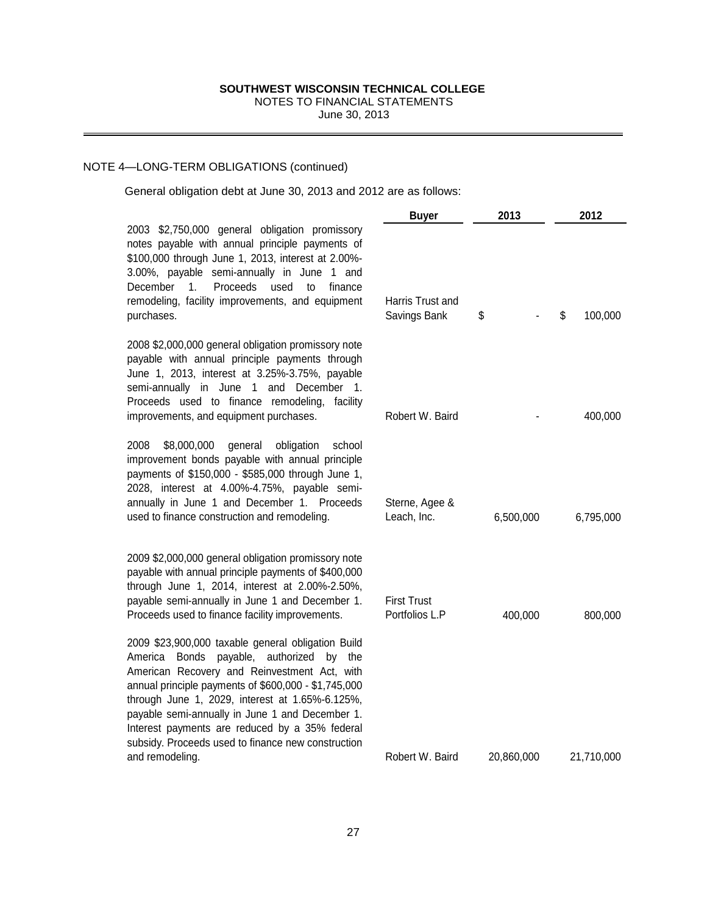## NOTE 4—LONG-TERM OBLIGATIONS (continued)

| SOUTHWEST WISCONSIN TECHNICAL COLLEGE<br>NOTES TO FINANCIAL STATEMENTS<br>June 30, 2013                                                                                                                                                                                                                                                                                                                                                 |                                      |            |               |
|-----------------------------------------------------------------------------------------------------------------------------------------------------------------------------------------------------------------------------------------------------------------------------------------------------------------------------------------------------------------------------------------------------------------------------------------|--------------------------------------|------------|---------------|
| -LONG-TERM OBLIGATIONS (continued)                                                                                                                                                                                                                                                                                                                                                                                                      |                                      |            |               |
| General obligation debt at June 30, 2013 and 2012 are as follows:                                                                                                                                                                                                                                                                                                                                                                       |                                      |            |               |
|                                                                                                                                                                                                                                                                                                                                                                                                                                         | <b>Buyer</b>                         | 2013       | 2012          |
| 2003 \$2,750,000 general obligation promissory<br>notes payable with annual principle payments of<br>\$100,000 through June 1, 2013, interest at 2.00%-<br>3.00%, payable semi-annually in June 1 and<br>Proceeds<br>December<br>$\mathbf{1}$ .<br>used<br>to<br>finance<br>remodeling, facility improvements, and equipment<br>purchases.                                                                                              | Harris Trust and<br>Savings Bank     | \$         | \$<br>100,000 |
| 2008 \$2,000,000 general obligation promissory note<br>payable with annual principle payments through<br>June 1, 2013, interest at 3.25%-3.75%, payable<br>semi-annually in June 1 and December 1.<br>Proceeds used to finance remodeling, facility<br>improvements, and equipment purchases.                                                                                                                                           | Robert W. Baird                      |            | 400,000       |
| \$8,000,000<br>2008<br>general<br>obligation<br>school<br>improvement bonds payable with annual principle<br>payments of \$150,000 - \$585,000 through June 1,<br>2028, interest at 4.00%-4.75%, payable semi-<br>annually in June 1 and December 1. Proceeds<br>used to finance construction and remodeling.                                                                                                                           | Sterne, Agee &<br>Leach, Inc.        | 6,500,000  | 6,795,000     |
| 2009 \$2,000,000 general obligation promissory note<br>payable with annual principle payments of \$400,000<br>through June 1, 2014, interest at 2.00%-2.50%,<br>payable semi-annually in June 1 and December 1.<br>Proceeds used to finance facility improvements.                                                                                                                                                                      | <b>First Trust</b><br>Portfolios L.P | 400,000    | 800,000       |
| 2009 \$23,900,000 taxable general obligation Build<br>America Bonds payable, authorized by the<br>American Recovery and Reinvestment Act, with<br>annual principle payments of \$600,000 - \$1,745,000<br>through June 1, 2029, interest at 1.65%-6.125%,<br>payable semi-annually in June 1 and December 1.<br>Interest payments are reduced by a 35% federal<br>subsidy. Proceeds used to finance new construction<br>and remodeling. | Robert W. Baird                      | 20,860,000 | 21,710,000    |
| 27                                                                                                                                                                                                                                                                                                                                                                                                                                      |                                      |            |               |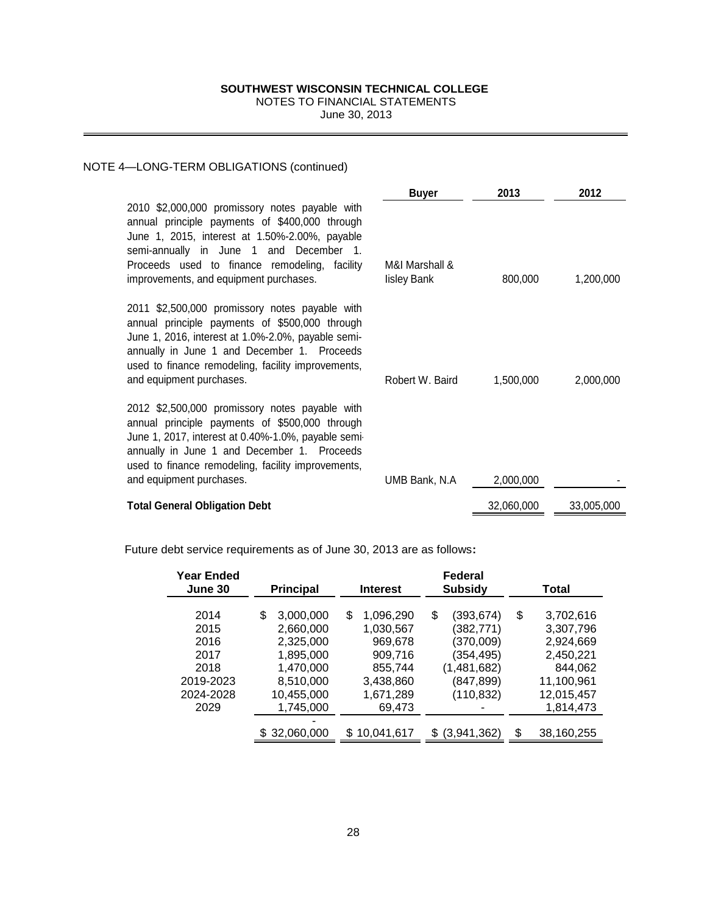# NOTES TO FINANCIAL STATEMENTS

## NOTE 4—LONG-TERM OBLIGATIONS (continued)

2010 \$2,000,000 promissory notes payable with annual principle payments of \$400,000 throug June 1, 2015, interest at 1.50%-2.00%, payabl semi-annually in June 1 and December Proceeds used to finance remodeling, facility improvements, and equipment purchases.

2011 \$2,500,000 promissory notes payable with annual principle payments of \$500,000 through June 1, 2016, interest at 1.0%-2.0%, payable semiannually in June 1 and December 1. Proceed used to finance remodeling, facility improvements and equipment purchases.

2012 \$2,500,000 promissory notes payable with annual principle payments of \$500,000 through June 1, 2017, interest at 0.40%-1.0%, payable semiannually in June 1 and December 1. Proceed used to finance remodeling, facility improvements and equipment purchases.

**Total General Obligation Debt** 

| M&I Marshall &<br>lisley Bank | 800,000    | 1,200,000  |
|-------------------------------|------------|------------|
|                               |            |            |
| Robert W. Baird               | 1,500,000  | 2,000,000  |
|                               |            |            |
| UMB Bank, N.A                 | 2,000,000  |            |
|                               | 32,060,000 | 33,005,000 |

Future debt service requirements as of June 30, 2013 are as follows**:**

|                                                                                                                                                                                                                                           | SOUTHWEST WISCONSIN TECHNICAL COLLEGE<br>NOTES TO FINANCIAL STATEMENTS                                      | June 30, 2013                                                                                     |                                               |                                                                                                |                 |                                                                                                      |  |
|-------------------------------------------------------------------------------------------------------------------------------------------------------------------------------------------------------------------------------------------|-------------------------------------------------------------------------------------------------------------|---------------------------------------------------------------------------------------------------|-----------------------------------------------|------------------------------------------------------------------------------------------------|-----------------|------------------------------------------------------------------------------------------------------|--|
| -TERM OBLIGATIONS (continued)                                                                                                                                                                                                             |                                                                                                             |                                                                                                   |                                               |                                                                                                |                 |                                                                                                      |  |
| ,000,000 promissory notes payable with<br>principle payments of \$400,000 through<br>2015, interest at 1.50%-2.00%, payable<br>nually in June 1 and December<br>s used to finance remodeling, facility<br>nents, and equipment purchases. |                                                                                                             | $\overline{1}$ .                                                                                  | <b>Buyer</b><br>M&I Marshall &<br>lisley Bank | 2013<br>800,000                                                                                | 2012<br>1,200,0 |                                                                                                      |  |
| 500,000 promissory notes payable with<br>principle payments of \$500,000 through<br>2016, interest at 1.0%-2.0%, payable semi-<br>in June 1 and December 1. Proceeds<br>finance remodeling, facility improvements,<br>pment purchases.    |                                                                                                             |                                                                                                   | Robert W. Baird                               |                                                                                                | 1,500,000       | 2,000,0                                                                                              |  |
| 500,000 promissory notes payable with<br>principle payments of \$500,000 through<br>2017, interest at 0.40%-1.0%, payable semi-<br>in June 1 and December 1. Proceeds<br>finance remodeling, facility improvements,<br>pment purchases.   | 2,000,000                                                                                                   |                                                                                                   |                                               |                                                                                                |                 |                                                                                                      |  |
| neral Obligation Debt                                                                                                                                                                                                                     |                                                                                                             |                                                                                                   | 32,060,000                                    | 33,005,0                                                                                       |                 |                                                                                                      |  |
| ebt service requirements as of June 30, 2013 are as follows:                                                                                                                                                                              |                                                                                                             |                                                                                                   |                                               |                                                                                                |                 |                                                                                                      |  |
| <b>Year Ended</b><br>June 30                                                                                                                                                                                                              | <b>Principal</b>                                                                                            | Interest                                                                                          | <b>Federal</b><br><b>Subsidy</b>              |                                                                                                |                 | Total                                                                                                |  |
| 2014<br>2015<br>2016<br>2017<br>2018<br>2019-2023<br>2024-2028<br>2029                                                                                                                                                                    | \$<br>3,000,000<br>2,660,000<br>2,325,000<br>1,895,000<br>1,470,000<br>8,510,000<br>10,455,000<br>1,745,000 | \$<br>1,096,290<br>1,030,567<br>969,678<br>909,716<br>855,744<br>3,438,860<br>1,671,289<br>69,473 | \$                                            | (393, 674)<br>(382, 771)<br>(370,009)<br>(354, 495)<br>(1,481,682)<br>(847, 899)<br>(110, 832) |                 | 3,702,616<br>3,307,796<br>2,924,669<br>2,450,221<br>844,062<br>11,100,961<br>12,015,457<br>1,814,473 |  |
|                                                                                                                                                                                                                                           | \$32,060,000                                                                                                | \$10,041,617                                                                                      |                                               | \$ (3,941,362)                                                                                 |                 | 38,160,255                                                                                           |  |
|                                                                                                                                                                                                                                           |                                                                                                             | 28                                                                                                |                                               |                                                                                                |                 |                                                                                                      |  |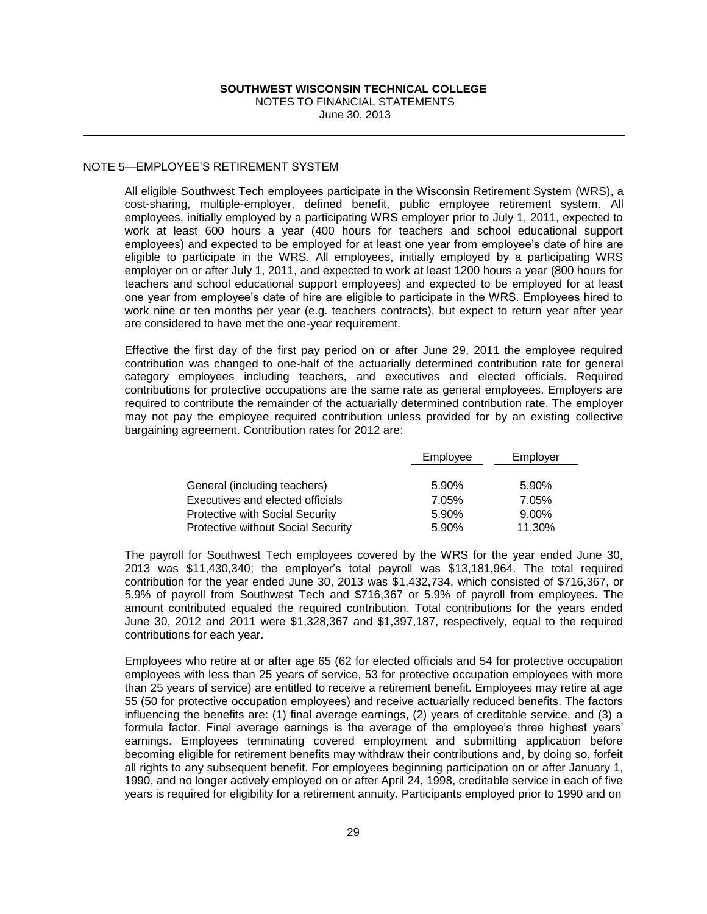## NOTE 5—EMPLOYEE'S RETIREMENT SYSTEM

All eligible Southwest Tech employees participate in the Wisconsin Retirement System (WRS), a cost-sharing, multiple-employer, defined benefit, public employee retirement system. All employees, initially employed by a participating WRS employer prior to July 1, 2011, expected to work at least 600 hours a year (400 hours for teachers and school educational support employees) and expected to be employed for at least one year from employee's date of hire are eligible to participate in the WRS. All employees, initially employed by a participating WRS employer on or after July 1, 2011, and expected to work at least 1200 hours a year (800 hours for teachers and school educational support employees) and expected to be employed for at least one year from employee's date of hire are eligible to participate in the WRS. Employees hired to work nine or ten months per year (e.g. teachers contracts), but expect to return year after year are considered to have met the one-year requirement.

Effective the first day of the first pay period on or after June 29, 2011 the employee required contribution was changed to one-half of the actuarially determined contribution rate for general category employees including teachers, and executives and elected officials. Required contributions for protective occupations are the same rate as general employees. Employers are required to contribute the remainder of the actuarially determined contribution rate. The employer may not pay the employee required contribution unless provided for by an existing collective bargaining agreement. Contribution rates for 2012 are:

|                                           | Employee | Employer |
|-------------------------------------------|----------|----------|
|                                           |          |          |
| General (including teachers)              | 5.90%    | 5.90%    |
| Executives and elected officials          | 7.05%    | 7.05%    |
| Protective with Social Security           | 5.90%    | 9.00%    |
| <b>Protective without Social Security</b> | 5.90%    | 11.30%   |

The payroll for Southwest Tech employees covered by the WRS for the year ended June 30, 2013 was \$11,430,340; the employer's total payroll was \$13,181,964. The total required contribution for the year ended June 30, 2013 was \$1,432,734, which consisted of \$716,367, or 5.9% of payroll from Southwest Tech and \$716,367 or 5.9% of payroll from employees. The amount contributed equaled the required contribution. Total contributions for the years ended June 30, 2012 and 2011 were \$1,328,367 and \$1,397,187, respectively, equal to the required contributions for each year.

**SOUTHWEST WISCONSINT TECHNICAL COLLEGE**<br>
NOTES TO FINANCIAL STATEMENTS<br>
Une 30, 2013<br>
Une 30, 2013<br>
ETIREMENT SYSTEM<br>
ETIREMENT SYSTEM<br>
ETIREMENT SYSTEM<br>
ETIREMENT SYSTEM<br>
ETIREMENT SYSTEM<br>
CHE and been differed by the an Employees who retire at or after age 65 (62 for elected officials and 54 for protective occupation employees with less than 25 years of service, 53 for protective occupation employees with more than 25 years of service) are entitled to receive a retirement benefit. Employees may retire at age 55 (50 for protective occupation employees) and receive actuarially reduced benefits. The factors influencing the benefits are: (1) final average earnings, (2) years of creditable service, and (3) a formula factor. Final average earnings is the average of the employee's three highest years' earnings. Employees terminating covered employment and submitting application before becoming eligible for retirement benefits may withdraw their contributions and, by doing so, forfeit all rights to any subsequent benefit. For employees beginning participation on or after January 1, 1990, and no longer actively employed on or after April 24, 1998, creditable service in each of five years is required for eligibility for a retirement annuity. Participants employed prior to 1990 and on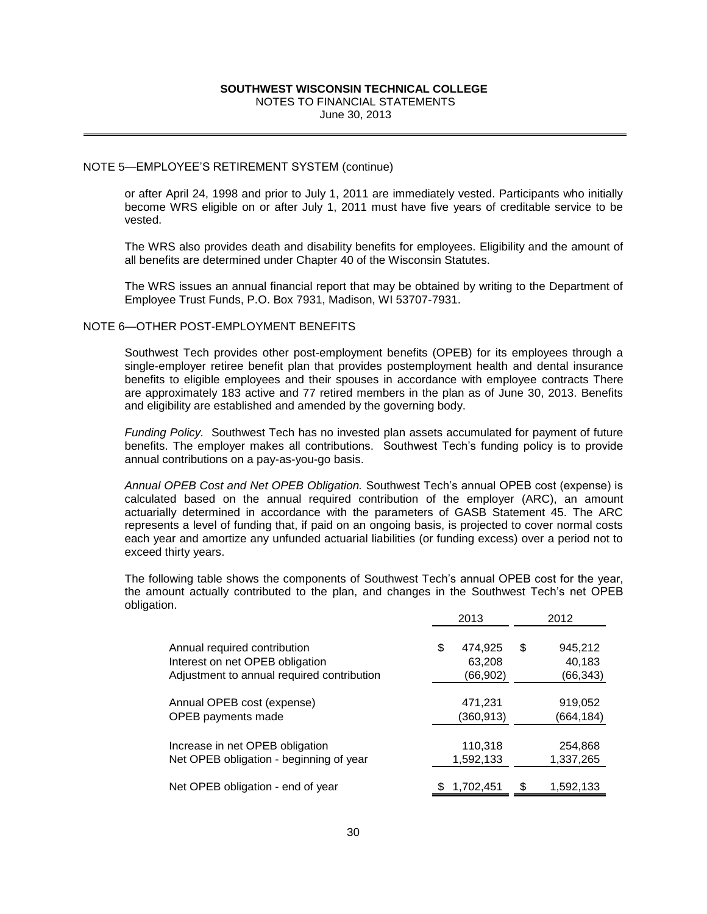## NOTE 5—EMPLOYEE'S RETIREMENT SYSTEM (continue)

or after April 24, 1998 and prior to July 1, 2011 are immediately vested. Participants who initially become WRS eligible on or after July 1, 2011 must have five years of creditable service to be vested.

The WRS also provides death and disability benefits for employees. Eligibility and the amount of all benefits are determined under Chapter 40 of the Wisconsin Statutes.

The WRS issues an annual financial report that may be obtained by writing to the Department of Employee Trust Funds, P.O. Box 7931, Madison, WI 53707-7931.

## NOTE 6—OTHER POST-EMPLOYMENT BENEFITS

Southwest Tech provides other post-employment benefits (OPEB) for its employees through a single-employer retiree benefit plan that provides postemployment health and dental insurance benefits to eligible employees and their spouses in accordance with employee contracts There are approximately 183 active and 77 retired members in the plan as of June 30, 2013. Benefits and eligibility are established and amended by the governing body.

*Funding Policy.* Southwest Tech has no invested plan assets accumulated for payment of future benefits. The employer makes all contributions. Southwest Tech's funding policy is to provide annual contributions on a pay-as-you-go basis.

*Annual OPEB Cost and Net OPEB Obligation.* Southwest Tech's annual OPEB cost (expense) is calculated based on the annual required contribution of the employer (ARC), an amount actuarially determined in accordance with the parameters of GASB Statement 45. The ARC represents a level of funding that, if paid on an ongoing basis, is projected to cover normal costs each year and amortize any unfunded actuarial liabilities (or funding excess) over a period not to exceed thirty years.

The following table shows the components of Southwest Tech's annual OPEB cost for the year, the amount actually contributed to the plan, and changes in the Southwest Tech's net OPEB obligation.

| SOUTHWEST WISCONSIN TECHNICAL COLLEGE<br>NOTES TO FINANCIAL STATEMENTS<br>June 30, 2013                                                                                                                                                                                                                                                                                                                                                                       |                                      |                                      |
|---------------------------------------------------------------------------------------------------------------------------------------------------------------------------------------------------------------------------------------------------------------------------------------------------------------------------------------------------------------------------------------------------------------------------------------------------------------|--------------------------------------|--------------------------------------|
| LOYEE'S RETIREMENT SYSTEM (continue)                                                                                                                                                                                                                                                                                                                                                                                                                          |                                      |                                      |
| April 24, 1998 and prior to July 1, 2011 are immediately vested. Participants who initial<br>e WRS eligible on or after July 1, 2011 must have five years of creditable service to                                                                                                                                                                                                                                                                            |                                      |                                      |
| RS also provides death and disability benefits for employees. Eligibility and the amount<br>efits are determined under Chapter 40 of the Wisconsin Statutes.                                                                                                                                                                                                                                                                                                  |                                      |                                      |
| RS issues an annual financial report that may be obtained by writing to the Department<br>ee Trust Funds, P.O. Box 7931, Madison, WI 53707-7931.                                                                                                                                                                                                                                                                                                              |                                      |                                      |
| ER POST-EMPLOYMENT BENEFITS                                                                                                                                                                                                                                                                                                                                                                                                                                   |                                      |                                      |
| rest Tech provides other post-employment benefits (OPEB) for its employees through<br>employer retiree benefit plan that provides postemployment health and dental insuran<br>s to eligible employees and their spouses in accordance with employee contracts The<br>proximately 183 active and 77 retired members in the plan as of June 30, 2013. Benef<br>gibility are established and amended by the governing body.                                      |                                      |                                      |
| g Policy. Southwest Tech has no invested plan assets accumulated for payment of futu<br>s. The employer makes all contributions. Southwest Tech's funding policy is to provi<br>contributions on a pay-as-you-go basis.                                                                                                                                                                                                                                       |                                      |                                      |
| OPEB Cost and Net OPEB Obligation. Southwest Tech's annual OPEB cost (expense)<br>ted based on the annual required contribution of the employer (ARC), an amou<br>ally determined in accordance with the parameters of GASB Statement 45. The AF<br>ents a level of funding that, if paid on an ongoing basis, is projected to cover normal cos<br>ear and amortize any unfunded actuarial liabilities (or funding excess) over a period not<br>thirty years. |                                      |                                      |
| lowing table shows the components of Southwest Tech's annual OPEB cost for the yea<br>ount actually contributed to the plan, and changes in the Southwest Tech's net OPI<br>on.                                                                                                                                                                                                                                                                               |                                      |                                      |
|                                                                                                                                                                                                                                                                                                                                                                                                                                                               | 2013                                 | 2012                                 |
| Annual required contribution<br>Interest on net OPEB obligation<br>Adjustment to annual required contribution                                                                                                                                                                                                                                                                                                                                                 | \$<br>474,925<br>63,208<br>(66, 902) | \$<br>945,212<br>40,183<br>(66, 343) |
| Annual OPEB cost (expense)<br>OPEB payments made                                                                                                                                                                                                                                                                                                                                                                                                              | 471,231<br>(360, 913)                | 919,052<br>(664, 184)                |
| Increase in net OPEB obligation<br>Net OPEB obligation - beginning of year                                                                                                                                                                                                                                                                                                                                                                                    | 110,318<br>1,592,133                 | 254,868<br>1,337,265                 |
| Net OPEB obligation - end of year                                                                                                                                                                                                                                                                                                                                                                                                                             | 1,702,451                            | 1,592,133<br>\$                      |
| 30                                                                                                                                                                                                                                                                                                                                                                                                                                                            |                                      |                                      |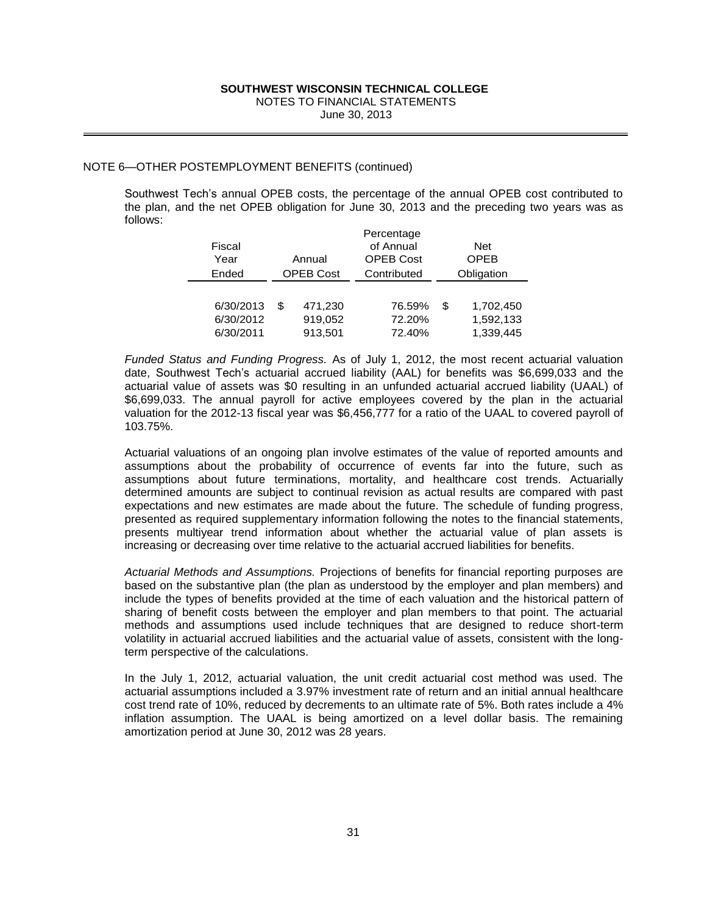## NOTE 6—OTHER POSTEMPLOYMENT BENEFITS (continued)

Southwest Tech's annual OPEB costs, the percentage of the annual OPEB cost contributed to the plan, and the net OPEB obligation for June 30, 2013 and the preceding two years was as follows:

|                                         | SOUTHWEST WISCONSIN TECHNICAL COLLEGE<br>NOTES TO FINANCIAL STATEMENTS | June 30, 2013                                              |                                                                                                                                                                                                                                                                                                                                                                                                                                                                                                                                                                        |
|-----------------------------------------|------------------------------------------------------------------------|------------------------------------------------------------|------------------------------------------------------------------------------------------------------------------------------------------------------------------------------------------------------------------------------------------------------------------------------------------------------------------------------------------------------------------------------------------------------------------------------------------------------------------------------------------------------------------------------------------------------------------------|
| POSTEMPLOYMENT BENEFITS (continued)     |                                                                        |                                                            | Tech's annual OPEB costs, the percentage of the annual OPEB o<br>nd the net OPEB obligation for June 30, 2013 and the preceding                                                                                                                                                                                                                                                                                                                                                                                                                                        |
| Fiscal<br>Year<br>Ended                 | Annual<br>OPEB Cost                                                    | Percentage<br>of Annual<br><b>OPEB Cost</b><br>Contributed | <b>Net</b><br><b>OPEB</b><br>Obligation                                                                                                                                                                                                                                                                                                                                                                                                                                                                                                                                |
| 6/30/2013<br>6/30/2012<br>6/30/2011     | \$<br>471,230<br>919,052<br>913,501                                    | 76.59%<br>72.20%<br>72.40%                                 | \$<br>1,702,450<br>1,592,133<br>1,339,445                                                                                                                                                                                                                                                                                                                                                                                                                                                                                                                              |
|                                         |                                                                        |                                                            | atus and Funding Progress. As of July 1, 2012, the most recent a<br>nwest Tech's actuarial accrued liability (AAL) for benefits was \$6<br>alue of assets was \$0 resulting in an unfunded actuarial accrued<br>. The annual payroll for active employees covered by the plar<br>or the 2012-13 fiscal year was \$6,456,777 for a ratio of the UAAL to                                                                                                                                                                                                                 |
|                                         |                                                                        |                                                            | aluations of an ongoing plan involve estimates of the value of repo<br>s about the probability of occurrence of events far into the<br>s about future terminations, mortality, and healthcare cost to<br>amounts are subject to continual revision as actual results are co<br>s and new estimates are made about the future. The schedule of<br>as required supplementary information following the notes to the fina<br>nultiyear trend information about whether the actuarial value c<br>or decreasing over time relative to the actuarial accrued liabilities for |
| ective of the calculations.             |                                                                        |                                                            | lethods and Assumptions. Projections of benefits for financial repor<br>ne substantive plan (the plan as understood by the employer and pl<br>types of benefits provided at the time of each valuation and the h<br>benefit costs between the employer and plan members to that po<br>nd assumptions used include techniques that are designed to r<br>actuarial accrued liabilities and the actuarial value of assets, consis                                                                                                                                         |
| n period at June 30, 2012 was 28 years. |                                                                        |                                                            | 1, 2012, actuarial valuation, the unit credit actuarial cost metho<br>sumptions included a 3.97% investment rate of return and an initial<br>ate of 10%, reduced by decrements to an ultimate rate of 5%. Both r<br>sumption. The UAAL is being amortized on a level dollar basi                                                                                                                                                                                                                                                                                       |
|                                         |                                                                        |                                                            |                                                                                                                                                                                                                                                                                                                                                                                                                                                                                                                                                                        |
|                                         | 31                                                                     |                                                            |                                                                                                                                                                                                                                                                                                                                                                                                                                                                                                                                                                        |

*Funded Status and Funding Progress.* As of July 1, 2012, the most recent actuarial valuation date, Southwest Tech's actuarial accrued liability (AAL) for benefits was \$6,699,033 and the actuarial value of assets was \$0 resulting in an unfunded actuarial accrued liability (UAAL) of \$6,699,033. The annual payroll for active employees covered by the plan in the actuarial valuation for the 2012-13 fiscal year was \$6,456,777 for a ratio of the UAAL to covered payroll of 103.75%.

Actuarial valuations of an ongoing plan involve estimates of the value of reported amounts and assumptions about the probability of occurrence of events far into the future, such as assumptions about future terminations, mortality, and healthcare cost trends. Actuarially determined amounts are subject to continual revision as actual results are compared with past expectations and new estimates are made about the future. The schedule of funding progress, presented as required supplementary information following the notes to the financial statements, presents multiyear trend information about whether the actuarial value of plan assets is increasing or decreasing over time relative to the actuarial accrued liabilities for benefits.

*Actuarial Methods and Assumptions.* Projections of benefits for financial reporting purposes are based on the substantive plan (the plan as understood by the employer and plan members) and include the types of benefits provided at the time of each valuation and the historical pattern of sharing of benefit costs between the employer and plan members to that point. The actuarial methods and assumptions used include techniques that are designed to reduce short-term volatility in actuarial accrued liabilities and the actuarial value of assets, consistent with the longterm perspective of the calculations.

In the July 1, 2012, actuarial valuation, the unit credit actuarial cost method was used. The actuarial assumptions included a 3.97% investment rate of return and an initial annual healthcare cost trend rate of 10%, reduced by decrements to an ultimate rate of 5%. Both rates include a 4% inflation assumption. The UAAL is being amortized on a level dollar basis. The remaining amortization period at June 30, 2012 was 28 years.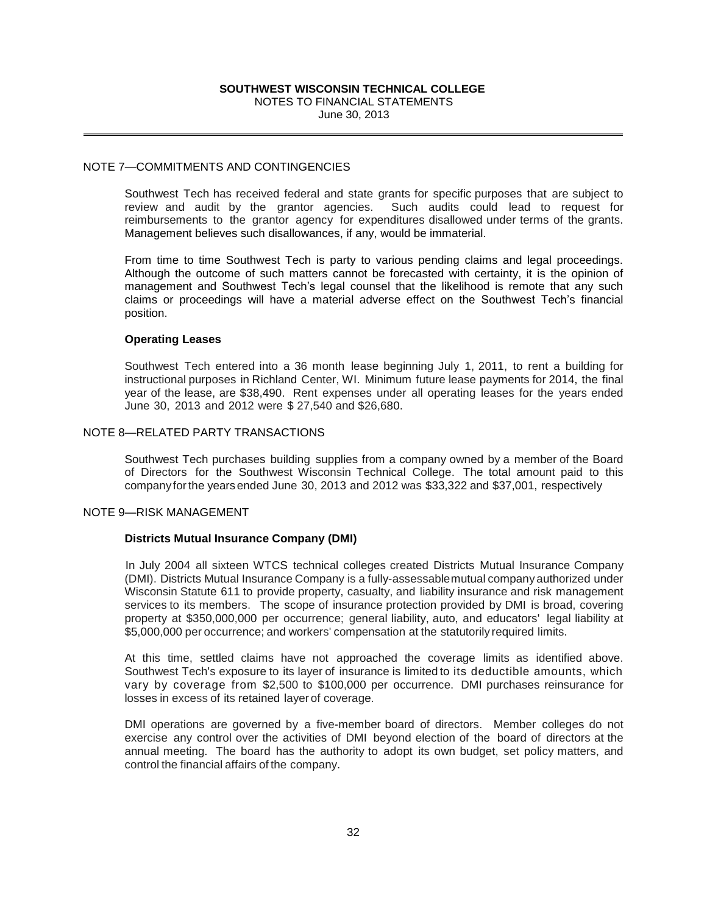## NOTE 7—COMMITMENTS AND CONTINGENCIES

Southwest Tech has received federal and state grants for specific purposes that are subject to review and audit by the grantor agencies. Such audits could lead to request for reimbursements to the grantor agency for expenditures disallowed under terms of the grants. Management believes such disallowances, if any, would be immaterial.

From time to time Southwest Tech is party to various pending claims and legal proceedings. Although the outcome of such matters cannot be forecasted with certainty, it is the opinion of management and Southwest Tech's legal counsel that the likelihood is remote that any such claims or proceedings will have a material adverse effect on the Southwest Tech's financial position.

## **Operating Leases**

Southwest Tech entered into a 36 month lease beginning July 1, 2011, to rent a building for instructional purposes in Richland Center, WI. Minimum future lease payments for 2014, the final year of the lease, are \$38,490. Rent expenses under all operating leases for the years ended June 30, 2013 and 2012 were \$ 27,540 and \$26,680.

## NOTE 8—RELATED PARTY TRANSACTIONS

Southwest Tech purchases building supplies from a company owned by a member of the Board of Directors for the Southwest Wisconsin Technical College. The total amount paid to this company forthe years ended June 30, 2013 and 2012 was \$33,322 and \$37,001, respectively

## NOTE 9—RISK MANAGEMENT

## **Districts Mutual Insurance Company (DMI)**

**SOUTHWEST WISCONSINT TECHNICAL COLLEGE**<br>
NOTES TO FINANCIAL STATEMENTS<br>
SAND CONTINGENCIES<br>
SAND CONTINGENCIES<br>
SAND CONTINGENCIES<br>
SAND CONTINGENCIES<br>
SAND CONTINGENCIES<br>
SAND CONTINGENCIES<br>
SAND TO SUMPLE SAND AND AND A In July 2004 all sixteen WTCS technical colleges created Districts Mutual Insurance Company (DMI). Districts Mutual Insurance Company is a fully-assessablemutual company authorized under Wisconsin Statute 611 to provide property, casualty, and liability insurance and risk management services to its members. The scope of insurance protection provided by DMI is broad, covering property at \$350,000,000 per occurrence; general liability, auto, and educators' legal liability at \$5,000,000 per occurrence; and workers' compensation at the statutorily required limits.

At this time, settled claims have not approached the coverage limits as identified above. Southwest Tech's exposure to its layer of insurance is limited to its deductible amounts, which vary by coverage from \$2,500 to \$100,000 per occurrence. DMI purchases reinsurance for losses in excess of its retained layer of coverage.

DMI operations are governed by a five-member board of directors. Member colleges do not exercise any control over the activities of DMI beyond election of the board of directors at the annual meeting. The board has the authority to adopt its own budget, set policy matters, and control the financial affairs of the company.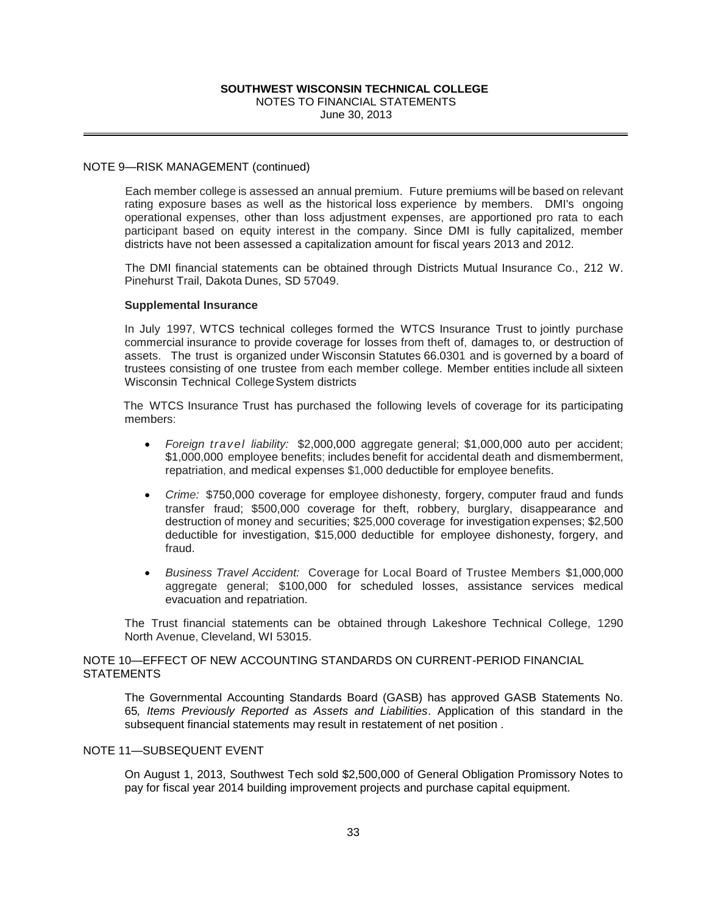## NOTE 9—RISK MANAGEMENT (continued)

**SOUTHWEST WISCONSINT TECHNICAL COLLEGE**<br>
NOTES TO FINANCIAL STATEMENTS<br>
June 30, 2013<br>
MENT (continued)<br>
gge is assessed an annual premium. Future premium<br>
seses as well as the historical loss experience by more premium<br> Each member college is assessed an annual premium. Future premiums will be based on relevant rating exposure bases as well as the historical loss experience by members. DMI's ongoing operational expenses, other than loss adjustment expenses, are apportioned pro rata to each participant based on equity interest in the company. Since DMI is fully capitalized, member districts have not been assessed a capitalization amount for fiscal years 2013 and 2012.

The DMI financial statements can be obtained through Districts Mutual Insurance Co., 212 W. Pinehurst Trail, Dakota Dunes, SD 57049.

## **Supplemental Insurance**

In July 1997, WTCS technical colleges formed the WTCS Insurance Trust to jointly purchase commercial insurance to provide coverage for losses from theft of, damages to, or destruction of assets. The trust is organized under Wisconsin Statutes 66.0301 and is governed by a board of trustees consisting of one trustee from each member college. Member entities include all sixteen Wisconsin Technical College System districts

The WTCS Insurance Trust has purchased the following levels of coverage for its participating members:

- *Foreign travel liability:* \$2,000,000 aggregate general; \$1,000,000 auto per accident; \$1,000,000 employee benefits; includes benefit for accidental death and dismemberment, repatriation, and medical expenses \$1,000 deductible for employee benefits.
- *Crime:* \$750,000 coverage for employee dishonesty, forgery, computer fraud and funds transfer fraud; \$500,000 coverage for theft, robbery, burglary, disappearance and destruction of money and securities; \$25,000 coverage for investigation expenses; \$2,500 deductible for investigation, \$15,000 deductible for employee dishonesty, forgery, and fraud.
- *Business Travel Accident:* Coverage for Local Board of Trustee Members \$1,000,000 aggregate general; \$100,000 for scheduled losses, assistance services medical evacuation and repatriation.

The Trust financial statements can be obtained through Lakeshore Technical College, 1290 North Avenue, Cleveland, WI 53015.

## NOTE 10—EFFECT OF NEW ACCOUNTING STANDARDS ON CURRENT-PERIOD FINANCIAL **STATEMENTS**

The Governmental Accounting Standards Board (GASB) has approved GASB Statements No. 65*, Items Previously Reported as Assets and Liabilities*. Application of this standard in the subsequent financial statements may result in restatement of net position .

## NOTE 11—SUBSEQUENT EVENT

On August 1, 2013, Southwest Tech sold \$2,500,000 of General Obligation Promissory Notes to pay for fiscal year 2014 building improvement projects and purchase capital equipment.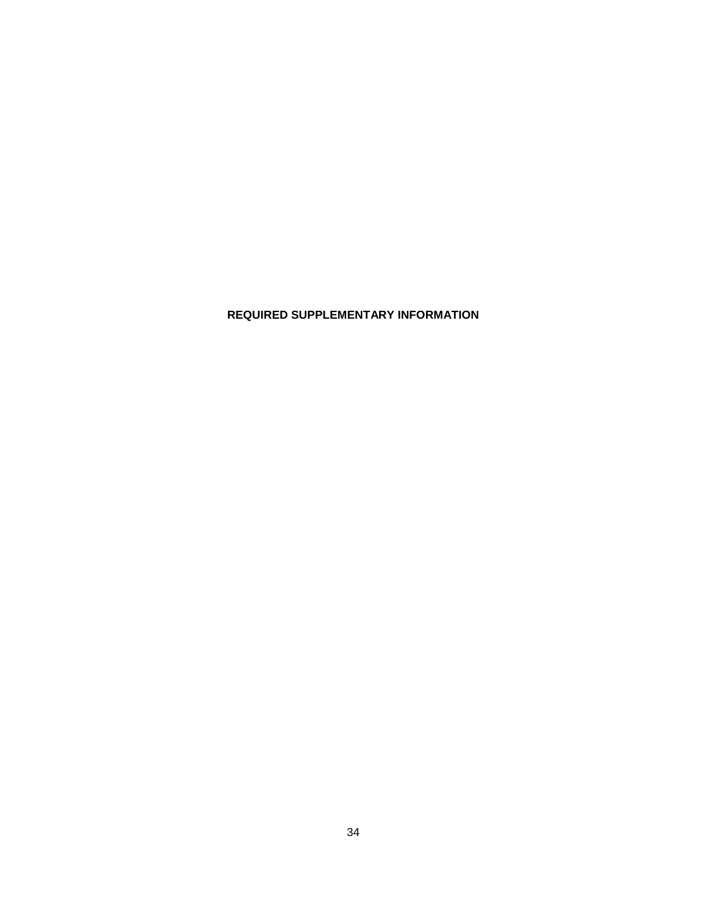**REQUIRED SUPPLEMENTARY INFORMATION**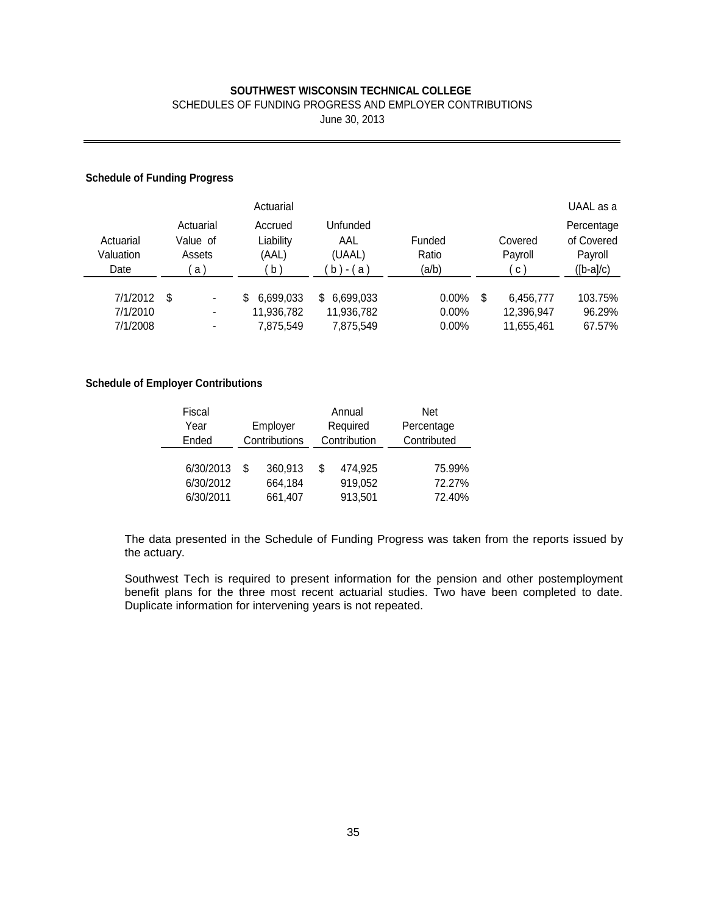## SCHEDULES OF FUNDING PROGRESS AND EMPLOYER CONTRIBUTIONS

June 30, 2013

## **Schedule of Funding Progress**

|                                |                                                                                        | Actuarial                    |                                          |                          |                               | UAAL as a                                          |
|--------------------------------|----------------------------------------------------------------------------------------|------------------------------|------------------------------------------|--------------------------|-------------------------------|----------------------------------------------------|
| Actuarial<br>Valuation<br>Date | Actuarial<br>Accrued<br>Liability<br>Value of<br>(AAL)<br>Assets<br>$\mathsf{b}$<br>a) |                              | Unfunded<br>AAL<br>(UAAL)<br>- ( a<br>b) | Funded<br>Ratio<br>(a/b) | Covered<br>Payroll<br>C       | Percentage<br>of Covered<br>Payroll<br>$([b-a]/c)$ |
| 7/1/2012<br>7/1/2010           | \$<br>۰<br>٠                                                                           | 6.699.033<br>S<br>11,936,782 | 6,699,033<br>S.<br>11,936,782            | $0.00\%$<br>$0.00\%$     | \$<br>6,456,777<br>12,396,947 | 103.75%<br>96.29%                                  |
| 7/1/2008                       | ٠                                                                                      | 7,875,549                    | 7,875,549                                | $0.00\%$                 | 11,655,461                    | 67.57%                                             |

## **Schedule of Employer Contributions**

| Fiscal    |          |               |   | Annual       | Net         |  |  |  |
|-----------|----------|---------------|---|--------------|-------------|--|--|--|
| Year      | Employer |               |   | Required     | Percentage  |  |  |  |
| Ended     |          | Contributions |   | Contribution | Contributed |  |  |  |
|           |          |               |   |              |             |  |  |  |
| 6/30/2013 | \$       | 360,913       | S | 474,925      | 75.99%      |  |  |  |
| 6/30/2012 |          | 664,184       |   | 919,052      | 72.27%      |  |  |  |
| 6/30/2011 |          | 661,407       |   | 913,501      | 72.40%      |  |  |  |

The data presented in the Schedule of Funding Progress was taken from the reports issued by the actuary.

Southwest Tech is required to present information for the pension and other postemployment benefit plans for the three most recent actuarial studies. Two have been completed to date. Duplicate information for intervening years is not repeated.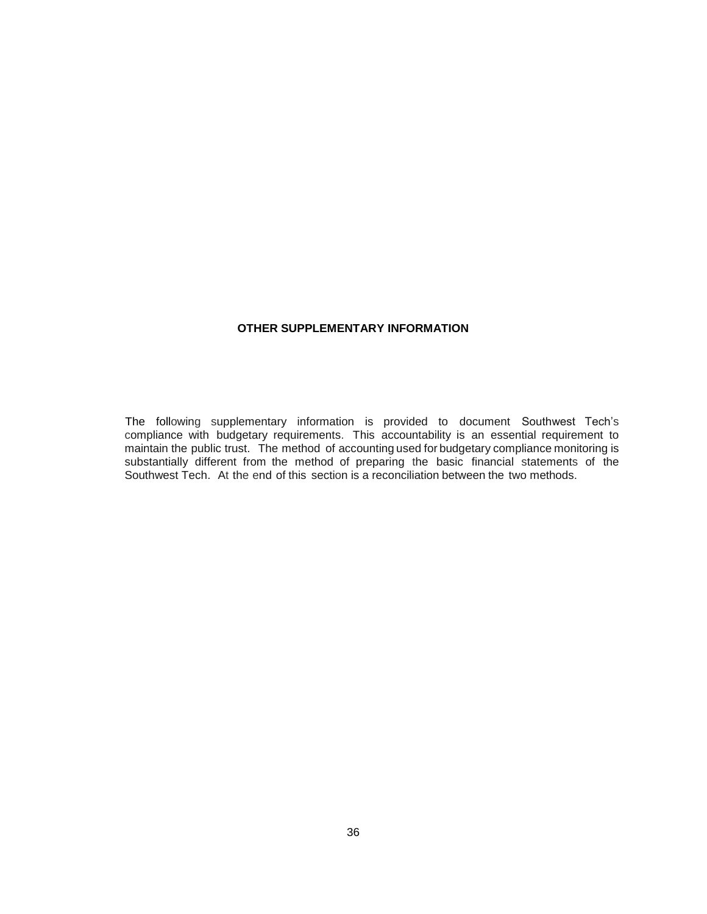## **OTHER SUPPLEMENTARY INFORMATION**

The following supplementary information is provided to document Southwest Tech's compliance with budgetary requirements. This accountability is an essential requirement to maintain the public trust. The method of accounting used for budgetary compliance monitoring is substantially different from the method of preparing the basic financial statements of the Southwest Tech. At the end of this section is a reconciliation between the two methods.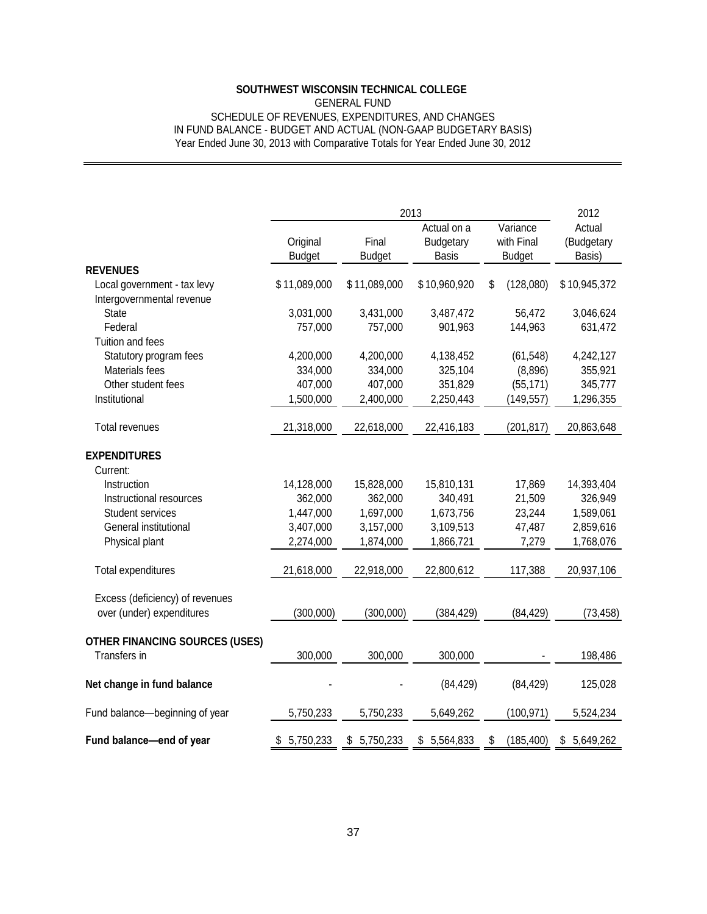## GENERAL FUND SCHEDULE OF REVENUES, EXPENDITURES, AND CHANGES IN FUND BALANCE - BUDGET AND ACTUAL (NON-GAAP BUDGETARY BASIS) Year Ended June 30, 2013 with Comparative Totals for Year Ended June 30, 2012

|                                                                                                                                                 | <b>SOUTHWEST WISCONSIN TECHNICAL COLLEGE</b>                 | <b>GENERAL FUND</b>                                          | SCHEDULE OF REVENUES, EXPENDITURES, AND CHANGES              |                                               |                                                              |  |  |  |
|-------------------------------------------------------------------------------------------------------------------------------------------------|--------------------------------------------------------------|--------------------------------------------------------------|--------------------------------------------------------------|-----------------------------------------------|--------------------------------------------------------------|--|--|--|
| IN FUND BALANCE - BUDGET AND ACTUAL (NON-GAAP BUDGETARY BASIS)<br>Year Ended June 30, 2013 with Comparative Totals for Year Ended June 30, 2012 |                                                              |                                                              |                                                              |                                               |                                                              |  |  |  |
|                                                                                                                                                 |                                                              |                                                              |                                                              |                                               |                                                              |  |  |  |
|                                                                                                                                                 | 2013                                                         |                                                              |                                                              |                                               |                                                              |  |  |  |
|                                                                                                                                                 | Original<br><b>Budget</b>                                    | Final<br><b>Budget</b>                                       | Actual on a<br><b>Budgetary</b><br><b>Basis</b>              | Variance<br>with Final<br><b>Budget</b>       | Actual<br>(Budgetary<br>Basis)                               |  |  |  |
| <b>REVENUES</b><br>Local government - tax levy                                                                                                  | \$11,089,000                                                 | \$11,089,000                                                 | \$10,960,920                                                 | \$<br>(128,080)                               | \$10,945,372                                                 |  |  |  |
| Intergovernmental revenue<br><b>State</b><br>Federal<br>Tuition and fees                                                                        | 3,031,000<br>757,000                                         | 3,431,000<br>757,000                                         | 3,487,472<br>901,963                                         | 56,472<br>144,963                             | 3,046,624<br>631,472                                         |  |  |  |
| Statutory program fees<br>Materials fees<br>Other student fees                                                                                  | 4,200,000<br>334,000<br>407,000                              | 4,200,000<br>334,000<br>407,000                              | 4,138,452<br>325,104<br>351,829                              | (61, 548)<br>(8,896)<br>(55, 171)             | 4,242,127<br>355,921<br>345,777                              |  |  |  |
| Institutional<br>Total revenues                                                                                                                 | 1,500,000<br>21,318,000                                      | 2,400,000<br>22,618,000                                      | 2,250,443<br>22,416,183                                      | (149,557)<br>(201, 817)                       | 1,296,355<br>20,863,648                                      |  |  |  |
| <b>EXPENDITURES</b><br>Current:                                                                                                                 |                                                              |                                                              |                                                              |                                               |                                                              |  |  |  |
| Instruction<br>Instructional resources<br>Student services<br>General institutional<br>Physical plant                                           | 14,128,000<br>362,000<br>1,447,000<br>3,407,000<br>2,274,000 | 15,828,000<br>362,000<br>1,697,000<br>3,157,000<br>1,874,000 | 15,810,131<br>340,491<br>1,673,756<br>3,109,513<br>1,866,721 | 17,869<br>21,509<br>23,244<br>47,487<br>7,279 | 14,393,404<br>326,949<br>1,589,061<br>2,859,616<br>1,768,076 |  |  |  |
| Total expenditures                                                                                                                              | 21,618,000                                                   | 22,918,000                                                   | 22,800,612                                                   | 117,388                                       | 20,937,106                                                   |  |  |  |
| Excess (deficiency) of revenues<br>over (under) expenditures                                                                                    | (300,000)                                                    | (300,000)                                                    | (384, 429)                                                   | (84, 429)                                     | (73, 458)                                                    |  |  |  |
| <b>OTHER FINANCING SOURCES (USES)</b><br>Transfers in                                                                                           | 300,000                                                      | 300,000                                                      | 300,000                                                      |                                               | 198,486                                                      |  |  |  |
| Net change in fund balance                                                                                                                      |                                                              |                                                              | (84, 429)                                                    | (84, 429)                                     | 125,028                                                      |  |  |  |
| Fund balance-beginning of year                                                                                                                  | 5,750,233                                                    | 5,750,233                                                    | 5,649,262                                                    | (100, 971)                                    | 5,524,234                                                    |  |  |  |
| Fund balance-end of year                                                                                                                        | \$5,750,233                                                  | \$5,750,233                                                  | \$5,564,833                                                  | (185, 400)<br>\$                              | \$5,649,262                                                  |  |  |  |
|                                                                                                                                                 |                                                              |                                                              |                                                              |                                               |                                                              |  |  |  |
|                                                                                                                                                 |                                                              | 37                                                           |                                                              |                                               |                                                              |  |  |  |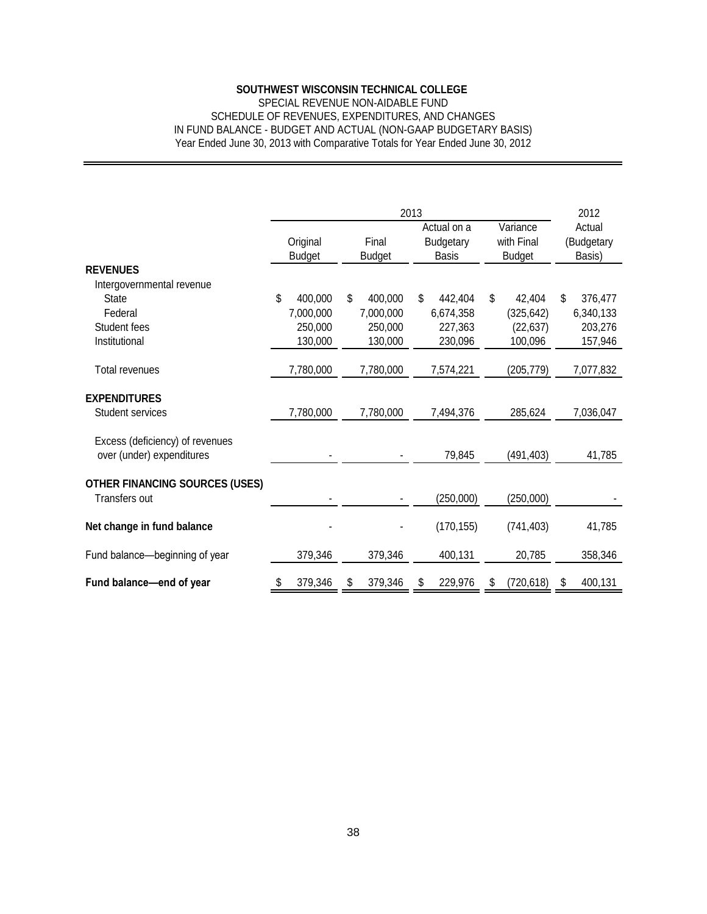## SPECIAL REVENUE NON-AIDABLE FUND SCHEDULE OF REVENUES, EXPENDITURES, AND CHANGES IN FUND BALANCE - BUDGET AND ACTUAL (NON-GAAP BUDGETARY BASIS) Year Ended June 30, 2013 with Comparative Totals for Year Ended June 30, 2012

| SCHEDULE OF REVENUES, EXPENDITURES, AND CHANGES                                                                                                 |    |                                            |                        | <b>SOUTHWEST WISCONSIN TECHNICAL COLLEGE</b><br>SPECIAL REVENUE NON-AIDABLE FUND |            |                                                 |                                         |                                              |                                |                                            |
|-------------------------------------------------------------------------------------------------------------------------------------------------|----|--------------------------------------------|------------------------|----------------------------------------------------------------------------------|------------|-------------------------------------------------|-----------------------------------------|----------------------------------------------|--------------------------------|--------------------------------------------|
| IN FUND BALANCE - BUDGET AND ACTUAL (NON-GAAP BUDGETARY BASIS)<br>Year Ended June 30, 2013 with Comparative Totals for Year Ended June 30, 2012 |    |                                            |                        |                                                                                  |            |                                                 |                                         |                                              |                                |                                            |
|                                                                                                                                                 |    |                                            |                        |                                                                                  |            |                                                 |                                         |                                              |                                |                                            |
|                                                                                                                                                 |    |                                            |                        | 2012                                                                             |            |                                                 |                                         |                                              |                                |                                            |
|                                                                                                                                                 |    | Original<br><b>Budget</b>                  | Final<br><b>Budget</b> |                                                                                  |            | Actual on a<br><b>Budgetary</b><br><b>Basis</b> | Variance<br>with Final<br><b>Budget</b> |                                              | Actual<br>(Budgetary<br>Basis) |                                            |
| <b>REVENUES</b>                                                                                                                                 |    |                                            |                        |                                                                                  |            |                                                 |                                         |                                              |                                |                                            |
| Intergovernmental revenue<br><b>State</b><br>Federal<br>Student fees<br>Institutional                                                           | \$ | 400,000<br>7,000,000<br>250,000<br>130,000 | \$                     | 400,000<br>7,000,000<br>250,000<br>130,000                                       | \$         | 442,404<br>6,674,358<br>227,363<br>230,096      | \$                                      | 42,404<br>(325, 642)<br>(22, 637)<br>100,096 | \$                             | 376,477<br>6,340,133<br>203,276<br>157,946 |
| Total revenues                                                                                                                                  |    | 7,780,000                                  |                        | 7,780,000                                                                        |            | 7,574,221                                       |                                         | (205, 779)                                   |                                | 7,077,832                                  |
| <b>EXPENDITURES</b><br>Student services                                                                                                         |    | 7,780,000                                  |                        | 7,780,000                                                                        |            | 7,494,376                                       |                                         | 285,624                                      |                                | 7,036,047                                  |
| Excess (deficiency) of revenues<br>over (under) expenditures                                                                                    |    |                                            |                        |                                                                                  |            | 79,845                                          |                                         | (491,403)                                    |                                | 41,785                                     |
| <b>OTHER FINANCING SOURCES (USES)</b><br>Transfers out                                                                                          |    |                                            |                        |                                                                                  |            | (250,000)                                       |                                         | (250,000)                                    |                                |                                            |
| Net change in fund balance                                                                                                                      |    |                                            |                        |                                                                                  | (170, 155) |                                                 | (741, 403)                              |                                              |                                | 41,785                                     |
| Fund balance-beginning of year                                                                                                                  |    | 379,346                                    |                        | 379,346                                                                          |            | 400,131                                         |                                         | 20,785                                       |                                | 358,346                                    |
| Fund balance-end of year                                                                                                                        | P. | 379,346                                    | \$                     | 379,346                                                                          | \$         | 229,976                                         | \$                                      | (720, 618)                                   | \$                             | 400,131                                    |
|                                                                                                                                                 |    |                                            |                        |                                                                                  |            |                                                 |                                         |                                              |                                |                                            |
|                                                                                                                                                 |    |                                            |                        |                                                                                  |            |                                                 |                                         |                                              |                                |                                            |
|                                                                                                                                                 |    |                                            |                        |                                                                                  |            |                                                 |                                         |                                              |                                |                                            |
|                                                                                                                                                 |    |                                            |                        |                                                                                  |            |                                                 |                                         |                                              |                                |                                            |
|                                                                                                                                                 |    |                                            |                        |                                                                                  |            |                                                 |                                         |                                              |                                |                                            |
|                                                                                                                                                 |    |                                            |                        |                                                                                  |            |                                                 |                                         |                                              |                                |                                            |
|                                                                                                                                                 |    |                                            |                        |                                                                                  |            |                                                 |                                         |                                              |                                |                                            |
|                                                                                                                                                 |    |                                            | 38                     |                                                                                  |            |                                                 |                                         |                                              |                                |                                            |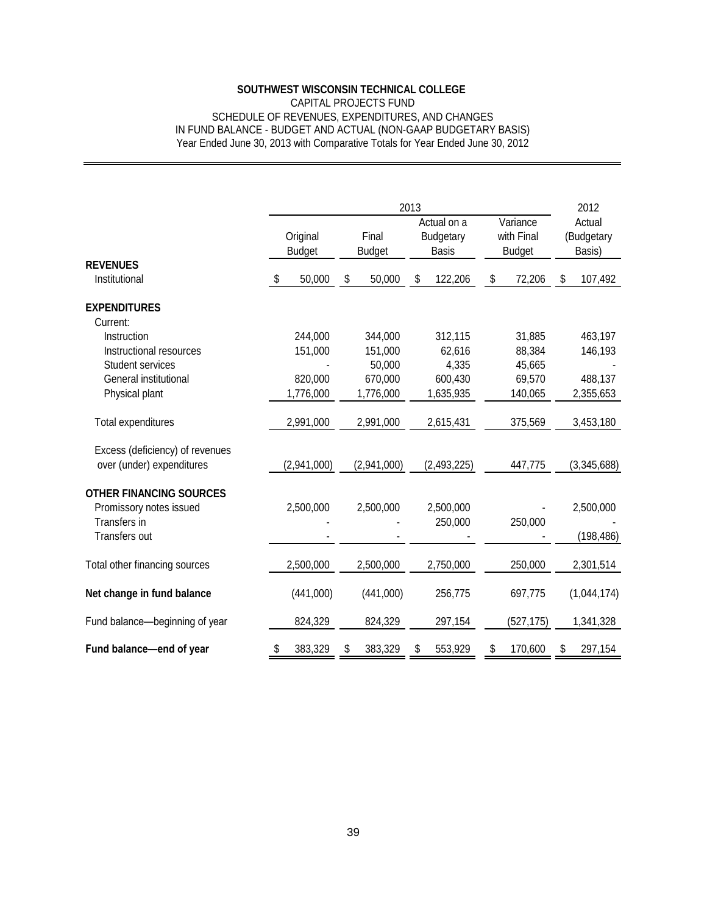## CAPITAL PROJECTS FUND SCHEDULE OF REVENUES, EXPENDITURES, AND CHANGES IN FUND BALANCE - BUDGET AND ACTUAL (NON-GAAP BUDGETARY BASIS) Year Ended June 30, 2013 with Comparative Totals for Year Ended June 30, 2012

|                                                                                            |                           | 2013                           |                                                 |                                         |                                |  |  |  |  |  |  |
|--------------------------------------------------------------------------------------------|---------------------------|--------------------------------|-------------------------------------------------|-----------------------------------------|--------------------------------|--|--|--|--|--|--|
|                                                                                            | Original<br><b>Budget</b> | Final<br><b>Budget</b>         | Actual on a<br><b>Budgetary</b><br><b>Basis</b> | Variance<br>with Final<br><b>Budget</b> | Actual<br>(Budgetary<br>Basis) |  |  |  |  |  |  |
| <b>REVENUES</b><br>Institutional                                                           | 50,000<br>\$              | 50,000<br>\$                   | \$<br>122,206                                   | 72,206<br>\$                            | 107,492<br>\$                  |  |  |  |  |  |  |
| <b>EXPENDITURES</b>                                                                        |                           |                                |                                                 |                                         |                                |  |  |  |  |  |  |
| Current:<br>Instruction<br>Instructional resources                                         | 244,000<br>151,000        | 344,000<br>151,000             | 312,115<br>62,616                               | 31,885<br>88,384                        | 463,197<br>146,193             |  |  |  |  |  |  |
| Student services<br>General institutional<br>Physical plant                                | 820,000<br>1,776,000      | 50,000<br>670,000<br>1,776,000 | 4,335<br>600,430<br>1,635,935                   | 45,665<br>69,570<br>140,065             | 488,137<br>2,355,653           |  |  |  |  |  |  |
| Total expenditures                                                                         | 2,991,000                 | 2,991,000                      | 2,615,431                                       | 375,569                                 | 3,453,180                      |  |  |  |  |  |  |
| Excess (deficiency) of revenues<br>over (under) expenditures                               | (2,941,000)               | (2,941,000)                    | (2,493,225)                                     | 447,775                                 | (3,345,688)                    |  |  |  |  |  |  |
| <b>OTHER FINANCING SOURCES</b><br>Promissory notes issued<br>Transfers in<br>Transfers out | 2,500,000                 | 2,500,000                      | 2,500,000<br>250,000                            | 250,000                                 | 2,500,000<br>(198, 486)        |  |  |  |  |  |  |
| Total other financing sources                                                              | 2,500,000                 | 2,500,000                      | 2,750,000                                       | 250,000                                 | 2,301,514                      |  |  |  |  |  |  |
| Net change in fund balance                                                                 | (441,000)                 | (441,000)                      | 256,775                                         | 697,775                                 | (1,044,174)                    |  |  |  |  |  |  |
| Fund balance-beginning of year                                                             | 824,329                   | 824,329                        | 297,154                                         | (527, 175)                              | 1,341,328                      |  |  |  |  |  |  |
| Fund balance-end of year                                                                   | 383,329<br>\$             | 383,329<br>\$                  | 553,929<br>\$                                   | 170,600<br>\$                           | 297,154<br>\$                  |  |  |  |  |  |  |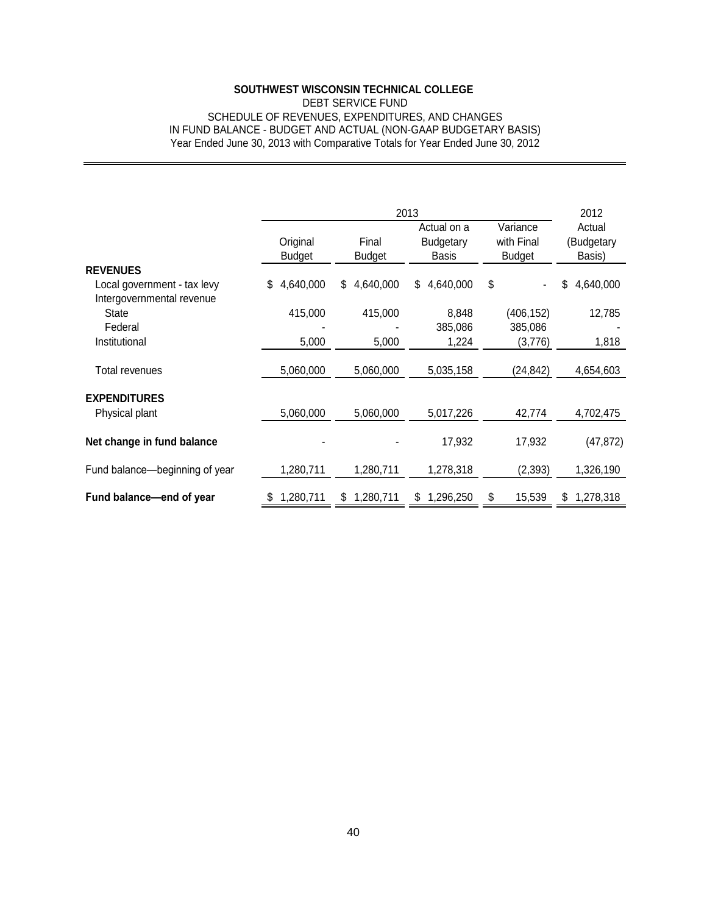## DEBT SERVICE FUND SCHEDULE OF REVENUES, EXPENDITURES, AND CHANGES IN FUND BALANCE - BUDGET AND ACTUAL (NON-GAAP BUDGETARY BASIS) Year Ended June 30, 2013 with Comparative Totals for Year Ended June 30, 2012

|                                                                                                                                                 | <b>SOUTHWEST WISCONSIN TECHNICAL COLLEGE</b><br>SCHEDULE OF REVENUES, EXPENDITURES, AND CHANGES | <b>DEBT SERVICE FUND</b> |                                                  |                                         |                                |
|-------------------------------------------------------------------------------------------------------------------------------------------------|-------------------------------------------------------------------------------------------------|--------------------------|--------------------------------------------------|-----------------------------------------|--------------------------------|
| IN FUND BALANCE - BUDGET AND ACTUAL (NON-GAAP BUDGETARY BASIS)<br>Year Ended June 30, 2013 with Comparative Totals for Year Ended June 30, 2012 |                                                                                                 |                          |                                                  |                                         |                                |
|                                                                                                                                                 |                                                                                                 |                          |                                                  |                                         |                                |
|                                                                                                                                                 |                                                                                                 | 2012                     |                                                  |                                         |                                |
|                                                                                                                                                 | Original<br><b>Budget</b>                                                                       | Final<br><b>Budget</b>   | 2013<br>Actual on a<br>Budgetary<br><b>Basis</b> | Variance<br>with Final<br><b>Budget</b> | Actual<br>(Budgetary<br>Basis) |
| <b>REVENUES</b><br>Local government - tax levy<br>Intergovernmental revenue                                                                     | 4,640,000<br>\$                                                                                 | 4,640,000<br>\$          | 4,640,000<br>\$                                  | \$                                      | 4,640,000<br>\$                |
| State<br>Federal                                                                                                                                | 415,000                                                                                         | 415,000                  | 8,848<br>385,086                                 | (406, 152)<br>385,086                   | 12,785                         |
| Institutional                                                                                                                                   | 5,000                                                                                           | 5,000                    | 1,224                                            | (3,776)                                 | 1,818                          |
| <b>Total revenues</b>                                                                                                                           | 5,060,000                                                                                       | 5,060,000                | 5,035,158                                        | (24, 842)                               | 4,654,603                      |
| <b>EXPENDITURES</b><br>Physical plant                                                                                                           | 5,060,000                                                                                       | 5,060,000                | 5,017,226                                        | 42,774                                  | 4,702,475                      |
| Net change in fund balance                                                                                                                      |                                                                                                 |                          | 17,932                                           | 17,932                                  | (47, 872)                      |
| Fund balance-beginning of year                                                                                                                  | 1,280,711                                                                                       | 1,280,711                | 1,278,318                                        | (2, 393)                                | 1,326,190                      |
| Fund balance-end of year                                                                                                                        | 1,280,711<br>\$                                                                                 | \$1,280,711              | \$1,296,250                                      | \$<br>15,539                            | \$1,278,318                    |
|                                                                                                                                                 |                                                                                                 |                          |                                                  |                                         |                                |
|                                                                                                                                                 |                                                                                                 |                          |                                                  |                                         |                                |
|                                                                                                                                                 |                                                                                                 |                          |                                                  |                                         |                                |
|                                                                                                                                                 |                                                                                                 |                          |                                                  |                                         |                                |
|                                                                                                                                                 |                                                                                                 |                          |                                                  |                                         |                                |
|                                                                                                                                                 |                                                                                                 |                          |                                                  |                                         |                                |
|                                                                                                                                                 |                                                                                                 |                          |                                                  |                                         |                                |
|                                                                                                                                                 |                                                                                                 |                          |                                                  |                                         |                                |
|                                                                                                                                                 |                                                                                                 |                          |                                                  |                                         |                                |
|                                                                                                                                                 |                                                                                                 |                          |                                                  |                                         |                                |
|                                                                                                                                                 |                                                                                                 |                          |                                                  |                                         |                                |
|                                                                                                                                                 |                                                                                                 | 40                       |                                                  |                                         |                                |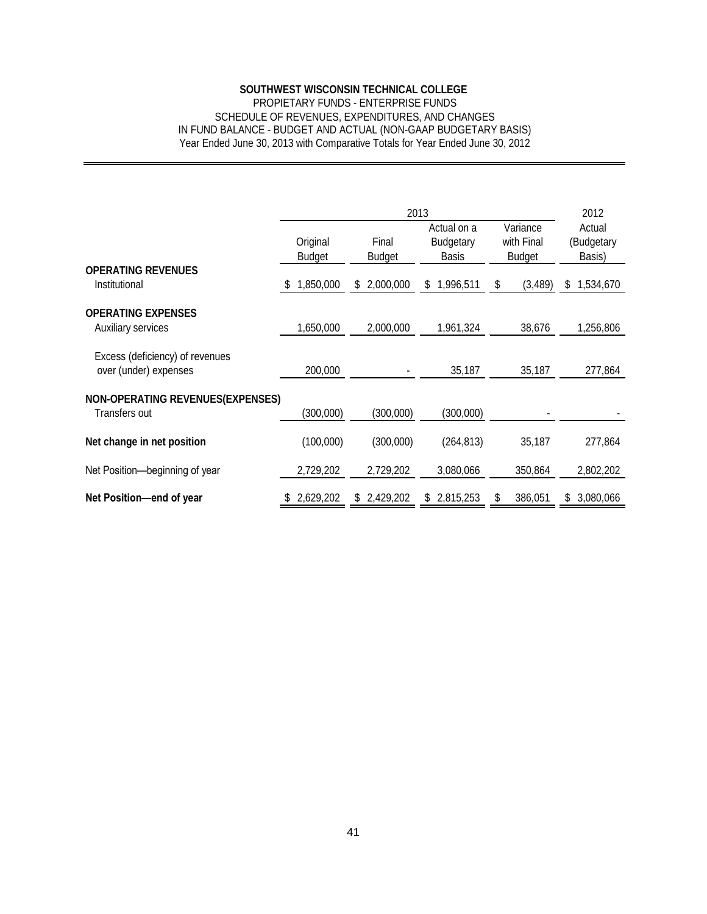## PROPIETARY FUNDS - ENTERPRISE FUNDS SCHEDULE OF REVENUES, EXPENDITURES, AND CHANGES IN FUND BALANCE - BUDGET AND ACTUAL (NON-GAAP BUDGETARY BASIS) Year Ended June 30, 2013 with Comparative Totals for Year Ended June 30, 2012

| IN FUND BALANCE - BUDGET AND ACTUAL (NON-GAAP BUDGETARY BASIS)<br>Year Ended June 30, 2013 with Comparative Totals for Year Ended June 30, 2012 |                           | <b>SOUTHWEST WISCONSIN TECHNICAL COLLEGE</b><br>PROPIETARY FUNDS - ENTERPRISE FUNDS | SCHEDULE OF REVENUES, EXPENDITURES, AND CHANGES         |                                         |                                        |
|-------------------------------------------------------------------------------------------------------------------------------------------------|---------------------------|-------------------------------------------------------------------------------------|---------------------------------------------------------|-----------------------------------------|----------------------------------------|
|                                                                                                                                                 |                           |                                                                                     |                                                         |                                         |                                        |
|                                                                                                                                                 | Original<br><b>Budget</b> | Final<br><b>Budget</b>                                                              | 2013<br>Actual on a<br><b>Budgetary</b><br><b>Basis</b> | Variance<br>with Final<br><b>Budget</b> | 2012<br>Actual<br>(Budgetary<br>Basis) |
| <b>OPERATING REVENUES</b><br>Institutional                                                                                                      | 1,850,000<br>S.           | 2,000,000<br>\$                                                                     | 1,996,511<br>\$                                         | \$<br>(3,489)                           | 1,534,670<br>\$                        |
| <b>OPERATING EXPENSES</b><br>Auxiliary services                                                                                                 | 1,650,000                 | 2,000,000                                                                           | 1,961,324                                               | 38,676                                  | 1,256,806                              |
| Excess (deficiency) of revenues<br>over (under) expenses                                                                                        | 200,000                   |                                                                                     | 35,187                                                  | 35,187                                  | 277,864                                |
| <b>NON-OPERATING REVENUES(EXPENSES)</b><br>Transfers out                                                                                        | (300,000)                 | (300,000)                                                                           | (300,000)                                               |                                         |                                        |
| Net change in net position                                                                                                                      | (100,000)                 | (300,000)                                                                           | (264, 813)                                              | 35,187                                  | 277,864                                |
| Net Position-beginning of year                                                                                                                  | 2,729,202                 | 2,729,202                                                                           | 3,080,066                                               | 350,864                                 | 2,802,202                              |
| Net Position-end of year                                                                                                                        | 2,629,202                 | \$2,429,202                                                                         | \$2,815,253                                             | 386,051<br>\$                           | \$ 3,080,066                           |
|                                                                                                                                                 |                           |                                                                                     |                                                         |                                         |                                        |
|                                                                                                                                                 |                           |                                                                                     |                                                         |                                         |                                        |
|                                                                                                                                                 |                           |                                                                                     |                                                         |                                         |                                        |
|                                                                                                                                                 |                           |                                                                                     |                                                         |                                         |                                        |
|                                                                                                                                                 |                           |                                                                                     |                                                         |                                         |                                        |
|                                                                                                                                                 |                           |                                                                                     |                                                         |                                         |                                        |
|                                                                                                                                                 |                           |                                                                                     |                                                         |                                         |                                        |
|                                                                                                                                                 |                           |                                                                                     |                                                         |                                         |                                        |
|                                                                                                                                                 |                           |                                                                                     |                                                         |                                         |                                        |
|                                                                                                                                                 |                           | 41                                                                                  |                                                         |                                         |                                        |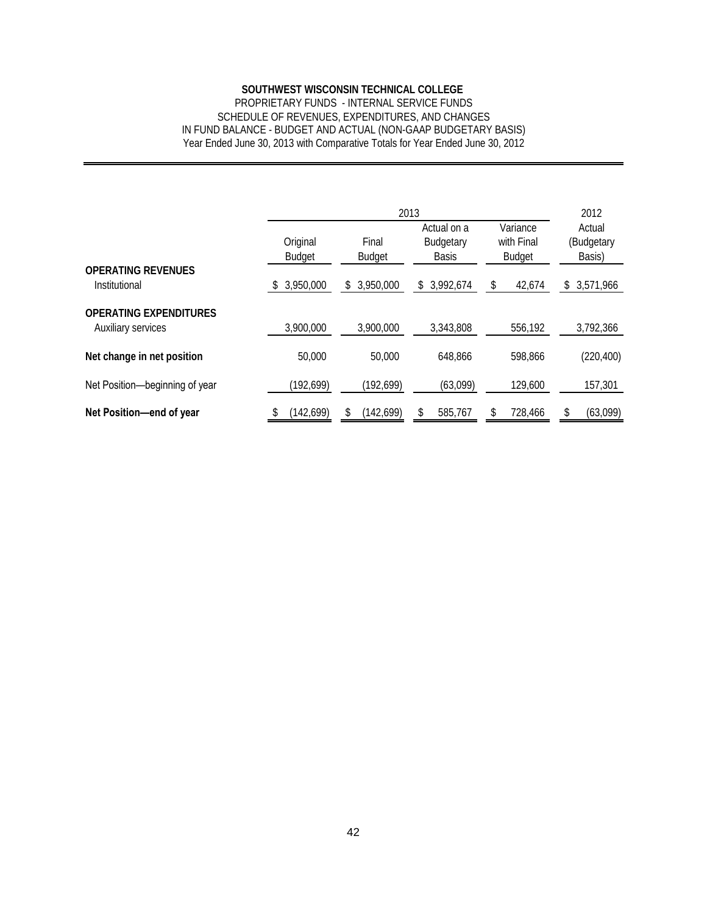## PROPRIETARY FUNDS - INTERNAL SERVICE FUNDS SCHEDULE OF REVENUES, EXPENDITURES, AND CHANGES IN FUND BALANCE - BUDGET AND ACTUAL (NON-GAAP BUDGETARY BASIS) Year Ended June 30, 2013 with Comparative Totals for Year Ended June 30, 2012

|                                                     | SOUTHWEST WISCONSIN TECHNICAL COLLEGE<br>PROPRIETARY FUNDS - INTERNAL SERVICE FUNDS<br>SCHEDULE OF REVENUES, EXPENDITURES, AND CHANGES<br>IN FUND BALANCE - BUDGET AND ACTUAL (NON-GAAP BUDGETARY BASIS) |                        |                                                 |                                         |                                |
|-----------------------------------------------------|----------------------------------------------------------------------------------------------------------------------------------------------------------------------------------------------------------|------------------------|-------------------------------------------------|-----------------------------------------|--------------------------------|
|                                                     | Year Ended June 30, 2013 with Comparative Totals for Year Ended June 30, 2012                                                                                                                            |                        |                                                 |                                         |                                |
|                                                     |                                                                                                                                                                                                          |                        | 2013                                            |                                         | 2012                           |
|                                                     | Original<br><b>Budget</b>                                                                                                                                                                                | Final<br><b>Budget</b> | Actual on a<br><b>Budgetary</b><br><b>Basis</b> | Variance<br>with Final<br><b>Budget</b> | Actual<br>(Budgetary<br>Basis) |
| <b>OPERATING REVENUES</b><br>Institutional          | 3,950,000<br>\$                                                                                                                                                                                          | \$3,950,000            | \$3,992,674                                     | \$<br>42,674                            | \$3,571,966                    |
| <b>OPERATING EXPENDITURES</b><br>Auxiliary services | 3,900,000                                                                                                                                                                                                | 3,900,000              | 3,343,808                                       | 556,192                                 | 3,792,366                      |
| Net change in net position                          | 50,000                                                                                                                                                                                                   | 50,000                 | 648,866                                         | 598,866                                 | (220, 400)                     |
| Net Position-beginning of year                      | (192, 699)                                                                                                                                                                                               | (192, 699)             | (63,099)                                        | 129,600                                 | 157,301                        |
| Net Position-end of year                            | (142, 699)<br>\$                                                                                                                                                                                         | \$<br>(142, 699)       | \$<br>585,767                                   | \$<br>728,466                           | \$<br>(63,099)                 |
|                                                     |                                                                                                                                                                                                          |                        |                                                 |                                         |                                |
|                                                     |                                                                                                                                                                                                          |                        |                                                 |                                         |                                |
|                                                     |                                                                                                                                                                                                          | 42                     |                                                 |                                         |                                |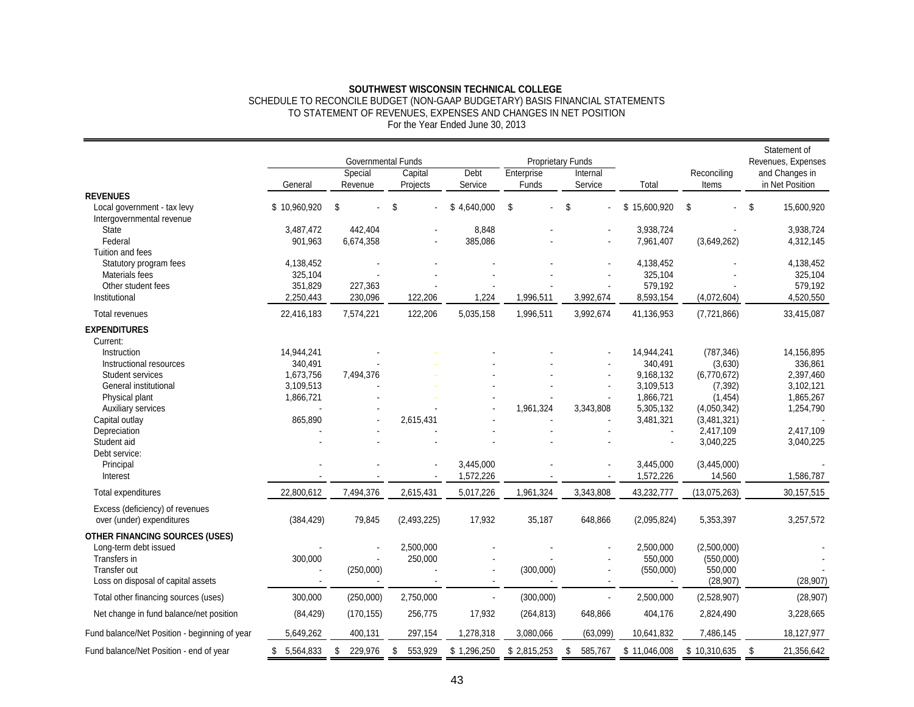#### SCHEDULE TO RECONCILE BUDGET (NON-GAAP BUDGETARY) BASIS FINANCIAL STATEMENTS TO STATEMENT OF REVENUES, EXPENSES AND CHANGES IN NET POSITION For the Year Ended June 30, 2013

|                                                                                                                                               | General                                                                 | Governmental Funds<br>Special<br>Revenue | Capital<br>Projects  | Debt<br>Service        | Enterprise<br>Funds | Proprietary Funds<br>Internal<br>Service | Total                                                                                  | Reconciling<br>Items                                                                       | Statement of<br>Revenues, Expenses<br>and Changes in<br>in Net Position   |
|-----------------------------------------------------------------------------------------------------------------------------------------------|-------------------------------------------------------------------------|------------------------------------------|----------------------|------------------------|---------------------|------------------------------------------|----------------------------------------------------------------------------------------|--------------------------------------------------------------------------------------------|---------------------------------------------------------------------------|
| <b>REVENUES</b><br>Local government - tax levy<br>Intergovernmental revenue                                                                   | \$10,960,920                                                            | \$                                       | \$                   | \$4,640,000            | \$                  | \$                                       | 15,600,920<br>\$                                                                       | \$                                                                                         | \$<br>15,600,920                                                          |
| <b>State</b><br>Federal<br>Tuition and fees                                                                                                   | 3,487,472<br>901,963                                                    | 442,404<br>6,674,358                     |                      | 8,848<br>385,086       |                     |                                          | 3,938,724<br>7,961,407                                                                 | (3,649,262)                                                                                | 3,938,724<br>4,312,145                                                    |
| Statutory program fees<br>Materials fees<br>Other student fees<br>Institutional                                                               | 4,138,452<br>325,104<br>351,829<br>2,250,443                            | 227,363<br>230,096                       | 122,206              | 1,224                  | 1,996,511           | 3,992,674                                | 4,138,452<br>325,104<br>579,192<br>8,593,154                                           | (4,072,604)                                                                                | 4,138,452<br>325,104<br>579,192<br>4,520,550                              |
| Total revenues                                                                                                                                | 22,416,183                                                              | 7,574,221                                | 122,206              | 5,035,158              | 1,996,511           | 3,992,674                                | 41,136,953                                                                             | (7,721,866)                                                                                | 33,415,087                                                                |
| <b>EXPENDITURES</b><br>Current:                                                                                                               |                                                                         |                                          |                      |                        |                     |                                          |                                                                                        |                                                                                            |                                                                           |
| Instruction<br>Instructional resources<br>Student services<br>General institutional<br>Physical plant<br>Auxiliary services<br>Capital outlay | 14,944,241<br>340,491<br>1,673,756<br>3,109,513<br>1,866,721<br>865,890 | 7,494,376                                | 2,615,431            |                        | 1,961,324           | 3,343,808                                | 14,944,241<br>340,491<br>9,168,132<br>3,109,513<br>1,866,721<br>5,305,132<br>3,481,321 | (787, 346)<br>(3,630)<br>(6,770,672)<br>(7, 392)<br>(1, 454)<br>(4,050,342)<br>(3,481,321) | 14,156,895<br>336,861<br>2,397,460<br>3,102,121<br>1,865,267<br>1,254,790 |
| Depreciation<br>Student aid<br>Debt service:                                                                                                  |                                                                         |                                          |                      |                        |                     |                                          |                                                                                        | 2,417,109<br>3,040,225                                                                     | 2,417,109<br>3,040,225                                                    |
| Principal<br>Interest                                                                                                                         |                                                                         |                                          |                      | 3,445,000<br>1,572,226 |                     |                                          | 3,445,000<br>1,572,226                                                                 | (3,445,000)<br>14,560                                                                      | 1,586,787                                                                 |
| Total expenditures                                                                                                                            | 22,800,612                                                              | 7,494,376                                | 2,615,431            | 5,017,226              | 1,961,324           | 3,343,808                                | 43,232,777                                                                             | (13,075,263)                                                                               | 30,157,515                                                                |
| Excess (deficiency) of revenues<br>over (under) expenditures                                                                                  | (384, 429)                                                              | 79,845                                   | (2,493,225)          | 17,932                 | 35,187              | 648,866                                  | (2,095,824)                                                                            | 5,353,397                                                                                  | 3,257,572                                                                 |
| <b>OTHER FINANCING SOURCES (USES)</b><br>Long-term debt issued<br>Transfers in<br>Transfer out<br>Loss on disposal of capital assets          | 300,000<br>$\overline{\phantom{a}}$                                     | (250,000)                                | 2,500,000<br>250,000 |                        | (300,000)           |                                          | 2,500,000<br>550,000<br>(550,000)                                                      | (2,500,000)<br>(550,000)<br>550,000<br>(28, 907)                                           | (28, 907)                                                                 |
| Total other financing sources (uses)                                                                                                          | 300,000                                                                 | (250,000)                                | 2,750,000            |                        | (300,000)           | $\overline{a}$                           | 2,500,000                                                                              | (2,528,907)                                                                                | (28, 907)                                                                 |
| Net change in fund balance/net position                                                                                                       | (84, 429)                                                               | (170, 155)                               | 256,775              | 17,932                 | (264, 813)          | 648,866                                  | 404,176                                                                                | 2,824,490                                                                                  | 3,228,665                                                                 |
| Fund balance/Net Position - beginning of year                                                                                                 | 5,649,262                                                               | 400,131                                  | 297,154              | 1,278,318              | 3,080,066           | (63,099)                                 | 10,641,832                                                                             | 7,486,145                                                                                  | 18,127,977                                                                |
| Fund balance/Net Position - end of year                                                                                                       | \$5,564,833                                                             | \$<br>229,976                            | \$<br>553,929        | \$1,296,250            | \$2,815,253         | \$<br>585,767                            | \$11,046,008                                                                           | \$10,310,635                                                                               | \$<br>21,356,642                                                          |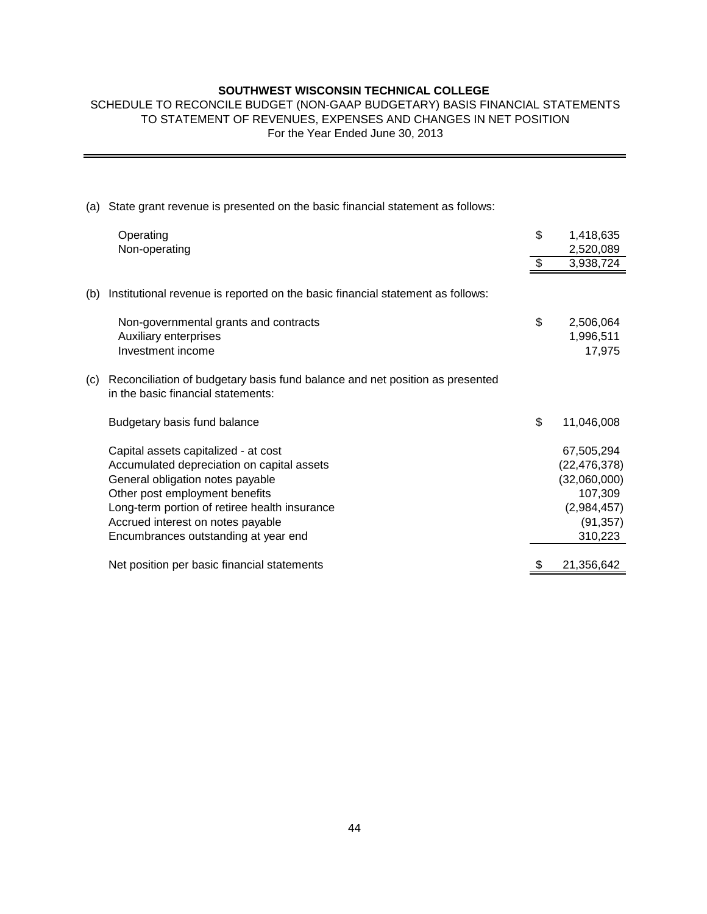## SCHEDULE TO RECONCILE BUDGET (NON-GAAP BUDGETARY) BASIS FINANCIAL STATEMENTS TO STATEMENT OF REVENUES, EXPENSES AND CHANGES IN NET POSITION For the Year Ended June 30, 2013

|     | SOUTHWEST WISCONSIN TECHNICAL COLLEGE<br>SCHEDULE TO RECONCILE BUDGET (NON-GAAP BUDGETARY) BASIS FINANCIAL STATEMENTS<br>TO STATEMENT OF REVENUES, EXPENSES AND CHANGES IN NET POSITION<br>For the Year Ended June 30, 2013                                                            |                                                                                                |
|-----|----------------------------------------------------------------------------------------------------------------------------------------------------------------------------------------------------------------------------------------------------------------------------------------|------------------------------------------------------------------------------------------------|
|     |                                                                                                                                                                                                                                                                                        |                                                                                                |
| (a) | State grant revenue is presented on the basic financial statement as follows:                                                                                                                                                                                                          |                                                                                                |
|     | Operating<br>Non-operating                                                                                                                                                                                                                                                             | \$<br>1,418,635<br>2,520,089                                                                   |
|     |                                                                                                                                                                                                                                                                                        | \$<br>3,938,724                                                                                |
| (b) | Institutional revenue is reported on the basic financial statement as follows:                                                                                                                                                                                                         |                                                                                                |
|     | Non-governmental grants and contracts                                                                                                                                                                                                                                                  | \$<br>2,506,064                                                                                |
|     | Auxiliary enterprises<br>Investment income                                                                                                                                                                                                                                             | 1,996,511<br>17,975                                                                            |
| (c) | Reconciliation of budgetary basis fund balance and net position as presented<br>in the basic financial statements:                                                                                                                                                                     |                                                                                                |
|     | Budgetary basis fund balance                                                                                                                                                                                                                                                           | \$<br>11,046,008                                                                               |
|     | Capital assets capitalized - at cost<br>Accumulated depreciation on capital assets<br>General obligation notes payable<br>Other post employment benefits<br>Long-term portion of retiree health insurance<br>Accrued interest on notes payable<br>Encumbrances outstanding at year end | 67,505,294<br>(22, 476, 378)<br>(32,060,000)<br>107,309<br>(2,984,457)<br>(91, 357)<br>310,223 |
|     | Net position per basic financial statements                                                                                                                                                                                                                                            | \$<br>21,356,642                                                                               |
|     |                                                                                                                                                                                                                                                                                        |                                                                                                |
|     | 44                                                                                                                                                                                                                                                                                     |                                                                                                |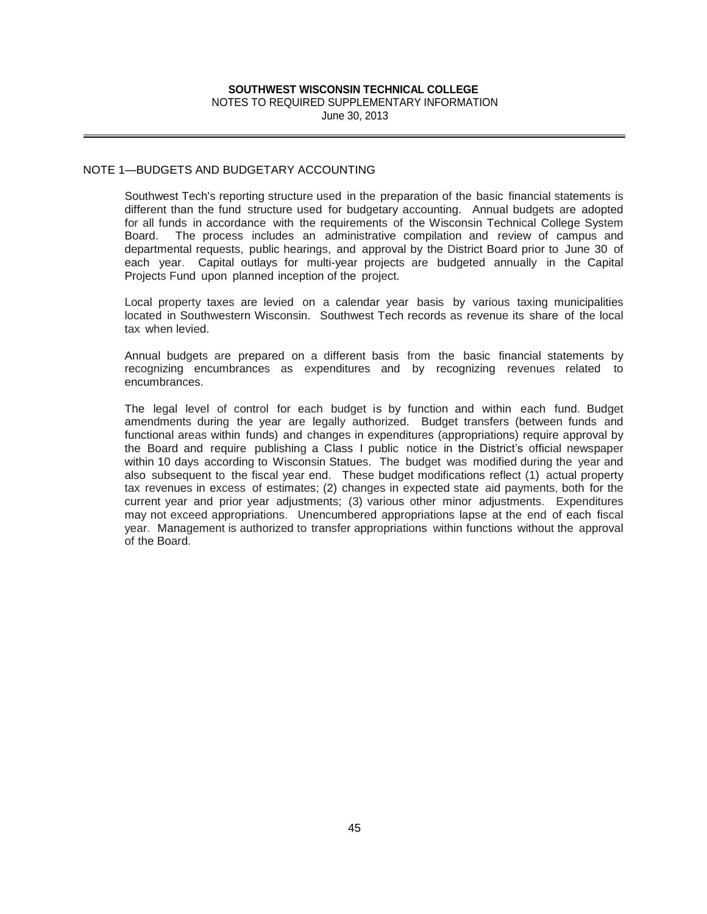## **SOUTHWEST WISCONSIN TECHNICAL COLLEGE**  NOTES TO REQUIRED SUPPLEMENTARY INFORMATION

June 30, 2013

## NOTE 1—BUDGETS AND BUDGETARY ACCOUNTING

Southwest Tech's reporting structure used in the preparation of the basic financial statements is different than the fund structure used for budgetary accounting. Annual budgets are adopted for all funds in accordance with the requirements of the Wisconsin Technical College System Board. The process includes an administrative compilation and review of campus and departmental requests, public hearings, and approval by the District Board prior to June 30 of each year. Capital outlays for multi-year projects are budgeted annually in the Capital Projects Fund upon planned inception of the project.

Local property taxes are levied on a calendar year basis by various taxing municipalities located in Southwestern Wisconsin. Southwest Tech records as revenue its share of the local tax when levied.

Annual budgets are prepared on a different basis from the basic financial statements by recognizing encumbrances as expenditures and by recognizing revenues related to encumbrances.

The legal level of control for each budget is by function and within each fund. Budget amendments during the year are legally authorized. Budget transfers (between funds and functional areas within funds) and changes in expenditures (appropriations) require approval by the Board and require publishing a Class I public notice in the District's official newspaper within 10 days according to Wisconsin Statues. The budget was modified during the year and also subsequent to the fiscal year end. These budget modifications reflect (1) actual property tax revenues in excess of estimates; (2) changes in expected state aid payments, both for the current year and prior year adjustments; (3) various other minor adjustments. Expenditures may not exceed appropriations. Unencumbered appropriations lapse at the end of each fiscal year. Management is authorized to transfer appropriations within functions without the approval of the Board.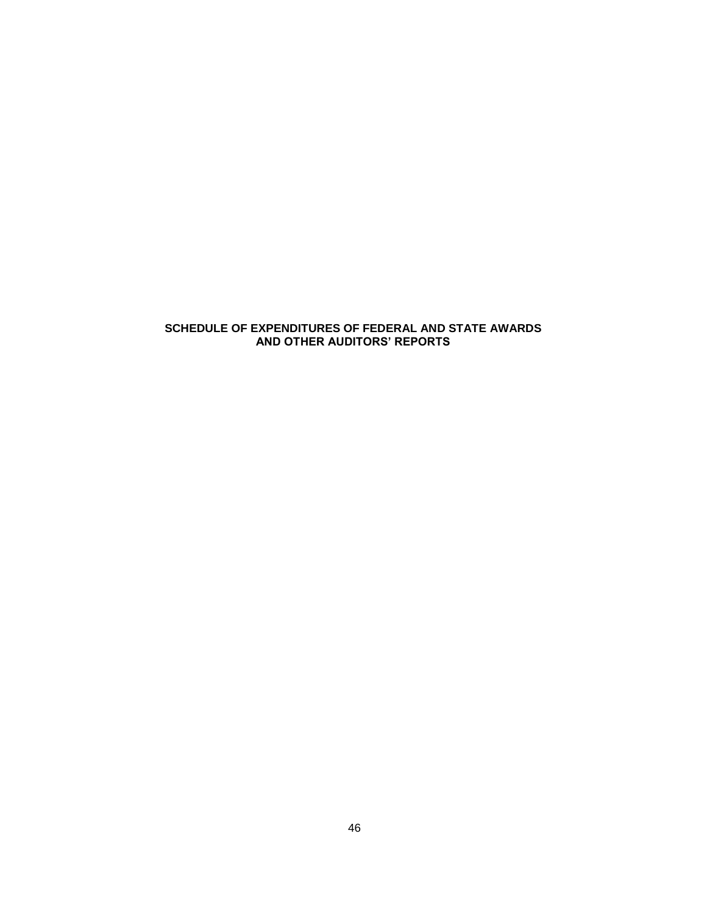## **SCHEDULE OF EXPENDITURES OF FEDERAL AND STATE AWARDS AND OTHER AUDITORS' REPORTS**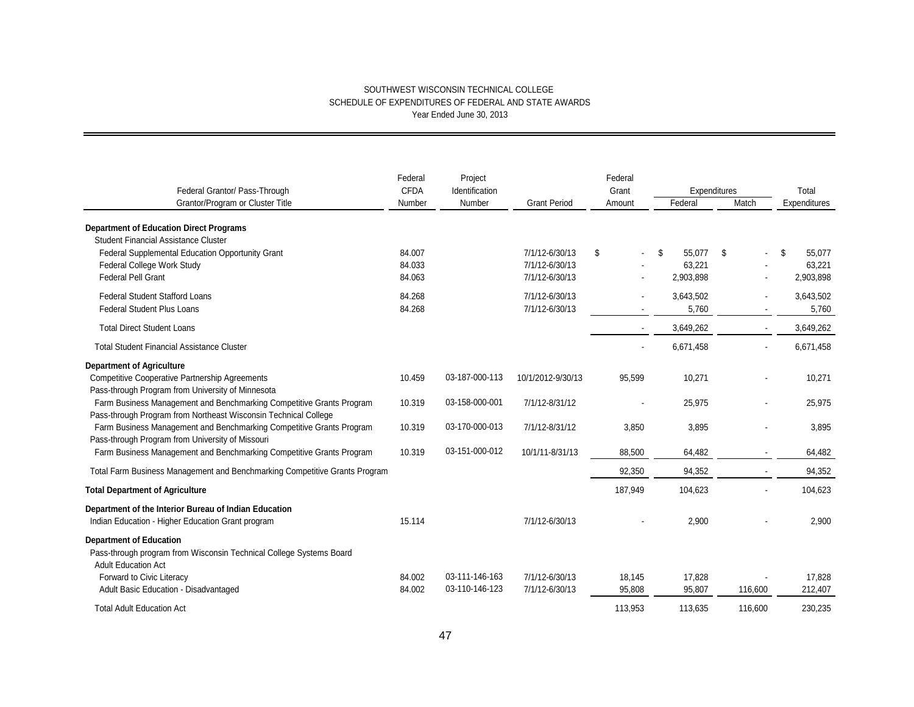| Federal Grantor/ Pass-Through                                                                                                                                                               | Federal<br><b>CFDA</b> | Project<br>Identification        |                                  | Federal<br>Grant               |                     | Expenditures             | Total               |
|---------------------------------------------------------------------------------------------------------------------------------------------------------------------------------------------|------------------------|----------------------------------|----------------------------------|--------------------------------|---------------------|--------------------------|---------------------|
| Grantor/Program or Cluster Title                                                                                                                                                            | Number                 | Number                           | <b>Grant Period</b>              | Amount                         | Federal             | Match                    | Expenditures        |
| <b>Department of Education Direct Programs</b><br><b>Student Financial Assistance Cluster</b><br>Federal Supplemental Education Opportunity Grant                                           | 84.007                 |                                  | 7/1/12-6/30/13                   | \$<br>$\overline{\phantom{a}}$ | \$<br>55,077        | - \$                     | \$<br>55,077        |
| Federal College Work Study<br><b>Federal Pell Grant</b>                                                                                                                                     | 84.033<br>84.063       |                                  | 7/1/12-6/30/13<br>7/1/12-6/30/13 |                                | 63.221<br>2,903,898 |                          | 63,221<br>2,903,898 |
| <b>Federal Student Stafford Loans</b><br><b>Federal Student Plus Loans</b>                                                                                                                  | 84.268<br>84.268       |                                  | 7/1/12-6/30/13<br>7/1/12-6/30/13 |                                | 3,643,502<br>5,760  | $\blacksquare$           | 3,643,502<br>5,760  |
| <b>Total Direct Student Loans</b>                                                                                                                                                           |                        |                                  |                                  |                                | 3,649,262           | $\mathbf{r}$             | 3,649,262           |
| <b>Total Student Financial Assistance Cluster</b>                                                                                                                                           |                        |                                  |                                  |                                | 6,671,458           |                          | 6,671,458           |
| <b>Department of Agriculture</b><br><b>Competitive Cooperative Partnership Agreements</b>                                                                                                   | 10.459                 | 03-187-000-113                   | 10/1/2012-9/30/13                | 95,599                         | 10,271              |                          | 10,271              |
| Pass-through Program from University of Minnesota<br>Farm Business Management and Benchmarking Competitive Grants Program                                                                   | 10.319                 | 03-158-000-001                   | 7/1/12-8/31/12                   |                                | 25,975              |                          | 25,975              |
| Pass-through Program from Northeast Wisconsin Technical College<br>Farm Business Management and Benchmarking Competitive Grants Program<br>Pass-through Program from University of Missouri | 10.319                 | 03-170-000-013                   | 7/1/12-8/31/12                   | 3,850                          | 3,895               |                          | 3,895               |
| Farm Business Management and Benchmarking Competitive Grants Program                                                                                                                        | 10.319                 | 03-151-000-012                   | 10/1/11-8/31/13                  | 88.500                         | 64,482              |                          | 64,482              |
| Total Farm Business Management and Benchmarking Competitive Grants Program                                                                                                                  |                        |                                  |                                  | 92,350                         | 94,352              | $\overline{\phantom{a}}$ | 94,352              |
| <b>Total Department of Agriculture</b>                                                                                                                                                      |                        |                                  |                                  | 187,949                        | 104,623             |                          | 104,623             |
| Department of the Interior Bureau of Indian Education<br>Indian Education - Higher Education Grant program                                                                                  | 15.114                 |                                  | 7/1/12-6/30/13                   |                                | 2,900               |                          | 2.900               |
| <b>Department of Education</b><br>Pass-through program from Wisconsin Technical College Systems Board<br><b>Adult Education Act</b>                                                         |                        |                                  |                                  |                                |                     |                          |                     |
| Forward to Civic Literacy<br>Adult Basic Education - Disadvantaged                                                                                                                          | 84.002<br>84.002       | 03-111-146-163<br>03-110-146-123 | 7/1/12-6/30/13<br>7/1/12-6/30/13 | 18,145<br>95,808               | 17,828<br>95,807    | 116,600                  | 17,828<br>212,407   |
| <b>Total Adult Education Act</b>                                                                                                                                                            |                        |                                  |                                  | 113,953                        | 113,635             | 116,600                  | 230,235             |
|                                                                                                                                                                                             |                        | 47                               |                                  |                                |                     |                          |                     |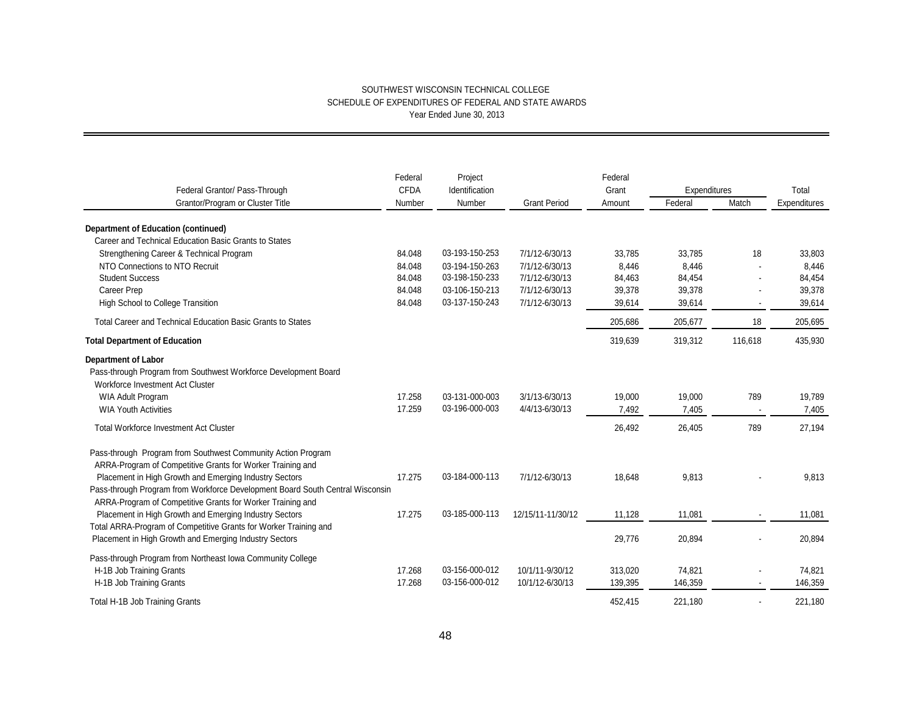|                                                                               | Federal<br><b>CFDA</b> | Project<br>Identification |                     | Federal<br>Grant | Expenditures |         | Total        |
|-------------------------------------------------------------------------------|------------------------|---------------------------|---------------------|------------------|--------------|---------|--------------|
| Federal Grantor/ Pass-Through<br>Grantor/Program or Cluster Title             | Number                 | Number                    | <b>Grant Period</b> | Amount           | Federal      | Match   | Expenditures |
|                                                                               |                        |                           |                     |                  |              |         |              |
| <b>Department of Education (continued)</b>                                    |                        |                           |                     |                  |              |         |              |
| Career and Technical Education Basic Grants to States                         |                        |                           |                     |                  |              |         |              |
| Strengthening Career & Technical Program                                      | 84.048                 | 03-193-150-253            | 7/1/12-6/30/13      | 33,785           | 33,785       | 18      | 33,803       |
| NTO Connections to NTO Recruit                                                | 84.048                 | 03-194-150-263            | 7/1/12-6/30/13      | 8,446            | 8,446        |         | 8,446        |
| <b>Student Success</b>                                                        | 84.048                 | 03-198-150-233            | 7/1/12-6/30/13      | 84,463           | 84,454       |         | 84,454       |
| Career Prep                                                                   | 84.048                 | 03-106-150-213            | 7/1/12-6/30/13      | 39,378           | 39,378       |         | 39,378       |
| High School to College Transition                                             | 84.048                 | 03-137-150-243            | 7/1/12-6/30/13      | 39,614           | 39,614       |         | 39,614       |
| Total Career and Technical Education Basic Grants to States                   |                        |                           |                     | 205,686          | 205,677      | 18      | 205,695      |
| <b>Total Department of Education</b>                                          |                        |                           |                     | 319,639          | 319,312      | 116,618 | 435,930      |
| <b>Department of Labor</b>                                                    |                        |                           |                     |                  |              |         |              |
| Pass-through Program from Southwest Workforce Development Board               |                        |                           |                     |                  |              |         |              |
| Workforce Investment Act Cluster                                              |                        |                           |                     |                  |              |         |              |
| WIA Adult Program                                                             | 17.258                 | 03-131-000-003            | 3/1/13-6/30/13      | 19,000           | 19,000       | 789     | 19,789       |
| <b>WIA Youth Activities</b>                                                   | 17.259                 | 03-196-000-003            | 4/4/13-6/30/13      | 7,492            | 7,405        |         | 7,405        |
| <b>Total Workforce Investment Act Cluster</b>                                 |                        |                           |                     | 26,492           | 26,405       | 789     | 27,194       |
|                                                                               |                        |                           |                     |                  |              |         |              |
| Pass-through Program from Southwest Community Action Program                  |                        |                           |                     |                  |              |         |              |
| ARRA-Program of Competitive Grants for Worker Training and                    |                        |                           |                     |                  |              |         |              |
| Placement in High Growth and Emerging Industry Sectors                        | 17.275                 | 03-184-000-113            | 7/1/12-6/30/13      | 18,648           | 9,813        |         | 9,813        |
| Pass-through Program from Workforce Development Board South Central Wisconsin |                        |                           |                     |                  |              |         |              |
| ARRA-Program of Competitive Grants for Worker Training and                    |                        |                           |                     |                  |              |         |              |
| Placement in High Growth and Emerging Industry Sectors                        | 17.275                 | 03-185-000-113            | 12/15/11-11/30/12   | 11,128           | 11,081       |         | 11,081       |
| Total ARRA-Program of Competitive Grants for Worker Training and              |                        |                           |                     |                  |              |         |              |
| Placement in High Growth and Emerging Industry Sectors                        |                        |                           |                     | 29,776           | 20,894       |         | 20,894       |
| Pass-through Program from Northeast Iowa Community College                    |                        |                           |                     |                  |              |         |              |
| H-1B Job Training Grants                                                      | 17.268                 | 03-156-000-012            | 10/1/11-9/30/12     | 313,020          | 74,821       |         | 74,821       |
| H-1B Job Training Grants                                                      | 17.268                 | 03-156-000-012            | 10/1/12-6/30/13     | 139,395          | 146,359      |         | 146,359      |
|                                                                               |                        |                           |                     | 452,415          | 221,180      |         | 221,180      |
| Total H-1B Job Training Grants                                                |                        |                           |                     |                  |              |         |              |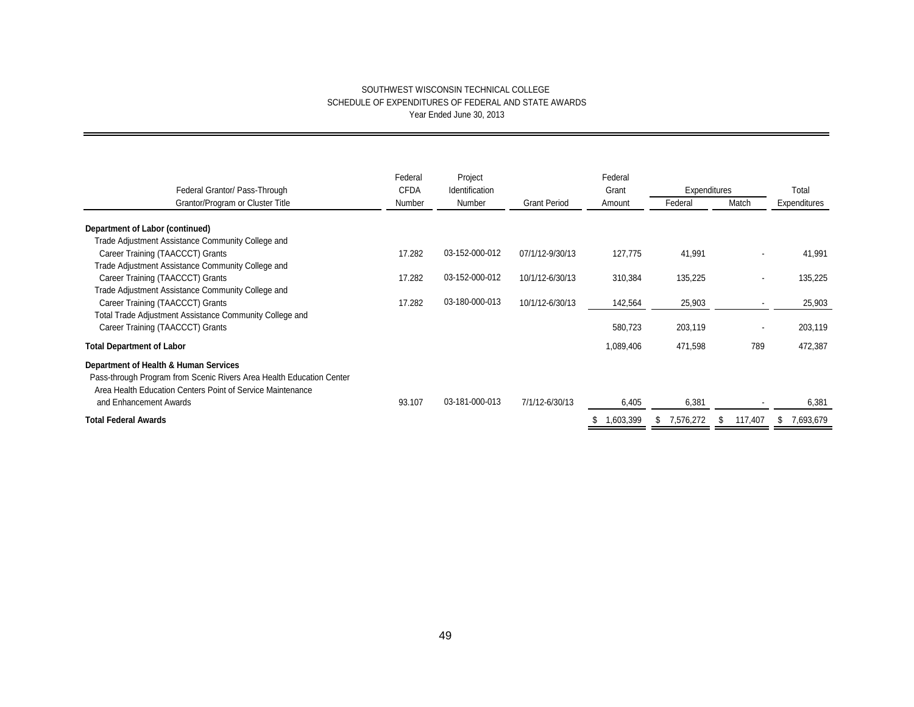| Federal Grantor/ Pass-Through                                                                                                                                               | Federal<br><b>CFDA</b> | Project<br>Identification |                     | Federal<br>Grant | Expenditures    |         | Total           |
|-----------------------------------------------------------------------------------------------------------------------------------------------------------------------------|------------------------|---------------------------|---------------------|------------------|-----------------|---------|-----------------|
| Grantor/Program or Cluster Title                                                                                                                                            | Number                 | Number                    | <b>Grant Period</b> | Amount           | Federal         | Match   | Expenditures    |
| Department of Labor (continued)                                                                                                                                             |                        |                           |                     |                  |                 |         |                 |
| Trade Adjustment Assistance Community College and                                                                                                                           |                        |                           |                     |                  |                 |         |                 |
| Career Training (TAACCCT) Grants                                                                                                                                            | 17.282                 | 03-152-000-012            | 07/1/12-9/30/13     | 127,775          | 41,991          | ۰       | 41,991          |
| Trade Adjustment Assistance Community College and                                                                                                                           |                        |                           |                     |                  |                 |         |                 |
| Career Training (TAACCCT) Grants                                                                                                                                            | 17.282                 | 03-152-000-012            | 10/1/12-6/30/13     | 310,384          | 135,225         | ۰       | 135,225         |
| Trade Adjustment Assistance Community College and                                                                                                                           |                        |                           |                     |                  |                 |         |                 |
| Career Training (TAACCCT) Grants                                                                                                                                            | 17.282                 | 03-180-000-013            | 10/1/12-6/30/13     | 142,564          | 25,903          |         | 25,903          |
| Total Trade Adjustment Assistance Community College and                                                                                                                     |                        |                           |                     |                  |                 |         |                 |
| Career Training (TAACCCT) Grants                                                                                                                                            |                        |                           |                     | 580,723          | 203,119         | ۰       | 203,119         |
| <b>Total Department of Labor</b>                                                                                                                                            |                        |                           |                     | 1,089,406        | 471,598         | 789     | 472,387         |
| Department of Health & Human Services<br>Pass-through Program from Scenic Rivers Area Health Education Center<br>Area Health Education Centers Point of Service Maintenance |                        |                           |                     |                  |                 |         |                 |
| and Enhancement Awards                                                                                                                                                      | 93.107                 | 03-181-000-013            | 7/1/12-6/30/13      | 6,405            | 6,381           |         | 6,381           |
| <b>Total Federal Awards</b>                                                                                                                                                 |                        |                           |                     | 1,603,399        | 7,576,272<br>æ. | 117,407 | 7,693,679<br>S. |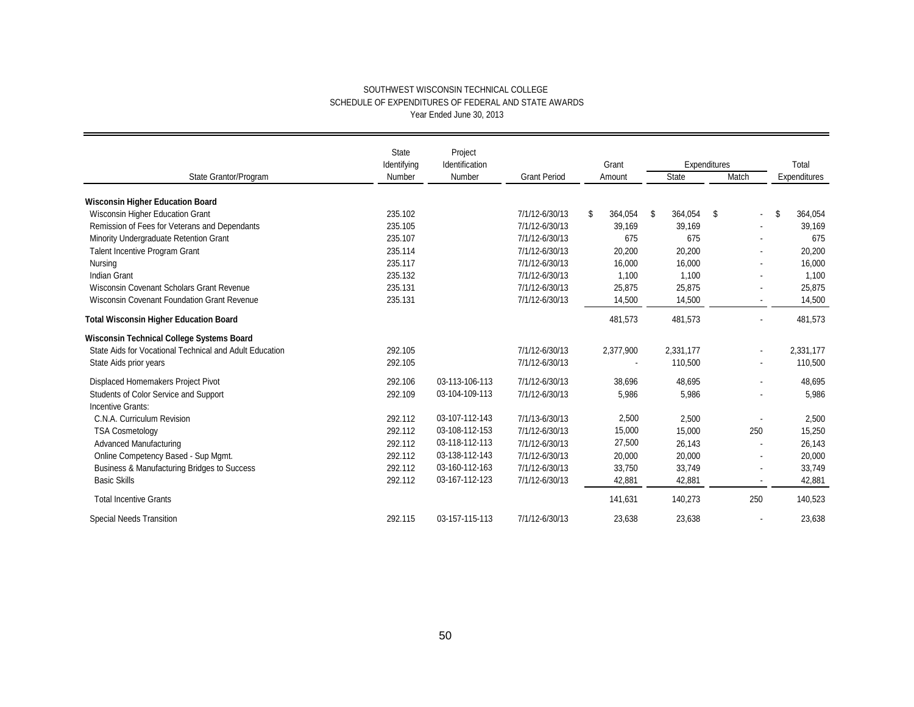|                                                         | <b>State</b>          | Project                  |                     |                          |    | Expenditures |    |                |    |                       |  |
|---------------------------------------------------------|-----------------------|--------------------------|---------------------|--------------------------|----|--------------|----|----------------|----|-----------------------|--|
| State Grantor/Program                                   | Identifying<br>Number | Identification<br>Number | <b>Grant Period</b> | Grant<br>Amount          |    | State        |    | Match          |    | Total<br>Expenditures |  |
|                                                         |                       |                          |                     |                          |    |              |    |                |    |                       |  |
| <b>Wisconsin Higher Education Board</b>                 |                       |                          |                     |                          |    |              |    |                |    |                       |  |
| Wisconsin Higher Education Grant                        | 235.102               |                          | 7/1/12-6/30/13      | \$<br>364,054            | \$ | 364,054      | \$ |                | \$ | 364,054               |  |
| Remission of Fees for Veterans and Dependants           | 235.105               |                          | 7/1/12-6/30/13      | 39,169                   |    | 39,169       |    |                |    | 39,169                |  |
| Minority Undergraduate Retention Grant                  | 235.107               |                          | 7/1/12-6/30/13      | 675                      |    | 675          |    |                |    | 675                   |  |
| Talent Incentive Program Grant                          | 235.114               |                          | 7/1/12-6/30/13      | 20,200                   |    | 20,200       |    |                |    | 20,200                |  |
| Nursing                                                 | 235.117               |                          | 7/1/12-6/30/13      | 16,000                   |    | 16,000       |    |                |    | 16,000                |  |
| <b>Indian Grant</b>                                     | 235.132               |                          | 7/1/12-6/30/13      | 1,100                    |    | 1,100        |    |                |    | 1,100                 |  |
| Wisconsin Covenant Scholars Grant Revenue               | 235.131               |                          | 7/1/12-6/30/13      | 25,875                   |    | 25,875       |    |                |    | 25,875                |  |
| Wisconsin Covenant Foundation Grant Revenue             | 235.131               |                          | 7/1/12-6/30/13      | 14,500                   |    | 14,500       |    | $\blacksquare$ |    | 14,500                |  |
| <b>Total Wisconsin Higher Education Board</b>           |                       |                          |                     | 481,573                  |    | 481,573      |    | $\sim$         |    | 481,573               |  |
| Wisconsin Technical College Systems Board               |                       |                          |                     |                          |    |              |    |                |    |                       |  |
| State Aids for Vocational Technical and Adult Education | 292.105               |                          | 7/1/12-6/30/13      | 2,377,900                |    | 2,331,177    |    | $\sim$         |    | 2,331,177             |  |
| State Aids prior years                                  | 292.105               |                          | 7/1/12-6/30/13      | $\overline{\phantom{a}}$ |    | 110,500      |    |                |    | 110,500               |  |
| Displaced Homemakers Project Pivot                      | 292.106               | 03-113-106-113           | 7/1/12-6/30/13      | 38,696                   |    | 48,695       |    |                |    | 48,695                |  |
| Students of Color Service and Support                   | 292.109               | 03-104-109-113           | 7/1/12-6/30/13      | 5,986                    |    | 5,986        |    |                |    | 5,986                 |  |
| Incentive Grants:                                       |                       |                          |                     |                          |    |              |    |                |    |                       |  |
| C.N.A. Curriculum Revision                              | 292.112               | 03-107-112-143           | 7/1/13-6/30/13      | 2,500                    |    | 2,500        |    |                |    | 2,500                 |  |
| <b>TSA Cosmetology</b>                                  | 292.112               | 03-108-112-153           | 7/1/12-6/30/13      | 15,000                   |    | 15,000       |    | 250            |    | 15,250                |  |
| Advanced Manufacturing                                  | 292.112               | 03-118-112-113           | 7/1/12-6/30/13      | 27,500                   |    | 26,143       |    |                |    | 26,143                |  |
| Online Competency Based - Sup Mgmt.                     | 292.112               | 03-138-112-143           | 7/1/12-6/30/13      | 20,000                   |    | 20,000       |    |                |    | 20,000                |  |
| Business & Manufacturing Bridges to Success             | 292.112               | 03-160-112-163           | 7/1/12-6/30/13      | 33,750                   |    | 33,749       |    |                |    | 33,749                |  |
| <b>Basic Skills</b>                                     | 292.112               | 03-167-112-123           | 7/1/12-6/30/13      | 42,881                   |    | 42,881       |    |                |    | 42,881                |  |
| <b>Total Incentive Grants</b>                           |                       |                          |                     | 141,631                  |    | 140,273      |    | 250            |    | 140,523               |  |
| <b>Special Needs Transition</b>                         | 292.115               | 03-157-115-113           | 7/1/12-6/30/13      | 23,638                   |    | 23,638       |    |                |    | 23,638                |  |
|                                                         |                       |                          |                     |                          |    |              |    |                |    |                       |  |
|                                                         |                       | 50                       |                     |                          |    |              |    |                |    |                       |  |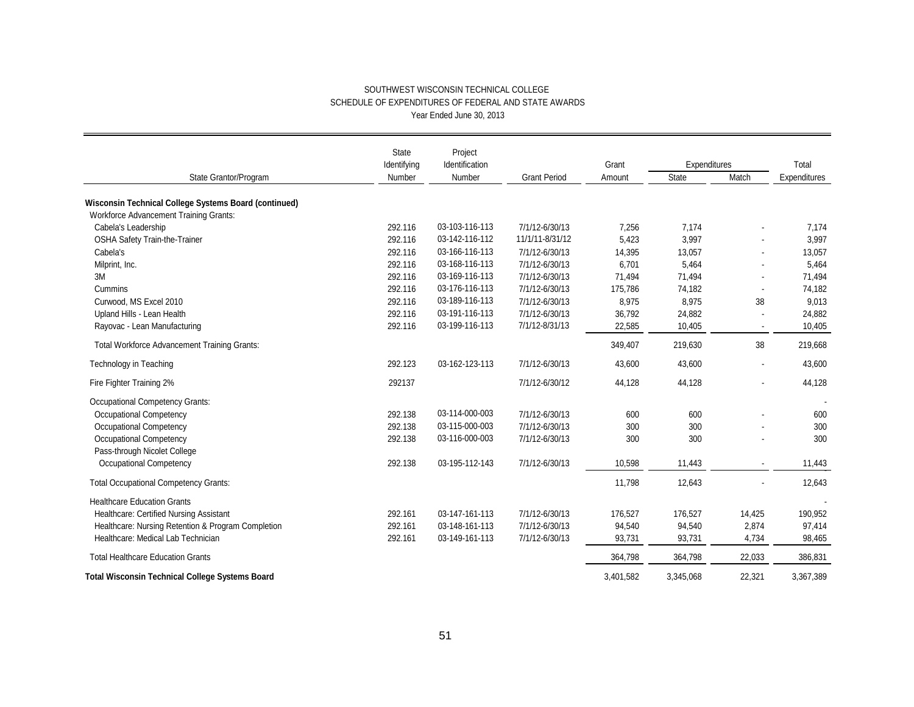|                                                        | <b>State</b> | Project                  |                     |           |                       |        |              |  |
|--------------------------------------------------------|--------------|--------------------------|---------------------|-----------|-----------------------|--------|--------------|--|
|                                                        | Identifying  | Identification<br>Number | <b>Grant Period</b> | Grant     | Expenditures<br>State | Match  | Total        |  |
| State Grantor/Program                                  | Number       |                          |                     | Amount    |                       |        | Expenditures |  |
| Wisconsin Technical College Systems Board (continued)  |              |                          |                     |           |                       |        |              |  |
| <b>Workforce Advancement Training Grants:</b>          |              |                          |                     |           |                       |        |              |  |
| Cabela's Leadership                                    | 292.116      | 03-103-116-113           | 7/1/12-6/30/13      | 7,256     | 7,174                 |        | 7,174        |  |
| OSHA Safety Train-the-Trainer                          | 292.116      | 03-142-116-112           | 11/1/11-8/31/12     | 5,423     | 3,997                 |        | 3,997        |  |
| Cabela's                                               | 292.116      | 03-166-116-113           | 7/1/12-6/30/13      | 14,395    | 13,057                |        | 13,057       |  |
| Milprint, Inc.                                         | 292.116      | 03-168-116-113           | 7/1/12-6/30/13      | 6,701     | 5,464                 |        | 5,464        |  |
| 3M                                                     | 292.116      | 03-169-116-113           | 7/1/12-6/30/13      | 71,494    | 71,494                |        | 71,494       |  |
| Cummins                                                | 292.116      | 03-176-116-113           | 7/1/12-6/30/13      | 175,786   | 74,182                |        | 74,182       |  |
| Curwood, MS Excel 2010                                 | 292.116      | 03-189-116-113           | 7/1/12-6/30/13      | 8,975     | 8,975                 | 38     | 9,013        |  |
| Upland Hills - Lean Health                             | 292.116      | 03-191-116-113           | 7/1/12-6/30/13      | 36,792    | 24,882                |        | 24,882       |  |
| Rayovac - Lean Manufacturing                           | 292.116      | 03-199-116-113           | 7/1/12-8/31/13      | 22,585    | 10,405                |        | 10,405       |  |
| <b>Total Workforce Advancement Training Grants:</b>    |              |                          |                     | 349,407   | 219,630               | 38     | 219,668      |  |
| Technology in Teaching                                 | 292.123      | 03-162-123-113           | 7/1/12-6/30/13      | 43,600    | 43,600                |        | 43,600       |  |
| Fire Fighter Training 2%                               | 292137       |                          | 7/1/12-6/30/12      | 44,128    | 44,128                |        | 44,128       |  |
| <b>Occupational Competency Grants:</b>                 |              |                          |                     |           |                       |        |              |  |
| <b>Occupational Competency</b>                         | 292.138      | 03-114-000-003           | 7/1/12-6/30/13      | 600       | 600                   |        | 600          |  |
| <b>Occupational Competency</b>                         | 292.138      | 03-115-000-003           | 7/1/12-6/30/13      | 300       | 300                   |        | 300          |  |
| Occupational Competency                                | 292.138      | 03-116-000-003           | 7/1/12-6/30/13      | 300       | 300                   |        | 300          |  |
| Pass-through Nicolet College                           |              |                          |                     |           |                       |        |              |  |
| <b>Occupational Competency</b>                         | 292.138      | 03-195-112-143           | 7/1/12-6/30/13      | 10,598    | 11,443                |        | 11,443       |  |
| <b>Total Occupational Competency Grants:</b>           |              |                          |                     | 11,798    | 12,643                |        | 12,643       |  |
| <b>Healthcare Education Grants</b>                     |              |                          |                     |           |                       |        |              |  |
| Healthcare: Certified Nursing Assistant                | 292.161      | 03-147-161-113           | 7/1/12-6/30/13      | 176,527   | 176,527               | 14,425 | 190,952      |  |
| Healthcare: Nursing Retention & Program Completion     | 292.161      | 03-148-161-113           | 7/1/12-6/30/13      | 94,540    | 94,540                | 2,874  | 97,414       |  |
| Healthcare: Medical Lab Technician                     | 292.161      | 03-149-161-113           | 7/1/12-6/30/13      | 93,731    | 93,731                | 4,734  | 98,465       |  |
| <b>Total Healthcare Education Grants</b>               |              |                          |                     | 364,798   | 364,798               | 22,033 | 386,831      |  |
| <b>Total Wisconsin Technical College Systems Board</b> |              |                          |                     | 3,401,582 | 3,345,068             | 22,321 | 3,367,389    |  |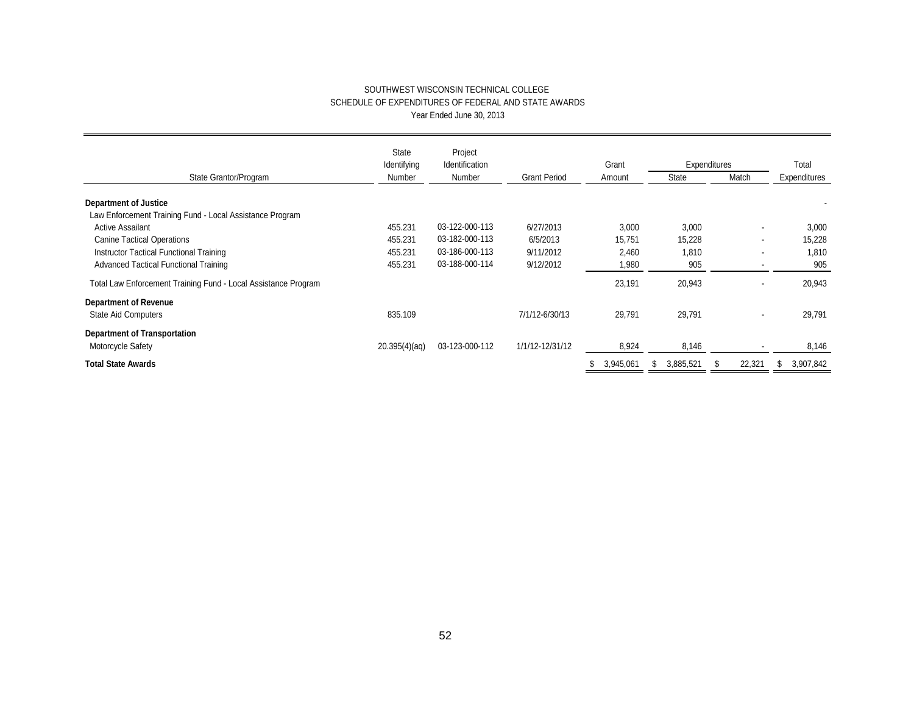|                                                                | State<br>Identifying | Project<br>Identification |                     | Grant |           | Expenditures |           |   |                | Total |              |
|----------------------------------------------------------------|----------------------|---------------------------|---------------------|-------|-----------|--------------|-----------|---|----------------|-------|--------------|
| State Grantor/Program                                          | Number               | Number                    | <b>Grant Period</b> |       | Amount    |              | State     |   | Match          |       | Expenditures |
| <b>Department of Justice</b>                                   |                      |                           |                     |       |           |              |           |   |                |       |              |
| Law Enforcement Training Fund - Local Assistance Program       |                      |                           |                     |       |           |              |           |   |                |       |              |
| Active Assailant                                               | 455.231              | 03-122-000-113            | 6/27/2013           |       | 3,000     |              | 3,000     |   | $\blacksquare$ |       | 3,000        |
| <b>Canine Tactical Operations</b>                              | 455.231              | 03-182-000-113            | 6/5/2013            |       | 15,751    |              | 15,228    |   |                |       | 15,228       |
| Instructor Tactical Functional Training                        | 455.231              | 03-186-000-113            | 9/11/2012           |       | 2,460     |              | 1,810     |   |                |       | 1,810        |
| <b>Advanced Tactical Functional Training</b>                   | 455.231              | 03-188-000-114            | 9/12/2012           |       | 1,980     |              | 905       |   |                |       | 905          |
| Total Law Enforcement Training Fund - Local Assistance Program |                      |                           |                     |       | 23,191    |              | 20,943    |   |                |       | 20,943       |
| <b>Department of Revenue</b>                                   |                      |                           |                     |       |           |              |           |   |                |       |              |
| <b>State Aid Computers</b>                                     | 835.109              |                           | 7/1/12-6/30/13      |       | 29,791    |              | 29,791    |   | $\blacksquare$ |       | 29,791       |
| <b>Department of Transportation</b>                            |                      |                           |                     |       |           |              |           |   |                |       |              |
| Motorcycle Safety                                              | 20.395(4)(aq)        | 03-123-000-112            | 1/1/12-12/31/12     |       | 8,924     |              | 8,146     |   |                |       | 8,146        |
| <b>Total State Awards</b>                                      |                      |                           |                     | \$    | 3,945,061 | æ.           | 3,885,521 | ზ | 22,321         | \$    | 3,907,842    |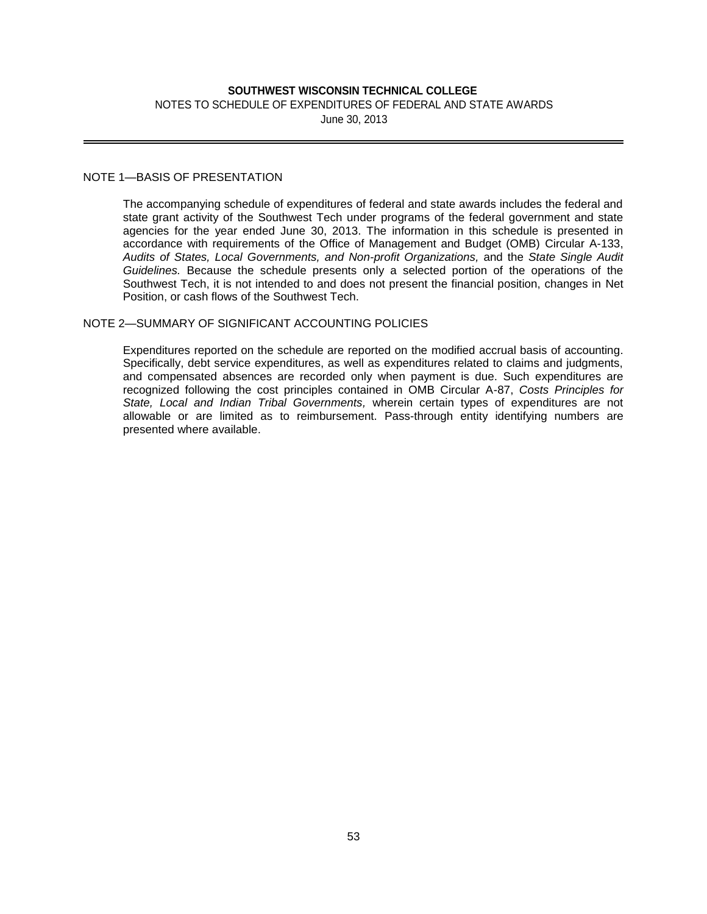## NOTES TO SCHEDULE OF EXPENDITURES OF FEDERAL AND STATE AWARDS June 30, 2013

## NOTE 1—BASIS OF PRESENTATION

**SOUTHWEST WISCONSIN TECHNICAL COLLEGE**<br>
HEDULE OF EXPENDITURES OF FEDERAL AND ST<br>
June 30, 2013<br> **SUND TO A SUND A SUND A SUND A SUND A SUND A SUND A SUND A SUND A SUND A SUND A SUND A SUND A SUND A SUND A SUND A SUND A S** The accompanying schedule of expenditures of federal and state awards includes the federal and state grant activity of the Southwest Tech under programs of the federal government and state agencies for the year ended June 30, 2013. The information in this schedule is presented in accordance with requirements of the Office of Management and Budget (OMB) Circular A-133, *Audits of States, Local Governments, and Non-profit Organizations,* and the *State Single Audit Guidelines.* Because the schedule presents only a selected portion of the operations of the Southwest Tech, it is not intended to and does not present the financial position, changes in Net Position, or cash flows of the Southwest Tech.

## NOTE 2—SUMMARY OF SIGNIFICANT ACCOUNTING POLICIES

Expenditures reported on the schedule are reported on the modified accrual basis of accounting. Specifically, debt service expenditures, as well as expenditures related to claims and judgments, and compensated absences are recorded only when payment is due. Such expenditures are recognized following the cost principles contained in OMB Circular A-87, *Costs Principles for State, Local and Indian Tribal Governments,* wherein certain types of expenditures are not allowable or are limited as to reimbursement. Pass-through entity identifying numbers are presented where available.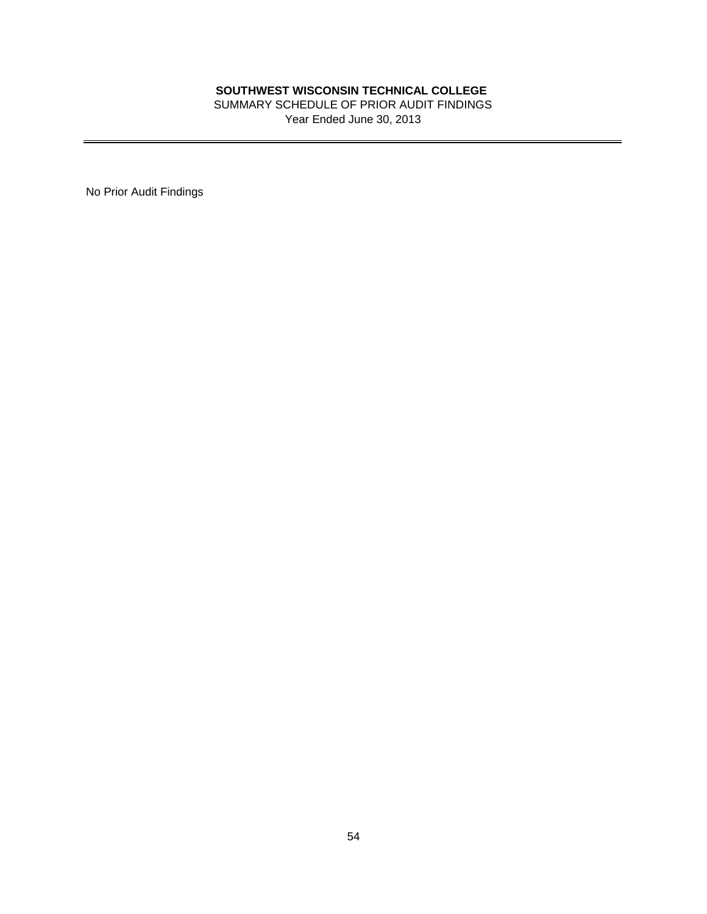**SOUTHWEST WISCONSIN TECHNICAL COLLEGE CHENICAL COLLEGE SUMMARY SCHEDULE OF PRIOR AUDIT FINDINGS**<br>
Year Ended June 30, 2013<br> **S4** SUMMARY SCHEDULE OF PRIOR AUDIT FINDINGS Year Ended June 30, 2013

No Prior Audit Findings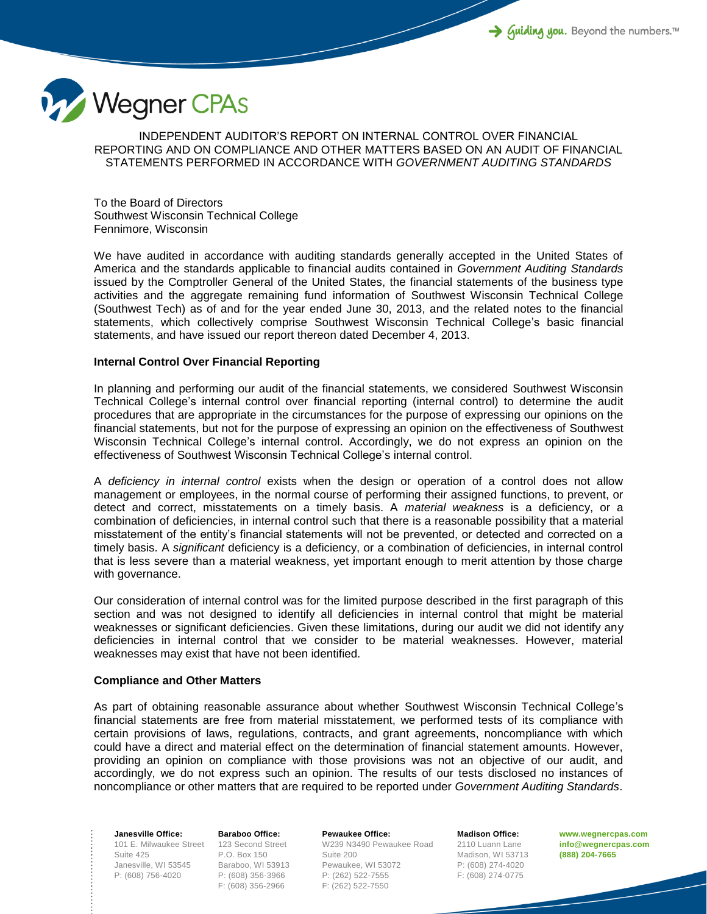

INDEPENDENT AUDITOR'S REPORT ON INTERNAL CONTROL OVER FINANCIAL REPORTING AND ON COMPLIANCE AND OTHER MATTERS BASED ON AN AUDIT OF FINANCIAL STATEMENTS PERFORMED IN ACCORDANCE WITH *GOVERNMENT AUDITING STANDARDS*

To the Board of Directors Southwest Wisconsin Technical College Fennimore, Wisconsin

We have audited in accordance with auditing standards generally accepted in the United States of America and the standards applicable to financial audits contained in *Government Auditing Standards* issued by the Comptroller General of the United States, the financial statements of the business type activities and the aggregate remaining fund information of Southwest Wisconsin Technical College (Southwest Tech) as of and for the year ended June 30, 2013, and the related notes to the financial statements, which collectively comprise Southwest Wisconsin Technical College's basic financial statements, and have issued our report thereon dated December 4, 2013.

## **Internal Control Over Financial Reporting**

In planning and performing our audit of the financial statements, we considered Southwest Wisconsin Technical College's internal control over financial reporting (internal control) to determine the audit procedures that are appropriate in the circumstances for the purpose of expressing our opinions on the financial statements, but not for the purpose of expressing an opinion on the effectiveness of Southwest Wisconsin Technical College's internal control. Accordingly, we do not express an opinion on the effectiveness of Southwest Wisconsin Technical College's internal control.

A *deficiency in internal control* exists when the design or operation of a control does not allow management or employees, in the normal course of performing their assigned functions, to prevent, or detect and correct, misstatements on a timely basis. A *material weakness* is a deficiency, or a combination of deficiencies, in internal control such that there is a reasonable possibility that a material misstatement of the entity's financial statements will not be prevented, or detected and corrected on a timely basis. A *significant* deficiency is a deficiency, or a combination of deficiencies, in internal control that is less severe than a material weakness, yet important enough to merit attention by those charge with governance.

Our consideration of internal control was for the limited purpose described in the first paragraph of this section and was not designed to identify all deficiencies in internal control that might be material weaknesses or significant deficiencies. Given these limitations, during our audit we did not identify any deficiencies in internal control that we consider to be material weaknesses. However, material weaknesses may exist that have not been identified.

## **Compliance and Other Matters**

As part of obtaining reasonable assurance about whether Southwest Wisconsin Technical College's financial statements are free from material misstatement, we performed tests of its compliance with certain provisions of laws, regulations, contracts, and grant agreements, noncompliance with which could have a direct and material effect on the determination of financial statement amounts. However, providing an opinion on compliance with those provisions was not an objective of our audit, and accordingly, we do not express such an opinion. The results of our tests disclosed no instances of noncompliance or other matters that are required to be reported under *Government Auditing Standards*.

101 E. Milwaukee Street 123 Second Street **Janesville Office:** Suite 425 Janesville, WI 53545 P: (608) 756-4020

**Baraboo Office:** P.O. Box 150 Baraboo, WI 53913 P: (608) 356-3966 F: (608) 356-2966

**Pewaukee Office:** W239 N3490 Pewaukee Road Suite 200 Pewaukee, WI 53072 P: (262) 522-7555 F: (262) 522-7550

**Madison Office:** 2110 Luann Lane Madison, WI 53713 P: (608) 274-4020 F: (608) 274-0775

**www.wegnercpas.com info@wegnercpas.com (888) 204-7665**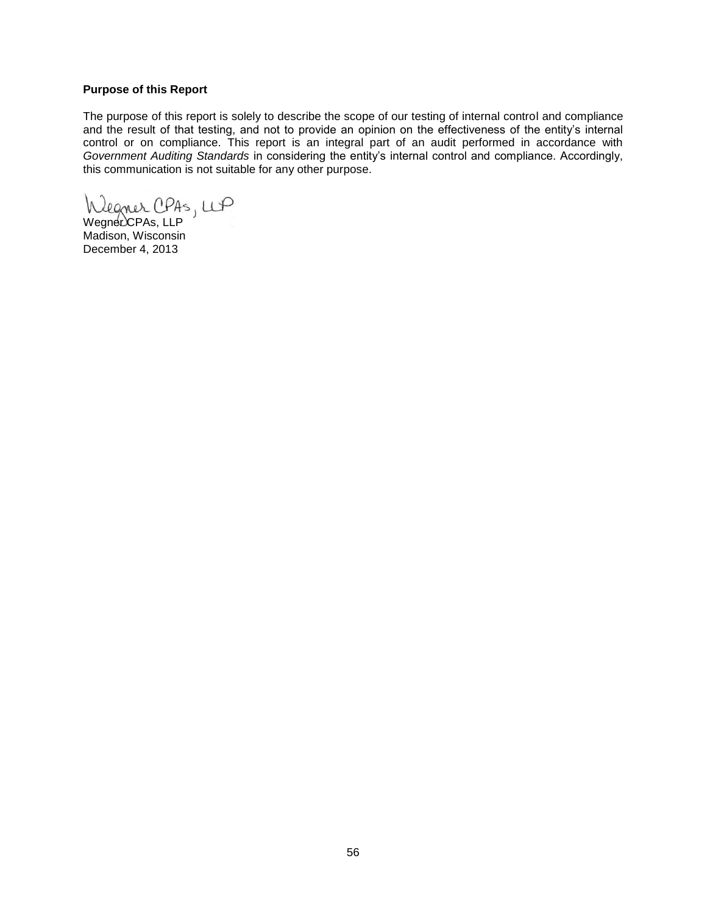## **Purpose of this Report**

The purpose of this report is solely to describe the scope of our testing of internal control and compliance and the result of that testing, and not to provide an opinion on the effectiveness of the entity's internal control or on compliance. This report is an integral part of an audit performed in accordance with *Government Auditing Standards* in considering the entity's internal control and compliance. Accordingly, this communication is not suitable for any other purpose.

Wegner CPAs, LLP

Madison, Wisconsin December 4, 2013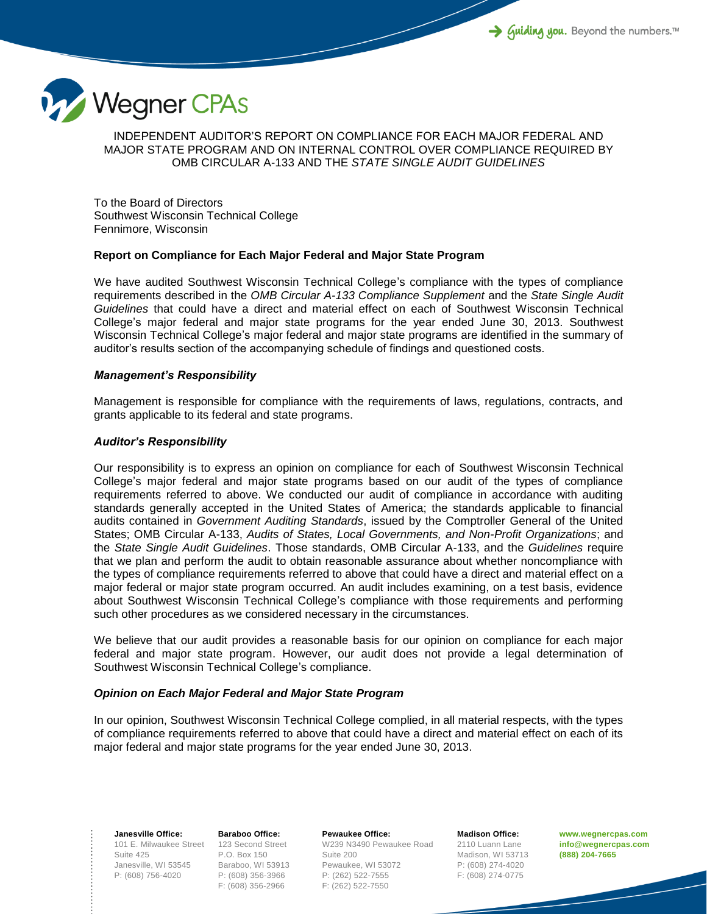

INDEPENDENT AUDITOR'S REPORT ON COMPLIANCE FOR EACH MAJOR FEDERAL AND MAJOR STATE PROGRAM AND ON INTERNAL CONTROL OVER COMPLIANCE REQUIRED BY OMB CIRCULAR A-133 AND THE *STATE SINGLE AUDIT GUIDELINES*

To the Board of Directors Southwest Wisconsin Technical College Fennimore, Wisconsin

## **Report on Compliance for Each Major Federal and Major State Program**

We have audited Southwest Wisconsin Technical College's compliance with the types of compliance requirements described in the *OMB Circular A-133 Compliance Supplement* and the *State Single Audit Guidelines* that could have a direct and material effect on each of Southwest Wisconsin Technical College's major federal and major state programs for the year ended June 30, 2013. Southwest Wisconsin Technical College's major federal and major state programs are identified in the summary of auditor's results section of the accompanying schedule of findings and questioned costs.

## *Management's Responsibility*

Management is responsible for compliance with the requirements of laws, regulations, contracts, and grants applicable to its federal and state programs.

## *Auditor's Responsibility*

Our responsibility is to express an opinion on compliance for each of Southwest Wisconsin Technical College's major federal and major state programs based on our audit of the types of compliance requirements referred to above. We conducted our audit of compliance in accordance with auditing standards generally accepted in the United States of America; the standards applicable to financial audits contained in *Government Auditing Standards*, issued by the Comptroller General of the United States; OMB Circular A-133, *Audits of States, Local Governments, and Non-Profit Organizations*; and the *State Single Audit Guidelines*. Those standards, OMB Circular A-133, and the *Guidelines* require that we plan and perform the audit to obtain reasonable assurance about whether noncompliance with the types of compliance requirements referred to above that could have a direct and material effect on a major federal or major state program occurred. An audit includes examining, on a test basis, evidence about Southwest Wisconsin Technical College's compliance with those requirements and performing such other procedures as we considered necessary in the circumstances.

We believe that our audit provides a reasonable basis for our opinion on compliance for each major federal and major state program. However, our audit does not provide a legal determination of Southwest Wisconsin Technical College's compliance.

## *Opinion on Each Major Federal and Major State Program*

In our opinion, Southwest Wisconsin Technical College complied, in all material respects, with the types of compliance requirements referred to above that could have a direct and material effect on each of its major federal and major state programs for the year ended June 30, 2013.

101 E. Milwaukee Street 123 Second Street **Janesville Office:** Suite 425 Janesville, WI 53545 P: (608) 756-4020

**Baraboo Office:** P.O. Box 150 Baraboo, WI 53913 P: (608) 356-3966 F: (608) 356-2966

**Pewaukee Office:** W239 N3490 Pewaukee Road Suite 200 Pewaukee, WI 53072 P: (262) 522-7555 F: (262) 522-7550

**Madison Office:** 2110 Luann Lane Madison, WI 53713 P: (608) 274-4020 F: (608) 274-0775

**www.wegnercpas.com info@wegnercpas.com (888) 204-7665**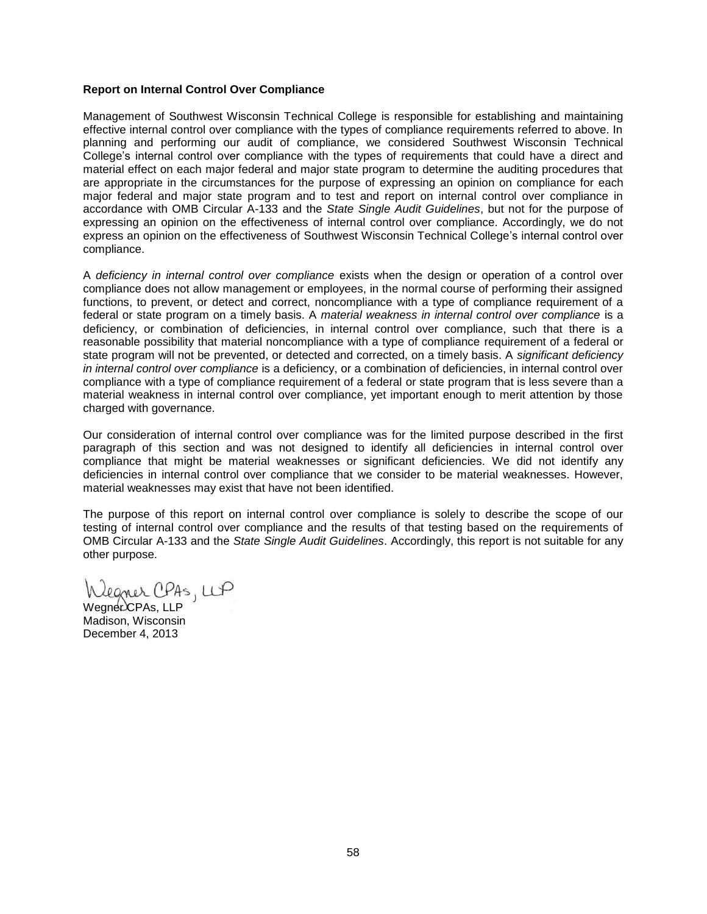## **Report on Internal Control Over Compliance**

Management of Southwest Wisconsin Technical College is responsible for establishing and maintaining effective internal control over compliance with the types of compliance requirements referred to above. In planning and performing our audit of compliance, we considered Southwest Wisconsin Technical College's internal control over compliance with the types of requirements that could have a direct and material effect on each major federal and major state program to determine the auditing procedures that are appropriate in the circumstances for the purpose of expressing an opinion on compliance for each major federal and major state program and to test and report on internal control over compliance in accordance with OMB Circular A-133 and the *State Single Audit Guidelines*, but not for the purpose of expressing an opinion on the effectiveness of internal control over compliance. Accordingly, we do not express an opinion on the effectiveness of Southwest Wisconsin Technical College's internal control over compliance.

A *deficiency in internal control over compliance* exists when the design or operation of a control over compliance does not allow management or employees, in the normal course of performing their assigned functions, to prevent, or detect and correct, noncompliance with a type of compliance requirement of a federal or state program on a timely basis. A *material weakness in internal control over compliance* is a deficiency, or combination of deficiencies, in internal control over compliance, such that there is a reasonable possibility that material noncompliance with a type of compliance requirement of a federal or state program will not be prevented, or detected and corrected, on a timely basis. A *significant deficiency in internal control over compliance* is a deficiency, or a combination of deficiencies, in internal control over compliance with a type of compliance requirement of a federal or state program that is less severe than a material weakness in internal control over compliance, yet important enough to merit attention by those charged with governance.

Our consideration of internal control over compliance was for the limited purpose described in the first paragraph of this section and was not designed to identify all deficiencies in internal control over compliance that might be material weaknesses or significant deficiencies. We did not identify any deficiencies in internal control over compliance that we consider to be material weaknesses. However, material weaknesses may exist that have not been identified.

The purpose of this report on internal control over compliance is solely to describe the scope of our testing of internal control over compliance and the results of that testing based on the requirements of OMB Circular A-133 and the *State Single Audit Guidelines*. Accordingly, this report is not suitable for any other purpose.

legner CPAS, LLP

Wegner CPAs, LLP Madison, Wisconsin December 4, 2013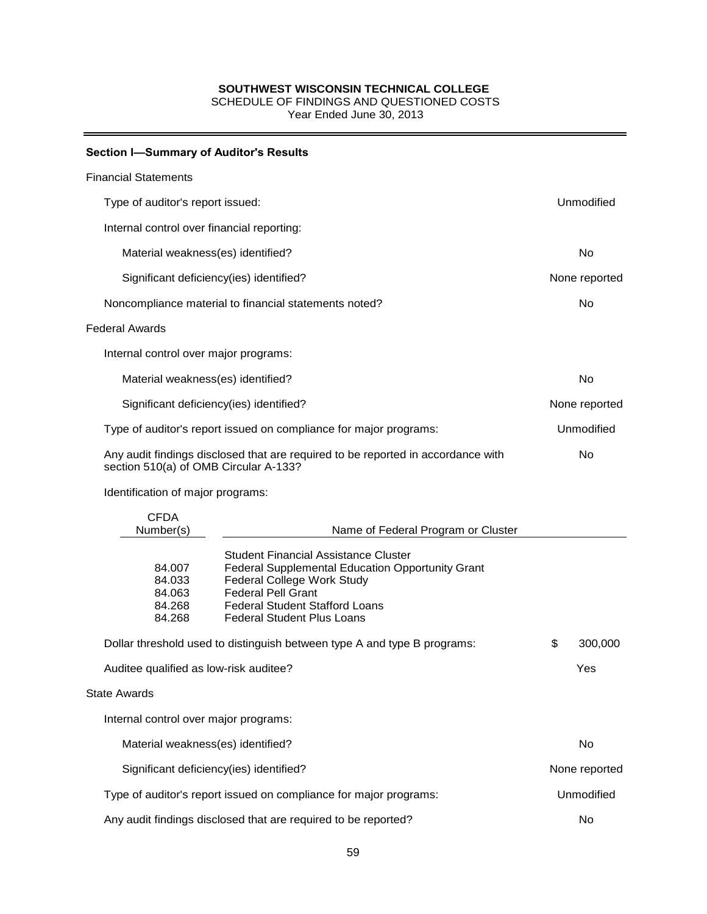SCHEDULE OF FINDINGS AND QUESTIONED COSTS

Year Ended June 30, 2013

## **Section I—Summary of Auditor's Results**

#### Financial Statements

| Type of auditor's report issued:                                                                                          |                                                                                                                                                                                                                                          |               | Unmodified    |  |
|---------------------------------------------------------------------------------------------------------------------------|------------------------------------------------------------------------------------------------------------------------------------------------------------------------------------------------------------------------------------------|---------------|---------------|--|
| Internal control over financial reporting:                                                                                |                                                                                                                                                                                                                                          |               |               |  |
| Material weakness(es) identified?                                                                                         |                                                                                                                                                                                                                                          |               | No            |  |
| Significant deficiency(ies) identified?                                                                                   |                                                                                                                                                                                                                                          | None reported |               |  |
| Noncompliance material to financial statements noted?                                                                     |                                                                                                                                                                                                                                          |               | No            |  |
| <b>Federal Awards</b>                                                                                                     |                                                                                                                                                                                                                                          |               |               |  |
| Internal control over major programs:                                                                                     |                                                                                                                                                                                                                                          |               |               |  |
| Material weakness(es) identified?                                                                                         |                                                                                                                                                                                                                                          | No            |               |  |
| Significant deficiency(ies) identified?                                                                                   |                                                                                                                                                                                                                                          | None reported |               |  |
| Type of auditor's report issued on compliance for major programs:                                                         |                                                                                                                                                                                                                                          | Unmodified    |               |  |
| Any audit findings disclosed that are required to be reported in accordance with<br>section 510(a) of OMB Circular A-133? |                                                                                                                                                                                                                                          |               | No            |  |
| Identification of major programs:                                                                                         |                                                                                                                                                                                                                                          |               |               |  |
| <b>CFDA</b><br>Number(s)                                                                                                  | Name of Federal Program or Cluster                                                                                                                                                                                                       |               |               |  |
| 84.007<br>84.033<br>84.063<br>84.268<br>84.268                                                                            | <b>Student Financial Assistance Cluster</b><br>Federal Supplemental Education Opportunity Grant<br>Federal College Work Study<br><b>Federal Pell Grant</b><br><b>Federal Student Stafford Loans</b><br><b>Federal Student Plus Loans</b> |               |               |  |
| Dollar threshold used to distinguish between type A and type B programs:                                                  |                                                                                                                                                                                                                                          | \$            | 300,000       |  |
| Auditee qualified as low-risk auditee?                                                                                    |                                                                                                                                                                                                                                          |               | Yes           |  |
| <b>State Awards</b>                                                                                                       |                                                                                                                                                                                                                                          |               |               |  |
| Internal control over major programs:                                                                                     |                                                                                                                                                                                                                                          |               |               |  |
| Material weakness(es) identified?                                                                                         |                                                                                                                                                                                                                                          |               | No            |  |
| Significant deficiency(ies) identified?                                                                                   |                                                                                                                                                                                                                                          |               | None reported |  |
| Type of auditor's report issued on compliance for major programs:                                                         |                                                                                                                                                                                                                                          |               | Unmodified    |  |

Any audit findings disclosed that are required to be reported? No